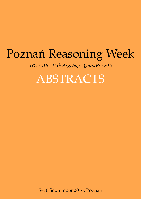# <span id="page-0-0"></span>Poznań Reasoning Week

*L&C 2016* | *14th ArgDiap* | *QuestPro 2016*

ABSTRACTS

5–10 September 2016, Poznań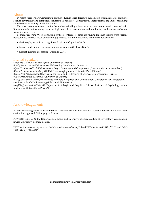# About

In recent years we are witnessing a cognitive turn in logic. It results in inclusion of some areas of cognitive science, psychology and computer science into its hard core. Consequently, logic becomes capable of modelling actual cognitive activity of real life agents.

This turn does not create a rival for the mathematical logic: it forms a next step in the development of logic. It also reminds that for many centuries logic stood in a close and natural relationship to the science of actual reasoning processes.

Poznań Reasoning Week, consisting of three conferences, aims at bringing together experts from various fields, whose research focus on reasoning processes and their modelling from three perspectives:

- the interplay of logic and cognition (Logic and Cognition 2016);
- formal modelling of reasoning and argumentation (14th ArgDiap);
- natural question processing (QuestPro 2016).

### Invited speakers

(ArgDiap / L&C) *Ruth Byrne* (The University of Dublin) (L&C) *Adam Chuderski* (Institute of Philosophy, Jagiellonian University) (QuestPro) *Ivano Ciardelli* (Institute for Logic, Language and Computation, Universiteit van Amsterdam) (QuestPro) *Jonathan Ginzburg* (UFR d'Études anglophones, Université Paris-Diderot) (QuestPro) *Yacin Hamami* (The Centre for Logic and Philosophy of Science, Vrije Universiteit Brussel) (QuestPro) *Philipp E. Koralus* (University of Oxford) (L&C) *Michiel van Lambalgen* (Institute for Logic, Language and Computation, Universiteit van Amsterdam) (ArgDiap / L&C) *Keith Stenning* (Edinburgh University) (ArgDiap) *Andrzej Wi´sniewski* (Department of Logic and Cognitive Science, Institute of Psychology, Adam Mickiewicz University in Poznań)

# Acknowledgements

Poznań Reasoning Week Multi-conference is *endorsed by*: [Polish Society for Cognitive Science](http://ptkogni.amu.edu.pl/english/) and [Polish Asso](http://logika.net.pl/?lang=en)[ciation for Logic and Philosophy of Science](http://logika.net.pl/?lang=en)

PRW 2016 is *hosted by* the [Department of Logic and Cognitive Science,](http://kognitywistyka.amu.edu.pl/en/) [Institute of Psychology,](http://www.psychologia.amu.edu.pl/en/home/) [Adam Mick](http://international.amu.edu.pl/)[iewicz University,](http://international.amu.edu.pl/) Poznań, Poland.

PRW 2016 is *supported by* funds of the National Science Centre, Poland DEC-2013/10/E/HS1/00172 and DEC-2012/04/A/HS1/00715.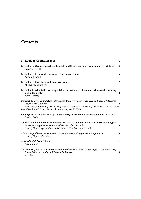# **Contents**

| I Logic & Cognition 2016                                                                                                                                                                                                                                                               | 4  |
|----------------------------------------------------------------------------------------------------------------------------------------------------------------------------------------------------------------------------------------------------------------------------------------|----|
| Invited talk: Counterfactual conditionals and the mental representation of possibilities<br>Ruth M.J. Byrne                                                                                                                                                                            | 5  |
| Invited talk: Relational reasoning in the human brain<br>Adam Chuderski                                                                                                                                                                                                                | 6  |
| Invited talk: Kant, time and cognitive science<br>Michiel van Lambalgen                                                                                                                                                                                                                | 7  |
| Invited talk: What is the working relation between intensional and extensional reasoning<br>and judgement?<br>Keith Stenning                                                                                                                                                           | 8  |
| Difficult deductions and fluid intelligence: Deductive Flexibility Test vs Raven's Advanced<br><b>Progressive Matrices</b><br>Kinga Antonik-Jonczyk, Dajana Bieganowska, Agnieszka Dubowska, Dominika Koch, Iga Kropa,<br>Maciej Małkowski, Dawid Ratajczyk, Anita Steć, Natalia Żyluk | 9  |
| On Logical Characterisation of Human Concept Learning within Terminological Systems<br>Farshad Badie                                                                                                                                                                                   | 12 |
| Subject's understanding of conditional sentences. Content analysis of Socratic dialogues<br>during solving various versions of Wason selection task<br>Andrzej Gajda, Szymon Chlebowski, Mariusz Urbański, Emilia Soroko                                                               | 15 |
| Abductive problems in a connectionist environment. Computational approach<br>Andrzej Gajda, Adam Kupś                                                                                                                                                                                  | 18 |
| A Non-Modal Deontic Logic<br>Robert Kowalski                                                                                                                                                                                                                                           | 21 |
| The Majority Rule or the Equate-to-differentiate Rule? The Moderating Role of Regulatory<br>Focus, Self-construals, and Culture Differences<br>Yong Lu                                                                                                                                 | 24 |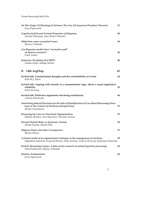Poznań Reasoning Week 2016

| On The Origin Of Metalogical Notions: The Case Of American Postulate Theorists<br>Jerzy Pogonowski                                                                     | 27 |
|------------------------------------------------------------------------------------------------------------------------------------------------------------------------|----|
| <b>Cognitively Relevant Formal Properties of Diagrams</b><br>Atsushi Shimojima, Dave Barker-Plummer                                                                    | 30 |
| Abduction: some conceptual issues<br>Mariusz Urbański                                                                                                                  | 34 |
| Can Bayesian models have "normative pull"<br>on human reasoners?<br>Frank Zenker                                                                                       | 36 |
| <b>Deductive Flexibility Test (DFT)</b><br>Natalia Żyluk, Mikołaj Michta                                                                                               | 40 |
| 14th ArgDiap<br>$\mathbf{I}$                                                                                                                                           | 43 |
| Invited talk: Counterfactual thoughts and the controllability of events<br>Ruth M.J. Byrne                                                                             | 44 |
| Invited talk: Arguing with oneself, in a nonmonotonic logic, about a causal regularity's<br>reliability<br>Keith Stenning                                              | 45 |
| Invited talk: Deductive arguments and strong entailments<br>Andrzej Wiśniewski                                                                                         | 46 |
| Annotating Judicial Decisions for the Sake of Identification of Case-Based Reasoning Struc-<br>tures in the Context of Statutory Interpretation<br>Michal Araszkiewicz | 47 |
| Reasoning by Cases in Structured Argumentation<br>Mathieu Beirlaen, Jesse Heyninck, Christian Strasser                                                                 | 51 |
| Normal Default Rules as Epistemic Actions<br>Michal Dančák, Michal Peliš                                                                                               | 54 |
| <b>Slippery Slopes and other Consequences</b><br>Martin Hinton                                                                                                         | 57 |
| A formal model of an argumentative dialogue in the management of emotions<br>Magdalena Kacprzak, Krzysztof Rzeńca, Anna Sawicka, Andrzej Zbrzezny, Katarzyna Żukowska  | 59 |
| Erotetic Reasoning Corpus. A data set for research on natural question processing<br>Paweł Łupkowski, Mariusz Urbański                                                 | 62 |
| <b>Intuitive Explanations</b><br>Jerzy Pogonowski                                                                                                                      | 66 |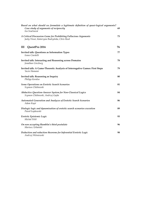| Based on what should we formulate a legitimate definition of quasi-logical arguments?<br>Case study of arguments of reciprocity<br>Iva Svačinová | 69 |
|--------------------------------------------------------------------------------------------------------------------------------------------------|----|
| A Critical Discussion Game for Prohibiting Fallacious Arguments<br>Jacky Visser, Katarzyna Budzyńska, Chris Reed                                 | 73 |
| QuestPro 2016<br>Ш                                                                                                                               | 76 |
| Invited talk: Questions as Information Types<br>Ivano Ciardelli                                                                                  | 77 |
| Invited talk: Interacting and Reasoning across Domains<br>Jonathan Ginzburg                                                                      | 78 |
| Invited talk: A Game-Theoretic Analysis of Interrogative Games: First Steps<br>Yacin Hamami                                                      | 79 |
| Invited talk: Reasoning as Inquiry<br>Philipp Koralus                                                                                            | 80 |
| Some Operations on Erotetic Search Scenarios<br>Szymon Chlebowski                                                                                | 81 |
| Abductive Question-Answer System for Non-Classical Logics<br>Szymon Chlebowski, Andrzej Gajda                                                    | 84 |
| Automated Generation and Analyzes of Erotetic Search Scenarios<br>Adam Kupś                                                                      | 86 |
| Dialogic logic and dynamisation of erotetic search scenarios execution<br>Paweł Łupkowski                                                        | 89 |
| Erotetic Epistemic Logic<br>Michal Peliš                                                                                                         | 93 |
| On non accepting Hamblin's third postulate<br>Mariusz Urbański                                                                                   | 96 |
| Deduction and reduction theorems for Inferential Erotetic Logic<br>Andrzej Wiśniewski                                                            | 98 |
|                                                                                                                                                  |    |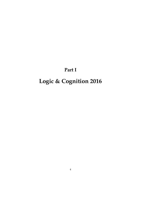# **Part I**

# <span id="page-5-0"></span>**Logic & Cognition 2016**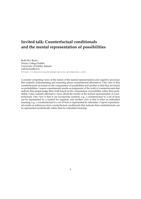# <span id="page-6-0"></span>**Invited talk: Counterfactual conditionals and the mental representation of possibilities**

Ruth M.J. Byrne Trinity College Dublin University of Dublin, Ireland [ruth.byrne@tcd.ie](mailto:ruth.byrne@tcd.ie) <https://reasoningandimagination.wordpress.com/>

I consider competing views of the nature of the mental representations and cognitive processes that underlie understanding and reasoning about counterfactual alternatives. One view is that counterfactuals are based on the computation of possibilities and another is that they are based on probabilities. I report experimental results on judgments of the truth of counterfactuals that indicate that people judge their truth based on the computation of possibility rather than probability. I also consider alternative views about the format of the mental representation of counterfactuals. One view is that it can incorporate symbols, e.g., a counterfactual to a set of facts can be represented by a symbol for negation, and another view is that it relies on embodied meaning, e.g., a counterfactual to a set of facts is represented by alternates. I report experimental results on inferences from counterfactual conditionals that indicate that counterfactuals can be represented symbolically rather than by embodied meaning.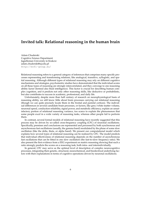# <span id="page-7-0"></span>**Invited talk: Relational reasoning in the human brain**

Adam Chuderski Cognitive Science Department Jagiellonian University in Krakow [adam.chuderski@uj.edu.pl](mailto:adam.chuderski@uj.edu.pl) <http://ecfi-group.eu/>

Relational reasoning refers to a general category of inferences that comprises many specific processes representing and transforming relations, like analogical, transitive, syllogistic, and spatial reasoning. Although different types of relational reasoning may rely on different cognitive mechanisms and strategies, psychometric studies have demonstrated that the individual scores on all these types of reasoning are strongly intercorrelated, and they converge to one reasoning ability factor (termed also fluid intelligence). This factor is crucial for describing human complex cognition, and it predicts not only other reasoning skills, like deductive or probabilistic, but also contributes to success in academic, professional, and daily life.

Unfortunately, despite more than half century of research on neurophysiological basis of reasoning ability, we still know little about brain processes carrying out relational reasoning (though we can quite precisely locate them in the frontal and parietal cortices). The individual differences in several candidate brain processes, or factors, like grey/white matter volume, neuronal speed, conduction reliability, signal power, and metabolic efficiency, explain an unsatisfactory portion of relational reasoning variance, too scarce to explain the phenomenon that some people excel in a wide variety of reasoning tasks, whereas other people fail to perform them.

In contrast, several formal models of relational reasoning have recently suggested that this process may be driven by so-called cross-frequency coupling (CFC) of neuronal oscillations. Specifically, premises and conclusions are represented and processed by both synchronous and asynchronous fast oscillations (usually, the gamma band) modulated by the phase of some slow oscillation (like the delta, theta, or alpha band). We present our computational model which explains how several types of relational reasoning can be realized by CFC. The model predicts that individual effectiveness of relational reasoning depends on the number of asynchronous fast oscillations that can be fitted in one slow oscillation (the fast-to-slow frequency ratio). We also present the first evidence from a EEG experiment on matrix reasoning showing that such a ratio strongly predicts the scores on a reasoning task, both intra- and interindividually.

In general, CFC may serve as the optimal level of description of complex neurocognitive processes, integrating their genetic, structural, neurochemical, and bioelectrical underlying factors with their explanations in terms of cognitive operations driven by neuronal oscillations.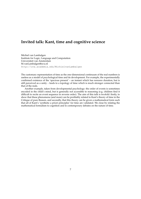# <span id="page-8-0"></span>**Invited talk: Kant, time and cognitive science**

Michiel van Lambalgen Institute for Logic, Language and Computation Universiteit van Amsterdam [M.vanLambalgen@uva.nl](mailto:M.vanLambalgen@uva.nl) <http://uva.academia.edu/MichielvanLambalgen>

The customary representation of time as the one-dimensional continuum of the real numbers is useless as a model of psychological time and its development. For example, the experimentally confirmed existence of the 'specious present' – an instant which has nonzero duration, but is still perceived as a unity – leads to a topology of time which is much stronger connected than that of the reals.

Another example, taken from developmental psychology: the order of events is sometimes encoded in the child's mind, but is generally not accessible to reasoning (e.g. children find it difficult to recite an event sequence in reverse order). The aim of this talk is twofold: firstly, to show that these phenomena (and more) can be profitably related to Kant's theory of time in the Critique of pure Reason, and secondly, that this theory can be given a mathematical form such that all of Kant's 'synthetic a priori principles' for time are validated. We close by relating the mathematical formalism to cognition and to contemporary debates on the nature of time.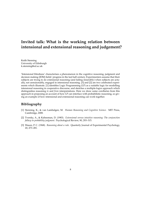# <span id="page-9-0"></span>**Invited talk: What is the working relation between intensional and extensional reasoning and judgement?**

Keith Stenning University of Edinburgh [k.stenning@ed.ac.uk](mailto:k.stenning@ed.ac.uk)

'Intensional blindness' characterises a phenomenon in the cognitive reasoning, judgment and decision making (JDM) fields' progress in the last half century. Experimenters assume that their subjects are trying to do extensional reasoning (and failing miserably) when subjects are actually, not unreasonably, engaged in intensional reasoning. [\[3\]](#page-9-1) and [\[2\]](#page-9-2) are two celebrated experiments which illustrate. [\[1\]](#page-9-3) identifies Logic Programming (LP) as a suitable logic for modelling intensional reasoning in cooperative discourse, and sketches a multiple-logics approach which distinguishes reasoning *to* and *from* interpretations. Here we draw some corollaries from this approach in proposing an account of how LP can interface with probabilistic reasoning, so giving an example of how intensional and extensional reasoning can work together.

- <span id="page-9-3"></span>[1] Stenning, K., & van Lambalgen, M. *Human Reasoning and Cognitive Science*. MIT Press, Cambridge, 2008.
- <span id="page-9-2"></span>[2] Tversky, A., & Kahneman, D. (1983). *Extensional versus intuitive reasoning: The conjunction fallacy in probability judgment.* Psychological Review, 90, 293–315.
- <span id="page-9-1"></span>[3] Wason, P. C. (1968). *Reasoning about a rule*. Quarterly Journal of Experimental Psychology, 20, 273–281.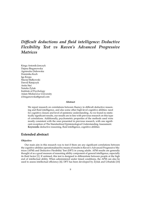# <span id="page-10-0"></span>*Difficult deductions and fluid intelligence: Deductive Flexibility Test vs Raven's Advanced Progressive Matrices*

Kinga Antonik-Jonczyk Dajana Bieganowska Agnieszka Dubowska Dominika Koch Iga Kropa Maciej Małkowski Dawid Ratajczyk Anita Steć Natalia Zyluk ˙ Institute of Psychology Adam Mickiewicz University [d.bieganowska@gmail.com](mailto:d.bieganowska@gmail.com)

#### **Abstract**

We report research on correlations between fluency in difficult deductive reasoning and fluid intelligence, and also some other high-level cognitive abilities: need for cognitive closure and level of epistemic understanding. As we found no statistically significant results, our results are in line with previous research on this type of correlations. Additionally, psychometric properties of the methods used were mostly consistent with the ones presented in previous research, with one significant exception of The Standardized Epistemological Understanding Assessment. **Keywords:** deductive reasoning, fluid intelligence, cognitive abilities

## **Extended abstract**

#### **Objective**

Our main aim in this research was to test if there are any significant correlations between the cognitive abilities operationalised by means of results in Raven's Advanced Progressive Matrices (APM) and Deductive Flexibility Test (DFT) in young adults. APM results are generally thought of as a good measure of reasoning ability component of general intelligence, especially its fluid factor [\[1\]](#page-11-0). If untimed, this test is designed to differentiate between people at the high end of intellectual ability. When administered under timed conditions, the APM can also be used to assess intellectual efficiency  $[6]$ . DFT has been developed by  $\ddot{Z}$ yluk and Urbański  $[10]$  $[10]$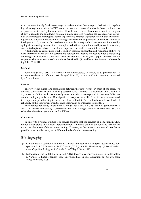to account empirically for different ways of understanding the concept of deduction in psychological vs logical traditions. In DFT items the task is to choose all and only these combinations of premises which justify the conclusion. Thus the correctness of solution is based not only on ability to identify the entailment relation, but also employs reflective self-regulation, in particular with respect to metalogical norms [\[7\]](#page-12-2). Previous research [\[9\]](#page-12-3) demonstrated, that fluid intelligence and fluency in deductive reasoning are correlated, as predicted by the CHC model of intelligence [\[2,](#page-11-1) **?**]; however, this holds only for simple, or easy, deductions, as operationalised by syllogistic reasoning. In case of more complex deductions, operationalised by erotetic reasoning and polisyllogisms, subjects educational experience needs to be taken into account.

Additionally, as correctness of DFT solution requires substantial self-regulative ability, we were interested also in possible correlations between DFT results and results in tools measuring other high-level cognitive constructs: need for cognitive closure (NFC, [\[4\]](#page-12-4); in our research we employed shortened version of the scale, as described in [\[3\]](#page-12-5)) and level of epistemic understanding (SEUA) [\[5,](#page-12-6) [11\]](#page-12-7).

#### **Method**

Four tests (APM, NFC, DFT, SEUA) were administered, in Polish, to 30 participants (18 women), students of different curricula aged 21 to 25, in two ca 45 min. sessions, separated by a 5 min. break.

#### **Results**

There were no significant correlations between the tests' results. In most of the cases, we obtained satisfactory reliability levels (assessed using Cronbach's *α* coefficient and Guttman's  $\lambda_2$ ). Also, reliability results were mostly consistent with those reported in previous Polish research employing tools used. One significant exception was SEUA, which was administered in a paper-and-pencil setting (as were the other methods). The results showed lower levels of reliability of this instrument than the ones obtained in an interview setting [\[11\]](#page-12-7).

The obtained reliability levels were:  $\lambda_2 = 0.808$  for APM,  $\alpha = 0.662$  for NFC (between 0.613 and 0.754 for test's subscales),  $\lambda_2 = 0.804$  for DFT and *α* ranged from 0.428 to 0.670 for SEUA's subscales (there is no general score for SEUA).

#### **Conclusion**

In line with previous studies, our results confirm that the concept of deduction in CHC model, which stems in fact from logical tradition, is not fine-grained enough as to account for many manifestations of deductive reasoning. However, further research are needed in order to provide more detailed analysis of different kinds of deductive reasoning.

- <span id="page-11-0"></span>[1] C. Blair. Fluid Cognitive Abilities and General Intelligence: A Life-Span Neuroscience Perspective. In R. M. Lerner and W. F. Overton, W. F. (eds.), *The Handbook of Life-Span Development. Cognition, Biology, and Methods*, John Wiley & Sons, 2010.
- <span id="page-11-1"></span>[2] D. Flanagan. The Cattell-Horn-Carroll (CHC) theory of cognitive abilities. In C. Reynolds, K. Vannest, E. Fletcher-Janzen (eds.), Encyclopedia of Special Education, pp. 368–386, John Wiley and Sons, 2008.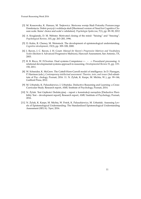- <span id="page-12-5"></span>[3] M. Kossowska, K. Hanusz, M. Trejtowicz. Skrócona wersja Skali Potrzeby Poznawczego Domknięcia. Dobór pozycji i walidacja skali [Shortened version of Need for Cognitive Closure scale. Items' choice and scale's validation]. *Psychologia Społeczna*, 7(1), pp. 89–90, 2012
- <span id="page-12-4"></span>[4] A. Kruglanski, D. M. Webster. Motivated closing of the mind: "Seizing" and "freezing". *Psychological Review*, 103, pp. 263–283, 1996.
- <span id="page-12-6"></span>[5] D. Kuhn, R. Cheney, M. Weinstock. The development of epistemological understanding. *Cognitive development*, 15(3), pp. 309–328, 2000.
- <span id="page-12-0"></span>[6] J. Raven, J. C. Raven, J. H. Court. *Manual for Raven's Progressive Matrices and Vocabulary Scales* (Section 4: Advanced Progressive Matrices), Harcourt Assessment, San Antonio, TX, 2003.
- <span id="page-12-2"></span>[7] R. B. Ricco, W. F.Overton. Dual systems Competence  $\leftarrow - \rightarrow$  Procedural processing: A relational developmental systems approach to reasoning. *Developmental Review* 31, pp. 119– 150, 2011.
- [8] W. Schneider, K. McGrew. The Cattell-Horn-Carroll model of intelligence. In D. Flanagan, P. Harrison (eds.), *Contemporary intellectual assessment: Theories, tests, and issues* (3rd ednstitute of Psy- chology, Poznań, 2016. 11. N. Żyluk, K. Karpe, M. Michta, W..), pp. 99–144, Guilford Press, 2012.
- <span id="page-12-3"></span>[9] M. Urbański, K. Paluszkiewicz, J. Urbańska. Deductive Reasoning and Learning: a Cross-Curricular Study. Research report, AMU Institute of Psychology, Poznań, 2014.
- <span id="page-12-1"></span>[10] N. Żyluk. Test Gietkości Dedukcyjnej – raport z konstrukcji narzędzia [Deductive Flexibility Test – development report], Research report, AMU Institute of Psychology, Poznań, 2016.
- <span id="page-12-7"></span>[11] N. Żyluk, K. Karpe, M. Michta, W. Potok, K. Paluszkiewicz, M. Urbański. Assessing Levels of Epistemological Understanding: The Standardized Epistemological Understanding Assessment (SEUA). *Topoi*, 2016.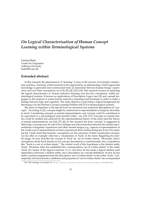# <span id="page-13-0"></span>*On Logical Characterisation of Human Concept Learning within Terminological Systems*

Farshad Badie Center for Linguistics Aalborg University <badie@id.aau.dk>

### **Extended abstract**

In this research the phenomenon of 'learning' is seen as the process of [concept] construction, and thus, 'learning' will be assumed to be supported by an epistemology which argues that knowledge is generated (and constructed) from an interaction between human beings' experiences and over their conceptions, see [\[13\]](#page-15-0), [\[5\]](#page-15-1), [\[4\]](#page-15-2), [\[15\]](#page-15-3), [\[14\]](#page-15-4). This research focuses on analysing the logical characteristics of 'human inductive learning over her/his conceptions' within terminological systems. It focuses on applications of Description Logics (see [\[1\]](#page-14-0)) and concept languages to the analysis of actual human inductive reasoning (and learning) in order to make a linkage between logic and cognition. The main objective is providing a logical background for theorising over the Human Concept Learning Problem (HCLP) in terminological systems.

My point of departure is the special focus on structural and analytical descriptions of 'concepts'. According to [\[2\]](#page-14-1), concepts might be understood as representations of [aspects of] reality in mind. Considering concepts as mental representations, any concept could be considered to be equivalent to a psychological (and mental) entity<sup>[1](#page-13-1)</sup>, see [\[12\]](#page-15-5), [\[17\]](#page-15-6). Concepts as mental entities could be studied and analysed by the representational theory of the mind (and the theory of mental representation), see [\[16\]](#page-15-7), [\[7\]](#page-15-8), [\[8\]](#page-15-9). In this research the term 'concept' is suggested as following: a concept may be said to be a linkage and interconnection between the mental representations of linguistic expressions and other mental images (e.g., aspects of representations of the world, and of representations of inner experiences) that a human being has in her/his mind, see [\[6\]](#page-15-10). I shall claim that humans' conceptions are the outcomes of their constructed concepts. Let me offer an example: John has a visualisation of 'book' in his mind. Regarding his mental image, he may describe the concept of 'book' by 'set of written sheets'. Obviously, John's conceptions about book (based on his concept description) is transformable into a hypothesis like "book is a set of written sheets". The central word of this hypothesis is the distinct entity 'book'. Therefore, John has established the correspondence 'set of written sheets' to the entity 'book' (by means of the logical connector 'is a'), and thus, he has made a logical relation (and dependency) between a distinct entity and a description (or concept definition). In fact, he has made a mental assignment from the description 'set of written sheets' to the entity 'book'. Consequently, all characteristics, attributes and properties of 'set of written sheets' are corresponded

<span id="page-13-1"></span><sup>1</sup>See 'The ontology of concepts' in: <http://plato.stanford.edu/entries/concepts/#ConMenRep>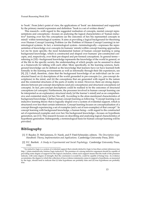to 'book'. From John's point of view, the applications of 'book' are determined and supported by the primary mental expression and definition "book is a set of written sheets".

This research—with regard to the suggested realisation of concepts, mental concept representations and conceptions—focuses on analysing the logical characteristics of 'human inductive[2](#page-14-2) learning over her/his conceptions (as the outcomes of her/his represented concepts in mind)' within terminological systems. It aims at providing a logical background for theorising over Human Concept Learning Problem (or the Problem of Human Concept Learning) in terminological systems. In fact, a terminological system—terminologically—expresses the representation of knowledge over concepts (in humans' minds) within concept learning approaches. Let me be more specific; the most fundamental feature of human concept learning is using background knowledge, which is constructed and shaped over humans' pre-constructed concepts, and, respectively, over their pre-shaped and pre-formed conceptions. In general terms referring to [\[10\]](#page-15-11)—background knowledge represents the knowledge of the world in general, or of the life in the specific society, the understanding of which people can be assumed to share as a framework for talking with each other. More specifically, in the learning sciences, background knowledge can be defined as the knowledge that learners have (or have learned) both formally in the learning environments as well as informally through their life experiences, see [\[9\]](#page-15-12), [\[3\]](#page-15-13). I shall, therefore, claim that the background knowledge of an individual can be constructed based on (i) descriptions of the world grounded in pre-concepts (i.e., pre-concept descriptions) in the mind, and (ii) the conceptions that are generated with regard to the nature and the existential structures of the parts of reality in mind. However, there are strong dependencies between pre-concept descriptions (and pre-conceptions) and structural conceptions (of concepts). In fact, pre-concept descriptions could be realised to be the outcomes of structural conceptions (of concepts). Furthermore, the processes involved in human concept learning can be interpreted as an explanatory structural study [of the learner's mind] and as an comprehensive and existential study [of her/his self]. According to the afore-mentioned characteristics of background knowledge, I define human concept learning as following: "Concept learning is an inductive learning theory that is logically shaped over a system of evidential support, which is structured over less-than-certain inferences. Concept learning focuses on conceptualisation of a concept through experiencing a set of examples (and a set of non-examples) of that concept". In concept learning with background knowledge, a human being—with regard to the constructed set of experienced examples and over her/his background knowledge—focuses on hypothesis generation, see [\[11\]](#page-15-14). This research focuses on describing and analysing logical characteristics of hypothesis generation. Subsequently, a terminological basis for human concept learning will be provided.

- <span id="page-14-0"></span>[1] F. Baader, D. McGuinness, D. Nardi, and P. Patel-Schneider, editors. *The Description Logic Handbook: Theory, Implementation and Applications*. Cambridge University Press, 2010.
- <span id="page-14-1"></span>[2] F.C. Bartlett. *A Study in Experimental and Social Psychology*. Cambridge University Press, 1932.

<span id="page-14-2"></span><sup>&</sup>lt;sup>2</sup>An inductive logic is a system of evidential support that extends deductive logic to less-than-certain inferences (see http://plato.stanford.edu/entries/logic-inductive). The premises of a strong inductive argument should be capable of providing some degree of support for the logical conclusion, where such support means that the truth of the premises indicate, with some degree of strength, that the conclusion is (could be, could be capable of being) true. As evidence accumulates, the degree to which the collection of true evidence statements comes to support a hypothesis, as measured by the logic, should tend to indicate that (i) false hypotheses are probably false and (ii) true hypotheses are probably true.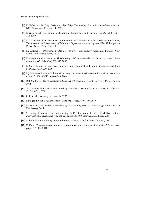- <span id="page-15-13"></span>[3] D. Fisher and N. Frey. *Background knowledge: The missing piece of the comprehension puzzle*. NH:Heinemann, Portsmouth, 2009.
- <span id="page-15-2"></span>[4] E. Glasersfeld. Cognition, construction of knowledge, and teaching. *Synthese*, 80(1):121– 140, 1989.
- <span id="page-15-1"></span>[5] E. Glasersfeld. Constructivism in education. In T. Husen and T. N. Postlethwaite, editors, *The International Encyclopaedia of Education. Suplement*, volume 1, pages 162–162. Pergamon Press, Oxford/New York, 1989.
- <span id="page-15-10"></span>[6] H. Götzsche. *Deviational Syntactic Structures*. Bloomsbury Academic, London/New Delhi/New York/Sydney, 2013.
- <span id="page-15-8"></span>[7] E. Margolis and S. Laurence. The Ontology of Concepts—Abstract Objects or Mental Representations? *Noûs*, 41(4):561–593, 2007.
- <span id="page-15-9"></span>[8] E. Margolis and S. Laurence. Concepts and theoretical unification. *Behavioral and Brain Sciences*, 33:219–220, 2010.
- <span id="page-15-12"></span>[9] R.J. Marzano. *Building background knowledge for academic achievement: Research on what works in schools*. VA: ASCD, Alexandria, 2004.
- <span id="page-15-11"></span>[10] P.H. Matthews. *The concise Oxford dictionary of linguistics*. Oxford University Press, Oxford, 2014.
- <span id="page-15-14"></span>[11] W.C. Parker. Pluto's demotion and deep conceptual learning in social studies. *Social Studies Review*, 47(2), 2008.
- <span id="page-15-5"></span>[12] C. Peacocke. A study of concepts. 1992.
- <span id="page-15-0"></span>[13] J. Piaget. *Six Psychological Studies*. Random House, New York, 1967.
- <span id="page-15-4"></span>[14] K. Sawyer. *The Cambridge Handbook of The Learning Sciences*. Cambridge Handbooks in Psychology, 2014.
- <span id="page-15-3"></span>[15] S. Sjoberg. Constructivism and learning. In P. Peterson and B. Baker, E. McGaw, editors, *International Encyclopaedia of Education*, pages 485–490. Elsevier, 3rd edition, 2007.
- <span id="page-15-7"></span>[16] S. Stich. What is a theory of mental representation? *Mind*, 101(402):243–261, 1992.
- <span id="page-15-6"></span>[17] E. Zalta. Fregean senses, modes of presentation, and concepts. *Philosophical Perspectives*, pages 335–359, 2001.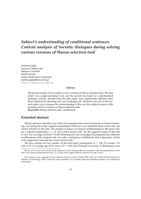# <span id="page-16-0"></span>*Subject's understanding of conditional sentences. Content analysis of Socratic dialogues during solving various versions of Wason selection task*[\\*](#page-0-0)

Andrzej Gajda Szymon Chlebowski Mariusz Urbański Emilia Soroko Adam Mickiewicz University [andrzej.gajda@amu.edu.pl](mailto:andrzej.gajda@amu.edu.pl) <http://reasoning.edu.pl>

#### **Abstract**

We present results of two studies on five versions of Wason selection task. The first study was a paper-and-pencil one, and the second was based on a standardized dialogue scenario. Results from the first study were significantly different from those obtained by Stenning and van Lambalgen [\[5\]](#page-18-0). Therefore, the aim of the second study was to deepen the understanding of the way the subjects reason while puzzling out five versions of Wason selection task. **Keywords:** Wason selection task, conditionals

### **Extended abstract**

Wason selection task [\[6\]](#page-18-1) is one of the most popular tools used in research on human reasoning. According the to the original interpretation (Wason's own included) there exists only one correct solution to the task. The solution is based on classical understanding of the given rule (as a material implication  $p \to q$ ). The correct answer rate<sup>[1](#page-16-1)</sup> for the original version of the task is very low (average is about 5 %) [\[5\]](#page-18-0). Stenning and van Lambalgen [\[5\]](#page-18-0) proposed four different modifications of the original task: two-rule, contingency, truthfulness and conjunction, which were supposed to increase the correct answer rate.

We have carried out two studies. In the first study participants ( $N = 158$ ; 35 women, 119 men, 4 N/A; average age 20.03 years, *SD* = 0.62) from Poznań University of Technology were

<span id="page-16-1"></span><sup>1</sup>By the *correct answer rate* we mean the frequency of the solutions that are consistent with the interpretation of the task in the classical propositional logic, i.e. in case of the original task the selection of cards A and 7.

<sup>\*</sup>Our research were supported by the National Science Centre, Poland (DEC-2013/10/E/HS1/00172) and by the Institute of Psychology AMU Grant for young scientists "Czy myślimy logicznie? Replikacja badań van Lambalgena i Stenninga".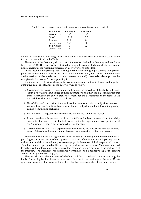| <b>Version of</b> | Our study          | S. & van L.       |
|-------------------|--------------------|-------------------|
| Wason task        | $\lceil \% \rceil$ | $\lceil\% \rceil$ |
| Classic           | 12.12              | 3.7               |
| Two-Rule          | 8.82               | 24                |
| Contingency       | 3.23               | 18                |
| Truthfulness      | 6                  | 13                |
| Conjunction       | 25                 | 13                |

<span id="page-17-0"></span>Table 1: Correct answer rate for different versions of Wason selection task

divided in five groups and assigned one version of Wason selection task each. Results of the first study are depicted in the Table [1.](#page-17-0)

The results of the first study do not match the results obtained by Stenning and van Lambalgen [\[5,](#page-18-0) p. 109]. Therefore we have decided to design the second study in order to deepen our understanding of the reasoning processes in all five versions of the task.

In the second study participants  $(N = 60)$  were divided into groups: subjects who participated in a course of logic ( $N = 30$ ) and those who did not ( $N = 30$ ). Each group divided further on five versions of Wason selection task with two conditions: (1) presented cards supporting the rule given in the task vs (2) not supporting it.

Semi-structured interview (dialogue between experimenter and subject) was used to gather qualitative data. The structure of the interview was as follows:

- 1. *Preliminary conversation* experimenter introduces the procedure of the study to the subject in two ways: the subject reads those informations and then the experimenter repeats them. Afterwards, the subject signs the consent for the participation in the research. At the end the task is presented to the subject.
- 2. *Hypothetical part* experimenter lays down four cards and asks the subject for an answer with explanation. Additionally, experimenter asks subject about the information possibly gained from turning each card.
- 3. *Practical part* subject turns selected cards and is asked about the answer.
- 4. *Revision* the cards are removed from the table and subject is asked about the falsity criteria for the rule given in the task. Afterwards, the experimenter asks participant if she/he wants to change the previous choice of the cards.
- 5. *Classical interpretation* the experimenter introduces to the subject the classical interpretation of the rule and asks about the choice of cards according to this interpretation.

The interviewers were the cognitive science students (2 persons), who were trained in applied logics and were aware of such processes as their influence on research participants as well as other social and emotional processes engaged in the course of the interpersonal contact. Therefore they were prepared not to interrupt the performance of the tasks. Moreover they used to make a verbal intervention only to move the reasoning forward or to reach the next stage of the interview. The interview was transcribed verbatim [\[4\]](#page-18-2) and a deductive (*top-down*) content analysis was applied (see e.g. [\[2,](#page-18-3) [3\]](#page-18-4)).

The second study (the outcomes of which are still being analysed) aims at revealing the kinds of reasoning behind the subject's answers. In order to realize this goal, the set of 27 categories of reasoning, that were justified theoretically, were established first. Categories were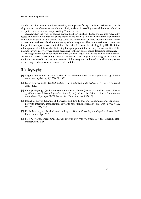divided into five groups: rule interpretation, assumptions, falsity criteria, experimenter role, dialogue structure. Categories were hierarchically ordered in a coding manual that was refined in a repetitive and recursive sample coding (3 interviews).

Second, when the work on coding manual has been finished (the tag system was repeatedly tested and covered the data in a sufficient way), the analysis with the use of three well-trained competent judges was performed. They coded the interview in order to identify different kinds of reasoning and to establish the frequency of the categories. The coders task was to interpret the participants speech as a manifestation of a distinctive reasoning strategy (e.g. [\[1\]](#page-18-5)). The interrater agreement will be established using the appropriate inter-rater agreement coefficient. Finally, the every interview was coded according to the set of categories describing reasoning.

The tag system developed from the analysis of dialogues will be helpful in formal reconstruction of subject's reasoning patterns. The reason is that tags in the dialogues enable us to track the process of fixing the interpretation of the rule given in the task as well as the process of inferring conclusions from assumed interpretation.

- <span id="page-18-5"></span>[1] Virginia Braun and Victoria Clarke. Using thematic analysis in psychology. *Qualitative research in psychology*, 3(2):77–101, 2006.
- <span id="page-18-3"></span>[2] Klaus Krippendorff. *Content analysis: An introduction to its methodology*. Sage, Thousand Oaks, 2012.
- <span id="page-18-4"></span>[3] Philipp Mayring. Qualitative content analysis. *Forum Qualitative Sozialforschung / Forum: Qualitative Social Research [On-line Journal]*, 1(2), 2000. Available at: http://qualitativeresearch.net/fqs/fqs-e/2-00inhalt-e.htm [Date of access: 05.2016].
- <span id="page-18-2"></span>[4] Daniel G. Oliver, Julianne M. Serovich, and Tina L. Mason. Constraints and opportunities with interview transcription: Towards reflection in qualitative research. *Social forces*, 84(2):1273–1289, 2005.
- <span id="page-18-0"></span>[5] Keith Stenning and Michiel van Lambalgen. *Human Reasoning and Cognitive Science*. MIT Press, Cambridge, 2008.
- <span id="page-18-1"></span>[6] Peter C. Wason. Reasoning. In *New horizons in psychology*, pages 135–151. Penguin, Harmondsworth, 1966.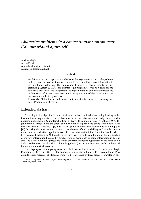# <span id="page-19-0"></span>*Abductive problems in a connectionist environment. Computational approach*[\\*](#page-0-0)

Andrzej Gajda Adam Kup´s Adam Mickiewicz University [andrzej.gajda@amu.edu.pl](mailto:andrzej.gajda@amu.edu.pl)

#### **Abstract**

We define an abductive procedure which enables to generate abductive hypotheses in the general form of addition to, removal from or modification of information in the initial knowledge base. The Connectionist Inductive Learning and Logic Programming System (*C*-*IL*2*P*) for definite logic programs serves as a basis for the abductive procedure. We also present the implementation of the whole procedure in Framstics software system along with the application of the abductive procedure over few selected problems.

**Keywords:** Abduction, neural networks, Connectionist Inductive Learning and Logic Programming System

### **Extended abstract**

According to the algorithmic point of view abduction is a kind of reasoning leading to the formulation of hypothesis *H* which allows to *fill the gap* between a knowledge base Γ and a puzzling phenomenon *φ*, unattainable from Γ [\[12,](#page-21-0) [7\]](#page-21-1). To be more precise, hypothesis *H* "is legitimately dischargeable to the extent to which it makes it possible to prove (or compute) from it as it is currently structured" [\[3,](#page-21-2) p. 88]. Such approach to the abduction can be found in [\[9\]](#page-21-3) or [\[13\]](#page-21-4). In a slightly more general approach than the one offered by Gabbay and Woods one can understand an abductive hypothesis as a difference between the initial  $\Gamma$  and the final  $\Gamma'$ , where Γ 0 represents Γ *modified* by *H*. It could be the case that Γ 0 results from Γ not only by just *addition* of the new information but also by *removal* from or *modification* of some information in Γ. Our aim is to define abductive procedure which generate abductive hypotheses in the form of the difference between initial and final knowledge base (the term 'difference' can be understood here as a symmetric difference).

For this purpose we are going to use modified Connectionist Inductive Learning and Logic Programming System C-*IL*<sup>2</sup>*P* [\[4\]](#page-21-5) for definite logic programs. It allows to represent Γ and Γ' as definite logic programs. The transfer from Γ to Γ' is obtained by three steps: (1) translation of Γ

<sup>\*</sup>Research reported in this paper were supported by the National Science Centre, Poland (DEC-2013/10/E/HS1/00172).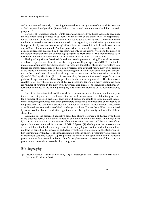and  $\phi$  into a neural network; (2) learning the neural network by means of the modified version of Backpropagation algorithm; (3) translation of the trained neural network back into the logic program Γ<sup>*Γ*.</sup>

Garcez et al. [\[5\]](#page-21-6) already used *C*-*IL*2*P* to generate abductive hypotheses. Generally speaking, the two approaches presented in [\[5\]](#page-21-6) focus on the search of the atoms that are 'responsible' for the activation of the atoms described as abductive goals. Our approach differs from those methods in several ways. As it was mentioned at the beginning, our abductive hypotheses can be represented by *removal* from or *modification* of information contained in Γ on the contrary to only *addition* of information to Γ. Another point is that the abductive hypotheses and abductive goals in approaches described in [\[5\]](#page-21-6) are restricted only to the atoms. We extend the notion of the logical consequence of the definite logic program by Horn clauses. This move enables us to formulate abductive hypotheses and goals in the form of the Horn clauses as well.

The logical algorithms described above have been implemented using Framsticks software, a tool used to perform artificial life, but also computational logic experiments [\[10,](#page-21-7) [9\]](#page-21-3). The implementation encompasses the whole abductive procedure: translation of abductive problems into logical programs, translation of the logical programs into artificial neural networks, training of the artificial networks with examples containing information about abductive goal, translation of the trained networks into logical programs and reduction of the obtained programs by Quine-McCluskey algorithm [\[8,](#page-21-8) [11\]](#page-21-9). Apart from that, the general framework to perform computational experiments on abductive problems has been also implemented. This framework enables to test how the results of the abductive procedure depend on many parameters such as: number of neurons in the networks, thresholds and biases of the neurons, additional information contained in the training examples, particular characteristics of abductive problems, etc.

One of the important tasks of this work is to present results of the computational experiments concerning abductive problems. First, we will present results of abductive procedure for a number of selected problems. Then we will discuss the results of computational experiments concerning influence of selected parameters of networks and problems on the results of the procedure. The parameters selected are: number of additional hidden neurons, thresholds of additional neurons and size of the knowledge data base. The results will be characterized by features of the obtained abductive hypotheses, but also by the quality and stability of these abducibles.

Summing up, the presented abductive procedure allows to generate abductive hypotheses in the extended form, i.e. not only as addition of the information to the initial knowledge base Γ, but also as the removal or modification of the information contained in Γ. For the basis of our approach we used the modified version of *C*-*IL*2*P* System [\[4\]](#page-21-5) which grants the representation of the initial and the final knowledge bases in the purely logical fashion, and in the same time it allows to benefit in the process of abductive hypotheses generation form the Backpropagation learning algorithm [\[2,](#page-21-10) [6\]](#page-21-11). The implementation of the abductive procedure was carried out in Framsticks software system [\[10\]](#page-21-7). We present the results of the application of the abductive procedure over few selected problems. Our future plans cover the extension of the abductive procedure for general and extended logic programs.

# **Bibliography**

[1] Atocha Aliseda. *Abductive Reasoning. Logical Investigations into Discovery and Explanation*. Springer, Dordrecht, 2006.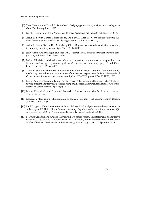- <span id="page-21-10"></span>[2] Yves Chauvin and David E. Rumelhart. *Backpropagation: theory, architectures, and applications*. Psychology Press, 1995.
- <span id="page-21-2"></span>[3] Dov M. Gabbay and John Woods. *The Reach of Abduction. Insight and Trial*. Elsevier, 2005.
- <span id="page-21-5"></span>[4] Artur S. d'Avila Garcez, Krysia Broda, and Dov M. Gabbay. *Neural-symbolic learning systems: foundations and applications*. Springer Science & Business Media, 2002.
- <span id="page-21-6"></span>[5] Artur S. d'Avila Garcez, Dov M. Gabbay, Oliver Ray, and John Woods. Abductive reasoning in neural-symbolic systems. *Topoi*, 26(1):37–49, 2007.
- <span id="page-21-11"></span>[6] John Hertz, Anders Krogh, and Richard G. Palmer. *Introduction to the theory of neural computation*, volume 1. Basic Books, 1991.
- <span id="page-21-1"></span>[7] Jaakko Hintikka. Abduction — inference, conjecture, or an answer to a question? In *Socratic Epistemology. Explorations of Knowledge-Seeking by Questioning*, pages 38–60. Cambridge University Press, 2007.
- <span id="page-21-8"></span>[8] Tarun K. Jain, Dharmender S. Kushwaha, and Arun K. Misra. Optimization of the quinemccluskey method for the minimization of the boolean expressions. In *Fourth International Conference on Autonomic and Autonomous Systems (ICAS'08)*, pages 165–168. IEEE, 2008.
- <span id="page-21-3"></span>[9] Maciej Komosinski, Adam Kups, Dorota Leszczyńska-Jasion, and Mariusz Urbański. Identifying efficient abductive hypotheses using multi-criteria dominance relation. *ACM Transactions on Computational Logic*, 15(4), 2014.
- <span id="page-21-7"></span>[10] Maciej Komosinski and Szymon Ulatowski. Framsticks web site, 2016. [http://www.](http://www.framsticks.com) [framsticks.com](http://www.framsticks.com).
- <span id="page-21-9"></span>[11] Edward J. McCluskey. Minimization of boolean functions. *Bell system technical Journal*, 35(6):1417–1444, 1956.
- <span id="page-21-0"></span>[12] Paul Thagard. Abductive inference: From philosophical analysis to neural mechanisms. In A. Feeney and E. Heit, editors, *Inductive reasoning: Cognitive, mathematical, and neuroscientific approaches*, pages 226–247. Cambridge University Press, Cambridge, 2007.
- <span id="page-21-4"></span>[13] Mariusz Urbański and Andrzej Wiśniewski. On search for law-like statements as abductive hypotheses by socratic transformations. In C. Baskent, editor, *Perspectives on Interrogative Models of Inquiry. Developments in Inquiry and Questions*, pages 111–127. Springer, 2016.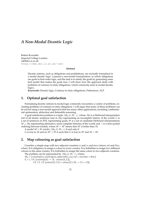# <span id="page-22-0"></span>*A Non-Modal Deontic Logic*

Robert Kowalski Imperial College London [rak@doc.ic.ac.uk](mailto:rak@doc.ic.ac.uk) <https://www.doc.ic.ac.uk/~rak/>

#### **Abstract**

Deontic notions, such as obligations and prohibitions, are normally formalised in a modal deontic logic. I present a non-modal formalisation, in which obligations are goals in first-order logic, and the task is to satisfy the goals by generating some best model that makes the goals true. I will show how the approach deals with problems of contrary-to-duty obligations, which commonly arise in modal deontic logics.

**Keywords:** Deontic logic, Contrary-to-duty obligations, Preferences, ALP

### **1. Optimal goal satisfaction**

Formalising deontic notions in modal logic commonly encounters a variety of problems, including problems of contrary-to-duty obligations. I will argue that many of these problems can be solved using a non-modal approach that has many other applications, including combinatorial optimsation, abduction and defeasible reasoning.

A goal satisfaction problem is a tuple  $\langle M_0, G, W, \prec \rangle$ , where:  $M_0$  is a Herbrand interpretation (set of all atomic sentences true in *M*0) representing an incomplete history of the world; *G* is a set of sentences in FOL representing goals; *W* is a set of candidate Herbrand interpretations *M* ⊃ *M*<sub>0</sub> representing alternative, more complete histories of the world; and  $\prec$  is a strict partial ordering between models, where  $M \prec M'$  means that  $M'$  is better than  $M$ .

A model *M* ∈ *W satisfies*  $\langle M_0, G, W, \prec \rangle$  if and only if

*G* is true in *M* and no  $M' \in W$  is such that *G* is true in  $M'$  and  $M \prec M'$ .

# **2. Map colouring as goal satisfaction**

Consider a simple map with two adjacent countries *iz* and *oz* and two colours *red* and *blue*, where: It is obligatory to assign a colour to every country. It is forbidden to assign two different colours to the same country. It is forbidden to assign the same colour to two adjacent countries.

The problem can be represented by  $\langle M_0, G, W, \prec \rangle$ , where:  $M_0 = \{country(iz), country(oz), adjacent(iz),oz)\}$ ,  $red = red, blue = blue\}$ 

 $G = \{ \forall X \; [ country(X) \rightarrow \exists C \; colour(X, C)],$ 

∀*X C*1 *C*2 [*colour*(*X*, *C*1) ∧ *colour*(*X*, *C*2) → *C*1 = *C*2],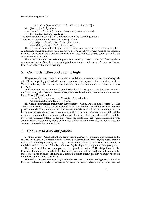∀*X Y C* ¬ [*adjacent*(*X*, *Y*) ∧ *colour*(*X*, *C*) ∧ *colour*(*Y*, *C*)] } *W* =  ${M_0 \cup \Delta | \Delta ⊆ A}$ , where *A* = {*colour*(*iz*,*red*), *colour*(*iz*, *blue*), *colour*(*oz*,*red*), *colour*(*oz*, *blue*)}

 $\prec$  = {}, i.e. all models are equally good.

The atomic sentences *colour*(*X*, *Y*) can be understood as describing actions. There are exactly two models that satisfy the problem:

 $M_1 = M_0 \cup \{colour(iz, red), colour(oz, blue)\}$  and

 $M_2 = M_0 \cup \{colour(iz, blue), colour(oz, red)\}.$ 

The problem is more interesting if there are more countries and more colours, say three countries *iz*, *oz* and *az* and three colours, *red* and *blue* and *yellow*, where *iz* and *oz* are adjacent, *oz* and *az* are adjacent, but *iz* and *az* are not. Suppose also that it is better to colour the map with as few colours as possible.

There are 12 models that make the goals true, but only 6 best models. But if we decide to colour *iz red* and *oz blue*, then we are obligated to colour *az red*, because *colour*(*az*,*red*) is now true in the only best model remaining.

### **3. Goal satisfaction and deontic logic**

The goal satisfaction approach can be viewed as defining a weak modal logic, in which goals *p* in FOL are implicitly prefixed with a modal operator, **O** *p*, expressing that *p* must be satisfied. Viewed in this way, there are no nested modalities, and there are no mixed sentences, such as  $p \rightarrow \mathbf{O}$  *a*.

In deontic logic, the main focus is on inferring logical consequences. But, in this approach, the focus is on goal satisfaction. Nonetheless, it is possible to build upon the non-modal deontic logic of Horty [\[5\]](#page-24-0), and define:

**O** *p* is a *logical consequence* of  $\langle M_0, G, W, \prec \rangle$  if and only if

*p* is true in all best models  $M \in W$  of *G*.

There is an obvious relationship with the possible world semantics of modal logics. *W* is like a frame of possible worlds. The extension of  $M_0$  to  $M$  is like the accessibility relation between possible worlds. The preference relation between models in *W* is like the preference relation in preference-based deontic logics, such as [\[4\]](#page-24-1) and [\[9\]](#page-24-2). However, whereas [\[4\]](#page-24-1) and [\[9\]](#page-24-2) build the preference relation into the semantics of the modal logic, here the logic is classical FOL, and the preference relation is external to the logic. Moreover, while in modal logics actions and events are normally represented by labels on the accessibility relation, here they are represented by atomic sentences in the models in *W*.

### **4. Contrary-to-duty obligations**

Contrary-to-duty (CTD) obligations arise when a primary obligation  $\bf{O}$  *p* is violated and a secondary obligation **O** *q* comes into force. In the goal satisfaction approach, this means that the real goal is  $p \vee q$  (equivalently  $\neg p \rightarrow q$ ), and that models in which p is true are preferable to models in which *q* is true. With this preference, **O** *p* is a logical consequence of the goal  $p \vee q$ .

The most well-known example of the problems with CTD obligations is the Chisholm Paradox [\[2\]](#page-24-3): It ought to be that Jones goes to assist his neighbours. It ought to be that if Jones goes, then he tells them he is coming. If Jones doesn't go, then he ought not to tell them he is coming. Jones doesn't go.

Much of the discussion concerning the Paradox concerns conditional obligations of the kind involved in the second and third sentences. For example, the second sentence can be represented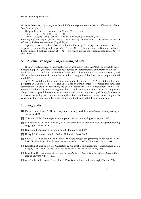Poznań Reasoning Week 2016

either as  $\mathbf{O}$  (*go*  $\rightarrow$  *tell*) or as *go*  $\rightarrow$  **O** *tell*. Different representations lead to different problems. See, for example, [\[1\]](#page-24-4).

The problem can be represented by  $\langle M_0, G, W, \prec \rangle$ , where:

 $M_0 = \{\}, G = \{go \rightarrow tell, \neg go \rightarrow \neg tell\}$ 

 $W = \{\{\}, \{go\}, \{tel\}, \{go, tell\}\}\$  and  $M \prec M'$  if  $go \notin M$  and  $go \in M'.$ 

Both  $M_1 = \{\}$  and  $M_2 = \{go, tell\}$  make G true. But  $M_2$  is better than  $M_1$ . So both **O** *go* and **O** *tell* are logical consequences of  $\langle M_0, G, W, \prec \rangle$ .

Suppose, however, that we observe that Jones doesn't go. Treating observations abductively as goals, we update the problem to  $\langle M_0, G \cup \neg go, W, \prec \rangle$ . The only (and best) model that satisfies the updated problem is now  $M_1 = M_0 = \{\}$ , which implies the logical consequences **O**  $\neg go$ and **O** ¬*tell*.

# **5. Abductive logic programming (ALP)**

The non-modal approach sketched here is an abstraction of the ALP [\[6,](#page-24-5) [8\]](#page-24-6) approach to deontic logic in [\[7\]](#page-24-7). In [\[7\]](#page-24-7), models are inductively defined by logic programs of the form *conclusion* ← *condition*<sup>0</sup> ∧ . . . ∧ *conditionn*, where *conclusion* and each *condition<sup>i</sup>* is an atomic formula, and all variables are universally quantified. Any logic program of this form has a unique minimal model [\[3\]](#page-24-8).

In [\[7\]](#page-24-7),  $M_0$  is defined by a logic program *P*, and the models  $M ∈ W$  are defined by logic programs  $P \cup \Delta$  where  $\Delta \subseteq A$ , and A is a set of atomic sentences representing candidate assumptions. In ordinary abduction, the goals *G* represent a set of observations, and *A* represents hypothetical events that might explain *G*. In deontic applications, the goals *G* represent obligations and prohibitions, and *A* represents actions that might satisfy *G*. In applications to defeasible reasoning, *A* represents assumptions that conditions are normal, and *G* represents constraints that ensure conditions are not assumed to be normal if they are abnormal.

- <span id="page-24-4"></span>[1] Carmo, J. and Jones, A. Deontic logic and contrary-to-duties. *Handbook of philosophical logic*. Springer, 2002.
- <span id="page-24-3"></span>[2] Chisholm, R. M. Contrary-to-duty imperatives and deontic logics. *Analysis.* 1963.
- <span id="page-24-8"></span>[3] van Emden, M. H. and Kowalski, R. A. The semantics of predicate logic as a programming language. *JACM*, 1976.
- <span id="page-24-1"></span>[4] Hansson, B. An analysis of some deontic logics. *Nous*, 1969.
- <span id="page-24-0"></span>[5] Horty, J.F. *Reasons as defaults.* Oxford University Press, 2012.
- <span id="page-24-5"></span>[6] Kakas, A. C., Kowalski, R. and Toni, F. The Role of logic programming in abduction. *Handbook of logic in artificial intelligence and programming, 5.* Oxford University Press, 1998.
- <span id="page-24-7"></span>[7] Kowalski, R. and Satoh, K. Obligation as Optimal Goal Satisfaction. Unpublished draft, <http://www.doc.ic.ac.uk/~rak/papers/Obligations.pdf>, 2016.
- <span id="page-24-6"></span>[8] Kowalski, R. *Computational logic and human thinking – how to be artificially intelligent.* Cambridge University Press, 2011.
- <span id="page-24-2"></span>[9] van Benthem, J., Grossi, D. and Liu, F. Priority structures in deontic logic. *Theoria*, 2014.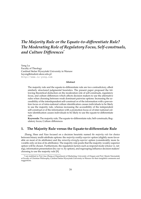# <span id="page-25-0"></span>*The Majority Rule or the Equate-to-differentiate Rule? The Moderating Role of Regulatory Focus, Self-construals, and Culture Differences*[\\*](#page-0-0)

Yong Lu Faculty of Theology Cardinal Stefan Wyszyński University in Warsaw [luyong@student.uksw.edu.pl](mailto:luyong@student.uksw.edu.pl) <http://www.lu-yong.com>

#### **Abstract**

The majority rule and the equate-to-differentiate rule are two contradictory, albeit similarly structured judgmental heuristics. The present paper proposed the following theoretical deduction on the moderation role of self-construals, regulatory focus, and culture differences which affects decision makers to use the alternative rules when choosing between weak dominant pairwise options: Increasing the accessibility of the interdependent self-construal or of the information with a prevention focus or of intra-national culture identification causes individuals to be likely to use the majority rule, whereas increasing the accessibility of the independent self-construal or of the information with a promotion focus or of inter-national culture identification causes individuals to be likely to use the equate-to-differentiate rule.

**Keywords:** The majority rule; The equate-to-differentiate rule; Self-construals; Regulatory focus; Culture differences

### **1. The Majority Rule versus the Equate-to-differentiate Rule**

Zhang, Hsee and Xiao focused on a decision heuristic named *the majority rule* for choice between binary multi-attribute options: the *majority-weakly-superior* option (slightly more favorable on most of its attributes) and the *minority-strongly-superior* option (considerably more favorable only on less of its attributes). The majority rule posits that the majority-weakly-superior option will be chosen. Furthermore, the regulation factors such as respond mode (choice vs. rating), information presentation (by cue vs. by option), and regrouping influence decision makers' choosing to use the majority rule [\[9\]](#page-27-0).

<sup>\*</sup>I am indebted to Prof. Jiao Zhang at Department of Marketing, University of Oregon and Prof. Marek Nieznański at Faculty of Christian Philosophy, Cardinal Stefan Wyszyński University in Warsaw for their insightful comments and suggestions.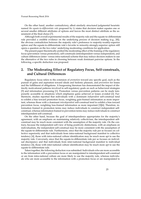On the other hand, another contradictory, albeit similarly structured judgmental heuristic named *the equate-to-differentiate rule* proposed by Li states that decision maker equates one or several smaller different attributes of options and leaves the most distinct attribute as the assessment of the final choice [\[7\]](#page-27-1).

Although both overall experimental results of the majority rule and the equate-to-differentiate rule provided a credible evidence on the underlying process of decision making (e.g., [\[8\]](#page-27-2)), the obvious contradiction between the majority rule's preference to majority-weakly-superior option and the equate-to-differentiate rule's favorite to minority-strongly-superior option still opens a question on the two rules' underlying moderating conditions for application.

The present paper theoretically probed the moderating effect of the framing of the regulatory focus (prevention versus promotion), self-construals (interdependent versus independent), and culture differences (inter- versus intra-national) scheme that may induce decision makers to use the alternative of the two rules in choosing between weak dominant pairwise options. In the following, a specific deduction was proposed.

# **2. The Moderating Effect of Regulatory Focus, Self-construals, and Cultural Differences**

Regulatory focus refers to the extension of *promotion* toward any specific goal, such as the pursuit of gains and aspiration toward ideals and hedonic pleasure, and *prevention* for losses and the fulfillment of obligations. A burgeoning literature has demonstrated the impact of distinctly motivational patterns involved in self-regulatory goals on such as behavioral strategies [\[5\]](#page-27-3) and information processing [\[1\]](#page-27-4). Promotion versus prevention patterns can be made temporarily accessible in situations which emphasize gains achieved or losses avoided [\[2\]](#page-27-5). Furthermore, studies reported that individuals with a dominant *independent* self-construal tend to exhibit a bias toward promotion focus, weighting gain-framed information as more important, whereas those with a dominant *interdependent* self-construal tend to exhibit a bias toward prevention focus, weighting loss-framed information as more important [\[3\]](#page-27-6)[\[6\]](#page-27-7). Therefore, information framed in promotion terms may induce individuals to construct independent selfconstrual, whereas information framed in prevention terms may induce individuals to construct interdependent self-construal.

On the other hand, because the goal of interdependence appropriates for the majority's agreement, with an emphasis on maintaining relatively collectivism, the interdependent selfconstrual may be much more consistent with the assumption of the majority rule. On the contrary, because the independent self-view of being positively distinctness, with an emphasis on individualism, the independent self-construal may be more consistent with the assumption of the equate-to-differentiate rule. Furthermore, since that the majority rule per se focuses on collective superiority and that individuals from intra-national background manifest to collective tendency [\[4\]](#page-27-8), those with intra-national culture identification may be much more apt to use the majority rule. Conversely, since that the equate-to-differentiate rule per se focuses on individual discrepancy and that individuals from inter-national background manifest to individual tendency [\[4\]](#page-27-8), those with inter-national culture identification may be much more apt to use the equate-to-differentiate rule.

Taken together, the following deduction was submitted: Individuals who are more accessible to the information with a prevention focus or are manipulated to interdependent self-construal or are from intra-national culture are more likely to use the majority rule, whereas individuals who are more accessible to the information with a promotion focus or are manipulated to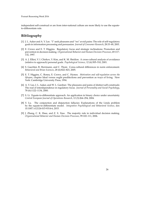independent self-construal or are from inter-national culture are more likely to use the equateto-differentiate rule.

- <span id="page-27-4"></span>[1] J. L. Aaker and A. Y. Lee. "I" seek pleasures and "we" avoid pains: The role of self-regulatory goals in information processing and persuasion. *Journal of Consumer Research*, 28:33–49, 2001.
- <span id="page-27-5"></span>[2] E. Crowe and E. T. Higgins. Regulatory focus and strategic inclinations: Promotion and prevention in decision making. *Organizational Behavior and Human Decision Processes*, 69:117– 132, 1997.
- <span id="page-27-6"></span>[3] A. J. Elliot, V. I. Chirkov, Y. Kim, and K. M. Sheldon. A cross-cultural analysis of avoidance (relative to approach) personal goals. *Psychological Science*, 12 (6):505–510, 2001.
- <span id="page-27-8"></span>[4] S. Gaechter, B. Herrmann, and C. Thoni. Corss-cultural differences in norm enforcement. *Behavioral and Brian Sciences*, 28 (6):822–823, 2005.
- <span id="page-27-3"></span>[5] E. T. Higgins, C. Roney, E. Crowe, and C. Hymes. *Motivation and self-regulation across the lifespan*, chapter Ideal versus ought predilections and prevention as ways of living. New York: Cambridge University Press, 1994.
- <span id="page-27-7"></span>[6] A. Y. Lee, J. L. Aaker, and W. L. Gardner. The pleasures and pains of distinct self-construals: The roal of interdependence in regulatory focus. *Journal of Personality and Social Psychology*, 78 (6):1122–1134, 2000.
- <span id="page-27-1"></span>[7] S. Li. Equate-to-differentiate approach: An application in binary choice under uncertainty. *Central European Journal of Operations Research*, 12 (3):264–294, 2004.
- <span id="page-27-2"></span>[8] Y. Lu. The conjunction and disjunction fallacies: Explanations of the Linda problem by the equate-to-differentiate model. *Integrative Psychological and Behavioral Science*, doi: 10.1007/s12124-015-9314-6, 2015.
- <span id="page-27-0"></span>[9] J. Zhang, C. K. Hsee, and Z. X. Xiao. The majority rule in individual decision making. *Organizational Behavior and Human Decision Processes*, 99:102–111, 2006.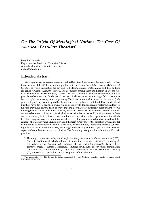# <span id="page-28-0"></span>*On The Origin Of Metalogical Notions: The Case Of American Postulate Theorists*[\\*](#page-0-0)

Jerzy Pogonowski Department of Logic and Cognitive Science Adam Mickiewicz University, Poznañ, [pogon@amu.edu.pl](mailto:pogon@amu.edu.pl)

## **Extended abstract**

We are going to discuss some results obtained by a few American mathematicians in the first three decades of the XXth century and published in the *Transactions of the American Mathematical Society*. The works in question are devoted to the foundations of mathematics and their authors are called *American Postulate Theorists*. The prominent among them are: Eliakim H. Moore, Oswald Veblen, Edward Huntington, Leonard Dickson. They have proposed several collections of postulates characterizing fundamental mathematical structures: groups, rings, fields, real numbers, complex numbers, systems of geometry (Euclidean and non-Euclidean, projective, etc.), algebra of logic. They were inspired by the earlier works by Peano, Dedekind, Pasch and Hilbert but they have developed their own style of dealing with foundational problems. Similarly to Hilbert, they have always tried to show that the postulates are mutually independent. Worth noticing is their choice of primitive notions, first of all in the case of systems of geometry. For example, Veblen used *points* and *order* (inclusion) as primitive terms, and Huntington used *spheres* and *inclusion* as primitive terms. However, the most important in their approach are the efforts to obtain uniqueness of the domains characterized by the postulates. Veblen has introduced the concept of *categoricity* and Huntington used the term *sufficiency* for the situation when a model is unique up to isomorphism. Both of them have articulated very interesting remarks concerning different forms of completeness, including a modest suspicion that syntactic and semantic aspects of completeness may not coincide. The following two quotations should clarify their position:

1. Huntington *A complete set of postulates for the theory of absolute continuous magnitude* (1902): The object of the work which follows is to show that these six postulates form a *complete set*; that is, they are (I) *consistent*, (II)*sufficient*, (III) *independent* (or*irreducible*). By these three terms we mean: (I) there is at least one assemblage in which the chosen rule of combination satisfies all the six requirements; (II) there is essentially *only one* such assemblage possible; (III) none of the six postulates is a consequence of the other five.

<sup>\*</sup>The preparation of this lecture is being sponsored by the National Scientific Center research grant 2015/17/B/HS1/02232.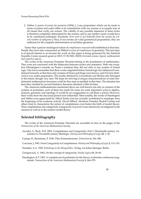2. Veblen *A system of axioms for geometry* (1904): [...] any proposition which can be made in terms of points and order either is in contradiction with our axioms or is equally true of all classes that verify our axioms. The validity of any possible statement in these terms is therefore completely determined by the axioms; and so any further axiom would have to be considered redundant. [Footnote: *Even were it not deducible from the axioms by a finite number of syllogisms.*] Thus, if our axioms are valid geometrical propositions, they are sufficient for the complete determination of euclidian geometry.

Notice that a precise metalogical notion of *completeness* was not well established at that time. Finally, they have also commented on Hilbert's *axiom of completeness* in geometry. This last topic is of special interest to us because the work on this paper is being sponsored by the National Scientific Center research grant nr 2015/17/B/HS1/02232 *Extremal axioms: logical, mathematical and cognitive aspects*.

The works of the American Postulate Theorists belong to the foundations of mathematics. They were not concerned with the distinction between syntax and semantics. With one exception (Huntington's remarks on Peano's notation) they did not refer to any system of formal logic. One has to remember that their works originated before formal logic has influenced foundational research: at that time only systems of Peano and Frege were known, and *Principia Mathematica* was under preparation. The results obtained by Löwenheim and Skolem also belonged to the future, though very near. The hope for arriving at unique characterizations of some fundamental mathematical structures could be thus seen as justified at that time. The situation has been then clarified by several limitative theorems obtained a little bit later.

The American mathematicians mentioned above are well known not only as creators of the systems of postulates: each of them has made his name for some important work in algebra, analysis, geometry and topology. It would be an exaggeration to call them a school. However, their works from the discussed period were influential. Most notably, the works of Huntington and Veblen were appreciated by Alfred Tarski who has crucially contributed to metalogic from the beginning of his academic activity. David Hilbert, Abraham Fraenkel, Rudolf Carnap and others tried to characterize the notion of completeness even before the birth of model theory. Then completeness and categoricity (categoricity in power) were intensively investigated in the classical as well as in the modern model theory.

# **Selected bibliography**

The works of the American Postulate Theorists are accessible on line on the pages of the *Transactions of the American Mathematical Society*.

Awodey, S., Reck, E.H. 2002. Completeness and Categoricity. Part I: Nineteenth-century Axiomatics to Twentieth-century Metalogic. *History and Philosophy of Logic* **23**, 1–30.

Carnap, R., Bachmann, F. 1936. Über Extremalaxiome. *Erkenntnis* **6**, 166–188.

Corcoran, J. 1981. From Categoricity to Completeness. *History and Philosophy of Logic* **2**, 113–119.

Fraenkel, A.A. 1928. *Einleitung in die Mengenlehre*. Verlag von Julius Springer, Berlin.

Grzegorczyk, A. 1962. On the concept of categoricity. *Studia Logica* **13**, 39–66.

Huntington, E.V. 1902. A complete set of postulates for the theory of absolute continuous magnitude. *Transactions of the American Mathematical Society* **3**, 264–279.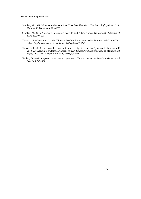Poznań Reasoning Week 2016

- Scanlan, M. 1991. Who were the American Postulate Theorists? *The Journal of Symbolic Logic* Volume **56**, Number **3**, 981–1002.
- Scanlan, M. 2003. American Postulate Theorists and Alfred Tarski. *History and Philosophy of Logic* **24**, 307–325.
- Tarski, A., Lindenbaum, A. 1936. Über die Beschränkheit der Ausdrucksmittel deduktiver Theorien. *Ergebnisse eines mathematischen Kolloquiums* **7**, 15–22.
- Tarski, A. 1940. On the Completeness and Categoricity of Deductive Systems. In: Mancosu, P. 2010. *The Adventure of Reason. Interplay between Philosophy of Mathematics and Mathematical Logic, 1900–1940*. Oxford University Press, Oxford.
- Veblen, O. 1904. A system of axioms for geometry. *Transactions of the American Mathematical Society* **5**, 343–384.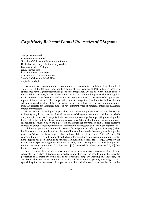# <span id="page-31-0"></span>*Cognitively Relevant Formal Properties of Diagrams*

Atsushi Shimojima<sup>1</sup> Dave Barker-Plummer<sup>2</sup> <sup>1</sup>Faculty of Culture and Information Science, Doshisha University, 1-3 Tatara-Miyakodani, Kyotanabe, 610-0394 Japan [ashimoji@me.com](mailto:ashimoji@me.com) <sup>2</sup> CSLI/Stanford University Cordura Hall, 210 Panama Street Stanford, California, 94305, USA <dbp@stanford.edu>

Reasoning with diagrammatic representations has been studied both from logical points of view (e.g., [\[13,](#page-33-0) [15,](#page-33-1) [29\]](#page-34-0)) and from cognitive points of view (e.g., [\[9,](#page-33-2) [12,](#page-33-3) [14\]](#page-33-4)). Although these two approaches have a great potential for productive integration [\[30,](#page-34-1) [31\]](#page-34-2), they have never been so integrated. In our view, a part of reason for this is that traditional logical studies of diagrammatic representations have not paid adequate attention to formal properties of diagrammatic representations that have direct implications on their cognitive functions. We believe that an adequate characterization of these formal properties can inform the construction of an experimentally testable psychological model of how different types of diagrams intervene in human inferential processes.

We report here on our logical approach to diagrammatic representation systems that serves to identify cognitively relevant formal properties of diagrams. We state conditions in which diagrammatic systems (1) amplify their own semantic coverage by supporting meaning relations that go beyond their basic semantic conventions, (2) afford automatic expression of consequential information upon the expression of a certain set of premises, and (3) force selective expression of non-consequential information upon the expression of a certain set of premises.

All these properties are cognitively relevant formal properties of diagrams. Property (1) has implications on how people read a richer set of information directly from diagrams through the process of "direct translation of perceptual patterns" [\[20\]](#page-33-5) or "global reading" [\[21\]](#page-33-6)). Property (2) concerns the perceived efficiency of deductive inferences based on diagrammatic representations [\[22\]](#page-33-7) and has been shown to be functional in human inferential processes [\[27\]](#page-34-3). Property (3) is a negative aspect of diagrammatic representation, which leads people to produce representations containing overly specific information [\[32\]](#page-34-4), so-called "accidental features" [\[5,](#page-32-0) [10\]](#page-33-8) that invite erroneous inferences.

In investigating these properties, we take a *generic* approach: giving an abstract formal characterization of a class of diagrammatic systems, and then proving results about the semantic properties of all members of the class in the abstract setting. By adopting this approach, we are able to short-circuit investigation of individual diagrammatic systems, and assign the responsibility for the possession of properties of an individual system to its membership in the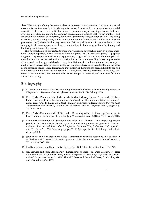class. We start by defining the general class of representation systems on the basis of channel theory, a formal framework for modeling information flow, of which representation is a special case, [\[8\]](#page-33-9). We then focus on a particular class of representation systems, Single Feature Indicator Systems [\[26\]](#page-34-5). SFISs are among the simplest representation systems that we can think of, and are built into a number of important, familiar diagrammatic representation systems, including bar charts, connectivity graphs, tables, and Venn diagrams. We demonstrate that they all share properties (1)–(3) above. In this way, we can explain why diagrammatic systems featuring visually quite different appearances have commonalities in their ways of both facilitating and hindering our inferential processes.

This approach can be contrasted to more individualistic approaches taken by a more traditional logical approach, such as work on Venn diagrams [\[28,](#page-34-6) [29\]](#page-34-0), Euler diagrams [\[19\]](#page-33-10), spider diagrams [\[15\]](#page-33-1), Hyperproof diagrams [\[7\]](#page-32-1), geometry diagrams [\[18\]](#page-33-11) and dot diagrams [\[16\]](#page-33-12). Although this work has made significant contributions to our understanding of logical properties of these systems, the approach has been largely individualistic, in that semantics has been specified for each individual system and its logical properties have been investigated on the basis of the semantic specification dedicated to that system. It therefore has been difficult to see and explain the commonality of multiple systems—what, if any, features are shared by the ways representations in these systems convey information, support inferences, and otherwise facilitate our understanding.

- [1] D. Barker-Plummer and M. Murray. Single feature indicator systems in the Openbox. In *Diagrammatic Representation and Inference*. Springer Berlin Heidelberg, 2016.
- [2] Dave Barker-Plummer, John Etchemendy, Michael Murray, Emma Pease, and Nik Swoboda. Learning to use the openbox: A framework for the implementation of heterogeneous reasoning. In Philip Cox, Beryl Plimmer, and Peter Rodgers, editors, *Diagrammatic Representation and Inference*, volume 7352 of *Lecture Notes in Computer Science*, pages 3–3. Springer, 2012.
- [3] Dave Barker-Plummer and Nik Swoboda. Reasoning with coincidence grids-a sequentbased logic and an analysis of complexity. *J. Vis. Lang. Comput.*, 22(1):56–65, February 2011.
- [4] Dave Barker-Plummer, Nik Swoboda, and Michael D. Murray. An example hypervenn proof. In Tim Dwyer, Helen Purchase, and Aidan Delaney, editors, *Diagrammatic Representation and Inference: 8th International Conference, Diagrams 2014, Melbourne, VIC, Australia, July 28 – August 1, 2014. Proceedings*, pages 51–53. Springer Berlin Heidelberg, Berlin, Heidelberg, 2014.
- <span id="page-32-0"></span>[5] Jon Barwise and John Etchemendy. Visual information and valid reasoning. In *Visualization in Teaching and Learning Mathematics*, pages 9–24. Mathematical Association of America, Washington, D.C., 1991.
- [6] Jon Barwise and John Etchemendy. *Hyperproof*. CSLI Publications, Stanford, CA, 1994.
- <span id="page-32-1"></span>[7] Jon Barwise and John Etchemendy. Heterogeneous logic. In Janice Glasgow, N. Hari Narayanan, and B. Chanrasekaran, editors, *Diagrammatic Reasoning: Cognitive and Computational Perspectives*, pages 211–234. The MIT Press and the AAAI Press, Cambridge, MA and Menlo Park, CA, 1995.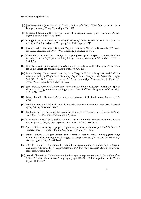- <span id="page-33-9"></span>[8] Jon Barwise and Jerry Seligman. *Information Flow: the Logic of Distributed Systems*. Cambridge University Press, Cambridge, UK, 1997.
- <span id="page-33-2"></span>[9] Malcolm I. Bauer and P. N. Johnson-Laird. How diagrams can improve reasoning. *Psychological Science*, 4(6):372–378, 1993.
- <span id="page-33-8"></span>[10] George Berkeley. *A Treatise Concerning Principles of Human Knowledge*. The Library of Liberal Arts. The Bobbs-Merrill Company, Inc., Indianapolis, 1710.
- [11] Jacques Bertin. *Semiology of Graphics: Diagrams, Networks, Maps*. The University of Wisconsin Press, Madison, WI, 1967/1973. Originally published in 1967.
- <span id="page-33-3"></span>[12] Merideth Gattis and Keith J. Holyoak. Mapping conceptual to spatial relations in visual reasoning. *Journal of Experimental Psychology: Learning, Memory, and Cognition*, 22(1):231– 239, 1996.
- <span id="page-33-0"></span>[13] Eric Hammer. *Logic and Visual Information*. CSLI Publications and the European Association for Logic, Language and Information, Stanford, CA, 1995.
- <span id="page-33-4"></span>[14] Mary Hegarty. Mental animation. In Janice Glasgow, N. Hari Narayanan, and B. Chanrasekaran, editors, *Diagrammatic Reasoning: Cognitive and Computational Perspectives*, pages 535–575. The MIT Press and the AAAI Press, Cambridge, MA and Menlo Park, CA, 1992/1995. Originally published in 1992.
- <span id="page-33-1"></span>[15] John Howse, Fernando Molina, John Taylor, Stuart Kent, and Joseph (Yossi) Gil. Spider diagrams: A diagrammatic reasoning system. *Journal of Visual Languages and Computing*, 12:299–324, 2001.
- <span id="page-33-12"></span>[16] Mateja Jamnik. *Mathematical Reasoning with Diagrams*. CSLI Publications, Stanford, CA, 2001.
- [17] Paul R. Kinnear and Michael Wood. Memory for topographic contour maps. *British Journal of Psychology*, 78:395–402, 1987.
- <span id="page-33-11"></span>[18] Nathaniel Miller. *Euclid and his twentieth century rivals: Diagrams in the logic of Euclidean geometry*. CSLI Publications, Stanford CA, 2007.
- <span id="page-33-10"></span>[19] K. Mineshima, M. Okada, and R. Takemura. A diagrammatic inference system with euler circles. *Journal of Logic, Language and Information*, 21(3):365–391, 2012.
- <span id="page-33-5"></span>[20] Steven Pinker. A theory of graph comprehension. In *Artificial Intelligence and the Future of Testing*, pages 73–126. L. Erlbaum Associates, Hilsdale, NJ, 1990.
- <span id="page-33-6"></span>[21] Raj M. Ratwani, J. Gregory Trafton, and Deborah A. Boehm-Davis. Thinking graphically: Connecting vision and cognition during graph comprehension. *Journal of Experimental Psychology: Applied*, 14(1):36–49, 2008.
- <span id="page-33-7"></span>[22] Atsushi Shimojima. Operational constraints in diagrammatic reasoning. In Jon Barwise and Gerry Allwein, editors, *Logical Reasoning with Diagrams*, pages 27–48. Oxford University Press, Oxford, 1995.
- [23] Atsushi Shimojima. Derivative meaning in graphical representations. In *Proceedings of the 1999 IEEE Symposium on Visual Languages*, pages 212–219. IEEE Computer Society, Washington, D. C., 1999.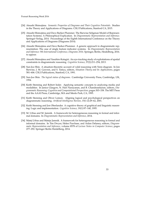- [24] Atsushi Shimojima. *Semantic Properties of Diagrams and Their Cognitive Potentials*. Studies in the Theory and Applications of Diagrams. CSLI Publications, Stanford CA, 2015.
- [25] Atsushi Shimojima and Dave Barker-Plummer. The Barwise-Seligman Model of Representation Systems: A Philosophical Explication. In *Diagrammatic Representation and Inference*. Springer-Verlag, 2014. Proceedings of the Eighth International Conference on the Theory and Applications of Diagrams (Diagrams 2014).
- <span id="page-34-5"></span>[26] Atsushi Shimojima and Dave Barker-Plummer. A generic approach to diagrammatic representation: The case of single feature indicator systems. In *Diagrammatic Representation and Inference: 9th International Conference, Diagrams 2016*. Springer, Berlin, Heidelberg, 2016. to appear.
- <span id="page-34-3"></span>[27] Atsushi Shimojima and Yasuhiro Katagiri. An eye-tracking study of exploitations of spatial constraints in diagrammatic reasoning. *Cognitive Science*, 37(2):211–254, 2013.
- <span id="page-34-6"></span>[28] Sun-Joo Shin. A situation-theoretic account of valid reasoning with Venn diagram. In Jon Barwise, J. M. Gawron, and S. Tutiya, editors, *Situation Theory and Its Applications*, pages 581–606. CSLI Publications, Stanford, CA, 1991.
- <span id="page-34-0"></span>[29] Sun-Joo Shin. *The logical status of diagrams*. Cambridge University Press, Cambridge, UK, 1994.
- <span id="page-34-1"></span>[30] Keith Stenning and Robert Inder. Applying semantic concepts to analyzing media and modalities. In Janice Glasgow, N. Hari Narayanan, and B. Chandrasekaran, editors, *Diagrammatic Reasoning: Cognitive and Computational Perspectives*, pages 303–338. The MIT Press and the AAAI Press, Cambridge, MA and Menlo Park, CA, 1995.
- <span id="page-34-2"></span>[31] Keith Stenning and Oliver Lemon. Aligning logical and psychological perspectives on diagrammatic reasoning. *Artificial Intelligence Review*, 15(1-2):29–62, 2001.
- <span id="page-34-4"></span>[32] Keith Stenning and Jon Oberlander. A cognitive theory of graphical and linguistic reasoning: Logic and implementation. *Cognitive Science*, 19(1):97–140, 1995.
- [33] M. Urbas and M. Jamnik. A framework for heterogeneous reasoning in formal and informal domains. In *Diagrammatic Representation and Inference*, 2014.
- [34] Matej Urbas and Mateja Jamnik. A framework for heterogeneous reasoning in formal and informal domains. In Tim Dwyer, Helen Purchase, and Aidan Delaney, editors, *Diagrammatic Representation and Inference*, volume 8578 of *Lecture Notes in Computer Science*, pages 277–292. Springer Berlin Heidelberg, 2014.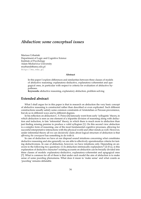# <span id="page-35-0"></span>*Abduction: some conceptual issues*

Mariusz Urbański Department of Logic and Cognitive Science Institute of Psychology Adam Mickiewicz University [murbansk@amu.edu.pl](mailto:murbansk@amu.edu.pl) <http://mu.edu.pl>

#### **Abstract**

In this paper I explore differences and similarities between three classes of models of abductive reasoning: explanatory-deductive, explanatory-coherentist and apagogical ones, in particular with respect to criteria for evaluation of abductive hypotheses.

**Keywords:** abductive reasoning, explanatory abduction, problem-solving

### **Extended abstract**

What I shall argue for in this paper is that in research on abduction the very basic concept of abductive reasoning is constructed rather than described or even explicated. Such different constructions usually satisfy some common constraints of Aristotelian or Percean provenience, but do so in different ways and to different degrees.

In his reflection on abduction C. S. Peirce [\[6\]](#page-36-0) famously went from early 'syllogistic' theory, in which abduction is seen as one element of a tripartite division of reasoning along with deduction and induction, to late 'inferential' theory, in which there is much more to abduction than just finding missing premise to produce a valid syllogism [\[1\]](#page-36-1). On this second view abduction is a complex form of reasoning, one of the most fundamental cognitive processes, allowing for succesful interpretative interactions with the physical world and other minds as well. However, under inferential theory all we can decisively claim about logical structure of abduction is that *affirming the consequent* has something to do with it.

In case of deduction we have at our disposal sound intuitions concerning what constitutes deductive reasoning and also generally we are able to effectively operationalize criteria for testing deductiveness. In case of abduction, however, we have intuitions only. Depending on answers to the following two questions: (1) Is abduction intrinsically explanatory? (2) If so, is this explanation of deductive character? existing accounts on abduction can be broadly divided into three classes of models: explanatory-deductive, explanatory-coherentist and apagogical ones [\[7\]](#page-36-2). What is common for all of them is that under each model the aim of abduction is to make sense of some puzzling phenomena. What does it mean to 'make sense' and what counts as 'puzzling' remains debatable.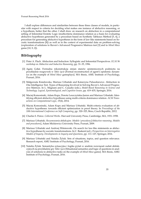I shall explore differences and similarities between these three classes of models, in particular with respect to criteria for deciding what makes one instance of abductive reasoning, or a hypothesis, better that the other. I shall draw on research on abduction in a computational setting of Inferential Erotetic Logic (multicriteria dominance relation as a basis for evaluating abductive hypotheses generated by a procedure based on Synthetic Tableaux Method [\[5,](#page-36-0) [4\]](#page-36-1), a procedure for generating abductive hypotheses in the form of law-like statements based on Socratic transformations [\[8\]](#page-36-2)) as well as in the context of experimental data on problem-solving (exploration of solutions to Raven's Advanced Progressive Matrices test [\[3\]](#page-36-3) and to *Mind Maze* game [\[10,](#page-36-4) [9,](#page-36-5) [2\]](#page-36-6)).

- [1] Peter A. Flach. Abduction and Induction: Syllogistic and Inferential Perspectives. *ECAI 96 workshop on Abductive and Inductive Reasoning*, pp. 31–35, 1996.
- <span id="page-36-6"></span>[2] Agata Goła´s. Formalna rekonstrukcja zmian stanów epistemicznych podmiotu na przykładzie rozgrywek w *Takie zycie ˙* [Formal reconstruction of agent's epistemic dynamics on the example of *Mind Maze* gameplays]. MA thesis, AMU Institute of Psychology, Poznań, 2016.
- <span id="page-36-3"></span>[3] Małgorzata Kisielewska, Mariusz Urbański and Katarzyna Paluszkiewicz. Abduction in One Intelligence Test. Types of Reasoning Involved in Solving Raven's Advanced Progressive Matrices. In L. Magnani and C. Casadio (eds.), *Model-Based Reasoning in Science and Technology. Logical, Epistemological, and Cognitive Issues*, pp. 419–435, Springer, 2016.
- <span id="page-36-1"></span>[4] Maciej Komosinski, Adam Kups, Dorota Leszczyńska-Jasion and Mariusz Urbański. Identifying efficient abductive hypotheses using multi-criteria dominance relation. *ACM Transactions on Computational Logic*, 15(4), 2014.
- <span id="page-36-0"></span>[5] Maciej Komosinski, Adam Kups and Mariusz Urbański. Multi-criteria evaluation of abductive hypotheses: towards efficient optimization in proof theory. In *Proceedings of the 18th International Conference on Soft Computing*, pp. 320–325, Brno, Czech Republic, 2012.
- [6] Charles S. Peirce. *Collected Works*. Harvard University Press, Cambridge, MA, 1931–1958.
- [7] Mariusz Urbański. Rozumowania abdukcyjne. Modele i procedury [Abductive reasoning. Models and procedures], Adam Mickiewicz University Press, Poznań, 2009.
- <span id="page-36-2"></span>[8] Mariusz Urbański and Andrzej Wiśniewski. On search for law-like statements as abductive hypotheses by socratic transformations. In C. Baskent (ed.), *Perspectives on Interrogative Models of Inquiry. Developments in Inquiry and Questions*, pp. 111–127, Springer, 2016.
- <span id="page-36-5"></span>[9] Mariusz Urbański and Natalia Żyluk. Sets of situations, topics, and question relevance. Research report, AMU Institute of Psychology, Poznań, 2016.
- <span id="page-36-4"></span>[10] Natalia Żyluk. Semantyka sytuacyjna i logika pytań w analizie rozwiazań zadań abdukcyjnych na przykładzie gry *Takie zycie ˙* [Situational semantics and logic of questions in analysis of solutions to abductive tasks on the example of *Mind Maze* game]. MA thesis, AMU Institute of Psychology, Poznań, 2016.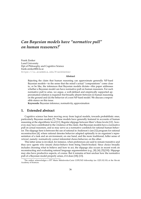# *Can Bayesian models have "normative pull" on human reasoners?*[\\*](#page-0-0)

Frank Zenker Lund University Dpt of Philosophy and Cognitive Science [frank.zenker@fil.lu.se](mailto:frank.zenker@fil.lu.se) <https://lu.academia.edu/FrankZenker>

#### **Abstract**

Rejecting the claim that human reasoning can approximate generally NP-hard Bayesian models—in the sense that the mind's actual "computations" come close to, or be like, the inferences that Bayesian models dictate—this paper addresses whether a Bayesian model can have normative pull on human reasoners. For such normative pull to arise, we argue, a well-defined and empirically supported approximation relation is required–but broadly absent–between (i) human reasoning on the ground and (ii) the behavior of a non-NP-hard model. We discuss a responsible stance on this issue.

**Keywords:** Bayesian inference, normativity, approximation

#### **1. Extended abstract**

Cognitive science has been moving away from logical models, towards probabilistic ones, particularly Bayesian models [\[7\]](#page-39-0). These models have generally featured in accounts of human reasoning at the algorithmic level [\[11\]](#page-39-1). Regular slippage between Marr's three levels [\[12\]](#page-40-0) , however, may have contributed to the virulence of the claim. that Bayesian models have a normative pull on actual reasoners, and so may serve as a normative yardstick for rational human behavior. The slippage here is between the use of rational in Anderson's (see [\[1\]](#page-39-2)) program for rational reconstruction [\[4\]](#page-39-3), where rational denotes behavior adapted optimally to an organism's representation of a task and an environment, on one hand, and the more traditional, fuller sense of *rational*, namely: normatively correct inferential choice-behavior, on the other.

This latter sense is invoked, for instance, when preferences are said to remain transitive and thus save agents who (must) choice-behave from being Dutch-booked. Since choice broadly includes choosing what to believe and how to act, the slippage also occurs in recent work on reconstructing and evaluating natural language argumentation (e.g., [\[8\]](#page-39-4); [\[6\]](#page-39-5); [\[5\]](#page-39-6);[\[19\]](#page-40-1)). Slippage may also have productive aspects, of course. But it remains at best unclear how the normative pull of a Bayesian model properly arises, if it does [\[18\]](#page-40-2); [\[13\]](#page-40-3).

<sup>\*</sup>The author acknowledges a FP7 Marie Skłodowska-Curie COFUND fellowship (no 1225/02/03) at the Slovak Academy of Sciences.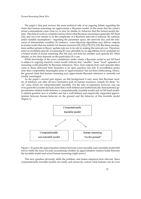The paper's first part reviews the more technical side of an ongoing debate regarding the claim that human reasoning can approximate a Bayesian model, in the sense that the mind's actual computations come close to, or may be similar to, behavior that the formal model dictates. Theoretical work in computer science shows that Bayesian reasoning is generally NP-hard [\[16\]](#page-40-4), and can even remain so as the complexity of a Bayesian network is reduced. By contrast, under suitable assumptions – regarding the parameter space, the network size, and the relevance of intermediate variables, for instance - some Bayesian algorithms may deliver outputs in at time-scales that are realistic for human reasoners [\[9\]](#page-39-7); [\[10\]](#page-39-8); [\[15\]](#page-40-5) [\[17\]](#page-40-6); [\[14\]](#page-40-7). But these assumptions neither pertain to Bayes' update-rule nor to its role in making the network run. Therefore, some so-modelled episode of reasoning R1 may plausibly be an algorithmic-level candidate for a formal model of actual reasoning. But this may not hold for another such episode R2. What obtains, or not, thus depends on the particulars of a case.

While knowledge of the exact condition(s) under which a Bayesian model is not NP-hard is subject to ongoing research, extant results indicate that "smaller," more "local" episodes of reasoning could plausibly be Bayesian inferences. How close outputs from such episodes then come to those delivered from heuristics is an open question (see [\[2\]](#page-39-9)). It nevertheless seems clear that a responsibly meaningful sense of 'approximation' has not been forthcoming. Hence, the general claim that human reasoning may approximate Bayesian inference is currently not readily meaningful.

As the paper's second part argues, on this background it may seem that Bayesian models of inference can after all have normative pull on human reasoners, namely for these "local" cases which are computationally tractable. For the sake of argument, however, one can even grant the (counter-factual) claim that a well-defined and mathematically demonstrated approximation relation holds between a computationally tractable model and an NP-hard model. A related question now is whether one has a well-defined and empirically supported approximation between human behavior on the ground and the behavior of this tractable model (Figure 1).



Figure 1: To grant the approximation relation between a non-tractable and a tractable model (left arrow) shifts the issue towards ascertaining whether an approximation relation holds between the tractable model and actual human reasoning (right arrow).

This new question obviously shifts the problem, and makes empirical facts relevant. Since computationally tractable models can easily, and massively, outrun what humans can do even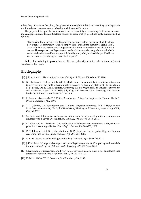when they perform at their best, this places some weight on the ascertainability of an approximation relation between actual behavior and the tractable model.

The paper's third part hence discusses the reasonability of assuming that human reasoning can approximate the non-tractable model, an issue that [\[3,](#page-39-10) p. 56] has aptly summarized as follows:

"Eschewing the descriptive in favor of the normative does not erase all difficulties. For 'ought' is commonly taken to imply 'can', but actual inductive agents can't, since they lack the logical and computational powers required to meet the Bayesian norms. The response that Bayesian norms should be regarded as goals toward which we should strive even if we always fall short is idle puffery unless it is specified how we can take steps to bring us closer to the goals".

Rather than wishing to pass a final verdict, we primarily seek to make audiences (more) sensitive to this issue.

- <span id="page-39-2"></span>[1] J. R. Anderson. *The adaptive character of thought*. Erlbaum, Hillsdale, NJ, 1990.
- <span id="page-39-9"></span>[2] K. Blackmond Laskey and L. (2014) Martignon. Sustainability in statistics education (proceedings of the ninth international conference on teaching statistics). In K. Makar, B. de Sousa, and R. Gould, editors, *Comparing fast and frugal trees and Bayesian networks for risk assessment*, pages 1–6, ICOTS9, July Flagstaff, Arizona, USA. Voorburg, The Netherlands, 2014. International Statistical Institute.
- <span id="page-39-10"></span>[3] J. Earman. *Bayes or Bust? A Critical Examination of Bayesian Confirmation Theory.* The MIT Press, Cambridge, MA, 1996.
- <span id="page-39-3"></span>[4] T. L. Griffiths, J. B. Tenenbaum, and C. Kemp. Bayesian inference. In K. J. Holyoak and R. G. Morrison, editors, *The Oxford Handbook of Thinking and Reasoning*, pages xx–yy. OUP, Oxford, 2012.
- <span id="page-39-6"></span>[5] U. Hahn and J. Hornikx. A normative framework for argument quality: argumentation schemes with a Bayesian foundation. *Synthese*, 193(6):1833–1873, 2016.
- <span id="page-39-5"></span>[6] U. Hahn and M. Oaksford. The rationality of informal argumentation: A Bayesian approach to reasoning fallacies. *Psychological Review*, 114:704–732, 2007.
- <span id="page-39-0"></span>[7] P. N. Johnson-Laird, S. S. Khemlani, and G. P. Goodwin. Logic, probability, and human reasoning. *Trends in cognitive sciences*, 19(4):201–214, 2015.
- <span id="page-39-4"></span>[8] K. Korb. Bayesian informal logic and fallacy. *Informal Logic*, 23:41–70, 2003.
- <span id="page-39-7"></span>[9] J. Kwisthout. Most probable explanations in Bayesian networks: Complexity and tractability. *International Journal of Approximate Reasoning*, 52:1452–1469, 2011.
- <span id="page-39-8"></span>[10] J. Kwisthout, T. Warenham, and I. van Rooij. Bayesian intractability is not an ailment that approximation can cure. *Cognitive Science*, 35:779–784, 2011.
- <span id="page-39-1"></span>[11] D. Marr. *Vision*. W. H. Freeman, San Francisco, CA, 1982.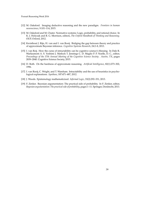- <span id="page-40-0"></span>[12] M. Oaksford. Imaging deductive reasoning and the new paradigm. *Frontiers in human neuroscience*, 9:101–114, 2015.
- <span id="page-40-3"></span>[13] M. Oaksford and M. Chater. Normative systems: Logic, probability, and rational choice. In K. J. Holyoak and R. G. Morrison, editors, *The Oxford Handbook of Thinking and Reasoning*. OUP, Oxford, 2012.
- <span id="page-40-7"></span>[14] Kwisthout J. Rijn, H. van and I. van Rooij. Bridging the gap between theory and practice of approximate Bayesian inference. *Cognitive Systems Research*, 24:2–8, 2013.
- <span id="page-40-5"></span>[15] I. van Roij. How the curse of intractability can be cognitive science's blessing. In Dale R. Warlaumont A. S. Yoshimi J. Matlock T. Jennings C. D. Maglio P. P. Noelle, D. C., editor, *Proceedings of the 37th Annual Meeting of the Cognitive Science Society . Austin, TX*, pages 2839–2840. Cognitive Science Society, 2015.
- <span id="page-40-4"></span>[16] D. Roth. On the hardness of approximate reasoning. *Artificial Intelligence*, 82(1):273–302, 1996.
- <span id="page-40-6"></span>[17] I. van Rooij, C. Wright, and T. Wareham. Intractability and the use of heuristics in psychological explanations. *Synthese*, 187:471–487, 2012.
- <span id="page-40-2"></span>[18] J. Woods. Epistemology mathematicized. *Informal Logic*, 33(2):292–331, 2013.
- <span id="page-40-1"></span>[19] F. Zenker. Bayesian argumentation: The practical side of probability. In F. Zenker, editor, *Bayesian argumentation: The practical side of probability*, pages 1–11. Springer, Dordrecht, 2013.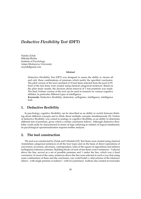## *Deductive Flexibility Test* **(DFT)**

Natalia Zyluk ˙ Mikołaj Michta Institute of Psychology Adam Mickiewicz University [nzyluk@gmail.com](mailto:nzyluk@gmail.com)

#### **Abstract**

Deductive Flexibility Test (DFT) was designed to assess the ability to choose all and only these combinations of premises which justify the specified conclusion. The pilot version of the tool consisted of 10 test items selected from the pool of 93. Each of the test items were created using classical categorical sentences. Based on the pilot study results, the decision about removal of 2 test positions was made. The final, 8-items version of the tool can be used in research on various cognitive abilities, in particular different types of intelligence.

**Keywords:** Deductive flexibility, deduction, syllogisms, intelligence, intelligence tests

#### **1. Deductive flexibility**

In psychology, cognitive flexibility can be described as an ability to switch between thinking about different concepts and to think about multiple concepts simultaneously [\[5\]](#page-43-0). Notion of deductive flexibility was coined in analogy to cognitive flexibility, as an ability to determine different sets of premises, given which a certain conclusion follows. Although deductive flexibility could easily be characterized in terms of logic (referring to relation of logical entailment), its psychological operationalization requires further analysis.

#### **2. The tool construction**

The tool was constructed by Żyluk and Urbański [[10\]](#page-43-1). Test items were created using classical Aristotelian categorical sentences of all the four types and on the basis of direct (operations of conversion, inversion, obversion, contraposition; rules of the square of opposition) and indirect (syllogisms) inference schemas. Building blocks of each of test items were 6 sentences – 5 placed above the line, served as a set of possible premises and 1 under the line, which was a fixed conclusion. In most of the cases, sentences above the line were selected in such a way that using some combination of them and the conclusion, one could build a valid schema of the inference (direct – with single premise or indirect – with two premises). Authors also created several tasks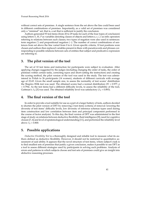without correct sets of premises. A single sentence from the set above the line could been used in different combinations of premises. Importantly, as a valid set of premises was considered only a "minimal" set, that is, a set that is sufficient to justify the conclusion.

Authors generated 93 test items (from 20 to 29 tasks for each of the four types of conclusion) using letters *S*, *M*, *P* as variables denoting classes of objects and letters *a*, *e*, *i*, *o* as infix operators referring to relations between such classes; two types of negation were also used in sentences: term negation ( $\prime$ ) and propositional negation  $(\neg)$ . The number of correct combinations of sentences from set above the line varied from 0 to 6. Given specific criteria, 10 test positions were chosen and authors then replaced variables present in them with pseudowords and phrases corresponding to possible relations between sets of entities that subject and predicative expression are referring to.

### **3. The pilot version of the tool**

The set of 10 test items and instruction for participants were subject to evaluation. After applying changes suggested by the judges (including changing the order of tasks, the order of premises within certain tasks, correcting typos and short-cutting the instruction) and creating the scoring method, the pilot version of the tool was used in the study. The test was administered in Polish to 26 participants (14 women), students of different curricula with average age of 22.65. Given the small sample size, to assess the normality of test scores' distribution the Shapiro–Wilk test was used. The obtained scores had a normal distribution (*W* = 0.977, *p*  $= 0.794$ ). As the test items had a different difficulty levels, to assess the reliability of the tool, Guttman's  $\lambda_2$  [\[3\]](#page-43-2) was used. The obtained reliability level was satisfactory ( $\lambda_2$  = 0.893).

#### **4. The final version of the tool**

In order to provide a tool suitable for use as a part of a larger battery of tests, authors decided to shorten the pilot version of DFT by removing 2 test items (criteria of removal: lowering the diversity of test items' difficulty levels, low diversity of inference schemas types used during item construction and low correlation between item and principal component performed in the course of factor analysis). To this day, the final version of DFT was administered in the first stage of study on relations between deductive flexibility, fluid intelligence [\[9\]](#page-43-3), need for cognitive closure [\[7,](#page-43-4) [6\]](#page-43-5) and level of epistemological understanding [\[11\]](#page-43-6), and performed the reliability level above  $\lambda_2 = 0.800$ .

#### **5. Possible applications**

*Deductive Flexibility Test* is a thoroughly designed and reliable tool to measure what its authors defined as deductive flexibility. However, it should not be restricted to quantitative assessment of said ability. It appears that the novel structure of test items, where subject's task is to find smallest sets of premises that justify a given conclusion, makes it possible to use DFT as a tool to assess different strategies used by participants in solving such problems. Analysis of errors and patterns in which subjects choose and test sets of premises could give an insight into abductive reasoning processes.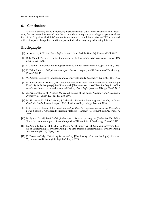#### **6. Conclusions**

*Deductive Flexibility Test* is a promising instrument with satisfactory reliability level. However, further research is needed in order to provide an adequate psychological operationalization of the "cognitive flexibility" notion; future research on relations between DFT scores and different aspects of cognitive functioning of an individual may help addressing this issue.

- [1] A. Anastasi, S. Urbina. *Psychological testing*. Upper Saddle River, NJ: Prentice Hall, 1997.
- [2] R. B. Cattell. The scree test for the number of factors. *Multivariate behavioral research*, 1(2) pp. 245–276, 1966.
- <span id="page-43-2"></span>[3] L. Guttman. A basis for analysing test-retest reliability. *Psychometrika*, 10, pp. 255–282, 1945.
- [4] K. Paluszkiewicz. *Polisyllogisms report*. Research report, AMU Institute of Psychology, Poznań, 20146.
- <span id="page-43-0"></span>[5] W. A. Scott. Cognitive complexity and cognitive flexibility. *Sociometry*, 4, pp. 405–414, 1962.
- <span id="page-43-5"></span>[6] M. Kossowska, K. Hanusz, M. Trejtowicz. Skrócona wersja Skali Potrzeby Poznawczego Domknięcia. Dobór pozycji i walidacja skali [Shortened version of Need for Cognitive Closure Scale. Items' choice and scale's validation]. *Psychologia Społeczna*, 7(1), pp. 89–90, 2012
- <span id="page-43-4"></span>[7] A. Kruglanski, D. M. Webster. Motivated closing of the mind: "Seizing" and "freezing". *Psychological Review*, 103, pp. 263–283, 1996.
- [8] M. Urbański, K. Paluszkiewicz, J. Urbańska. *Deductive Reasoning and Learning: a Cross-Curricular Study*. Research report, AMU Institute of Psychology, Poznań, 2014.
- <span id="page-43-3"></span>[9] J. Raven, J. C. Raven, J. H. Court. *Manual for Raven's Progressive Matrices and Vocabulary Scales* (Section 4: Advanced Progressive Matrices), Harcourt Assessment, San Antonio, TX, 2003.
- <span id="page-43-1"></span>[10] N. Zyluk. Test Giętkości Dedukcyjnej – raport z konstrukcji narzędzia [Deductive Flexibility Test - development report], Research report, AMU Institute of Psychology, Poznań, 2016.
- <span id="page-43-6"></span>[11] N. Żyluk, K. Karpe, M. Michta, W. Potok, K. Paluszkiewicz, M. Urbański. Assessing Levels of Epistemological Understanding: The Standardized Epistemological Understanding Assessment (SEUA). *Topoi*, 2016.
- [12] E. Zarnecka-Biały. *Historia logiki dawniejszej* [The history of an earlier logic]. Kraków: Wydawnictwo Uniwersytetu Jagiellońskiego, 1995.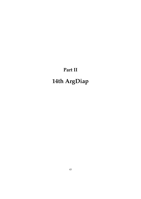# **Part II 14th ArgDiap**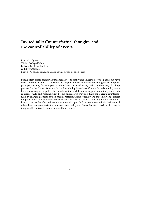# **Invited talk: Counterfactual thoughts and the controllability of events**

Ruth M.J. Byrne Trinity College Dublin University of Dublin, Ireland [ruth.byrne@tcd.ie](mailto:ruth.byrne@tcd.ie) <https://reasoningandimagination.wordpress.com/>

People often create counterfactual alternatives to reality and imagine how the past could have been different 'if only...'. I discuss the ways in which counterfactual thoughts can help explain past events, for example, by identifying causal relations, and how they may also help prepare for the future, for example, by formulating intentions. Counterfactuals amplify emotions such as regret or guilt, relief or satisfaction, and they also support moral judgments such as blame, fault, and responsibility. I focus on research showing that people create counterfactuals by changing aspects of their mental representations of reality and that knowledge affects the plausibility of a counterfactual through a process of semantic and pragmatic modulation. I report the results of experiments that show that people focus on events within their control when they create counterfactual alternatives to reality, and I consider situations in which people imagine alternatives to events outside their control.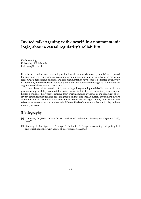# **Invited talk: Arguing with oneself, in a nonmonotonic logic, about a causal regularity's reliability**

Keith Stenning University of Edinburgh [k.stenning@ed.ac.uk](mailto:k.stenning@ed.ac.uk)

If we believe that at least several logics (or formal frameworks more generally) are required for analysing the many kinds of reasoning people undertake; and if we inhabit an era when reasoning, judgment and decision, and also argumentation have come to be treated extensively in probability, then the relation between probability and nonmonotonic logic as frameworks for cognitive modelling comes centre-stage.

[\[2\]](#page-46-0) describes a reinterpretation of [\[1\]](#page-46-1), and a Logic Programming model of its data, which we propose as a probability-free model of naive human justification of causal judgement: in particular, a model of how people retrieve from their memories, evidence of the reliability of everyday causal regularities, and base judgments on that evidence. A current experiment throws some light on the origins of data from which people reason, argue, judge, and decide. And raises some issues about the qualitatively different kinds of uncertainty that are in play in these mental processes.

- <span id="page-46-1"></span>[1] Cummins, D. (1995). Naive theories and causal deduction. *Memory and Cognition*, 23(5), 646–58.
- <span id="page-46-0"></span>[2] Stenning, K., Martignon, L., & Varga, A. (submitted). Adaptive reasoning: integrating fast and frugal heuristics with a logic of interpretation. *Decision*.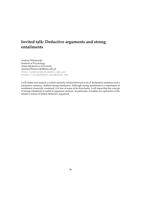# **Invited talk: Deductive arguments and strong entailments**

Andrzej Wiśniewski Institute of Psychology Adam Mickiewicz University [Andrzej.Wisniewski@amu.edu.pl](mailto:Andrzej.Wisniewski@amu.edu.pl) <http://andrzejwisniewski.edu.pl/> <https://intquestpro.wordpress.com>

I will define and analyse a certain semantic relation between a set of declarative sentences and a declarative sentence, dubbed strong entailment. Although strong entailment is a subrelation of entailment classically construed, it is free of some of its drawbacks. I will argue that the concept of strong entailment is useful in argument analysis. In particular, it enables an explication of the intuitive notion of linked deductive argument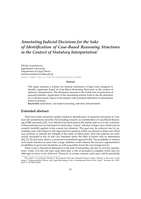# *Annotating Judicial Decisions for the Sake of Identification of Case-Based Reasoning Structures in the Context of Statutory Interpretation*[\\*](#page-0-0)

Michal Araszkiewicz Jagiellonian University Department of Legal Theory [michal.araszkiewicz@uj.edu.pl](mailto:michal.araszkiewicz@uj.edu.pl) <http://www.law.uj.edu.pl/ktp/pracownicy/ma/>

#### **Abstract**

This paper presents a scheme for manual annotation of legal cases designed to identify arguments based on Case-Based Reasoning Structures in the context of statutory interpretation. The illustrative domain is the Polish law of protection of personal interests. Application of the annotating scheme leads to the development of a well-structured corpus of documents with potential utilization in information retrieval systems.

**Keywords:** annotation, case-based reasoning, statutory interpretation

#### **Extended abstract**

There have been numerous studies related to identification of argument structures in common law jurisdictions (recently [\[5\]](#page-51-0)) including research on identification of Case-Based Reasoning (CBR) structures ([\[7\]](#page-51-1)). Less attention has been paid to the similar task in civil law countries. Professional lawyers are interested in retrieving a "smart" selection of legal cases which may be actually fruitfully applied in the current fact situation. This goal may be achieved also by annotating cases with respect to the important fact patterns which are present in them and which may promote or demote the strength of the claim of either party. Such fact patterns are notoriously discussed in the AI and Law literature under the label of factors and/or dimensions  $([2], [1], [3]$  $([2], [1], [3]$  $([2], [1], [3]$  $([2], [1], [3]$  $([2], [1], [3]$  $([2], [1], [3]$  and many others, a recent more formalized approach  $[6]$ ). The possibility to retrieve such smart selection of cases from a huge database could enhance the lawyers' argumentative possibilities in given fact situations, as well as possibly lower the cost of legal service.

There is also a theoretical dimension to the task of annotating case law in civil law jurisdictions. Under civil law, the past cases often play a role of persuasive examples which may be, although not have to be, followed. However, in certain contexts such cases will be practically

<sup>\*</sup>This paper was prepared thanks to the support from the National Science Centre, Poland in the scope of the project "Argumentation Theory and Legal Reasoning in the Constitutional Rule-of-Law State", decision no. DEC-2015/17/B/HS5/00457.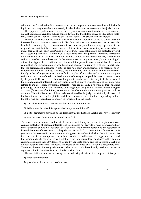(although not formally) binding on courts and in certain procedural contexts they will be binding in a formal way, though not necessarily in identical manner as in common law jurisdictions.

This paper is a preliminary study on development of an annotation scheme for annotating judicial opinions in civil law culture context (where the Polish law serves as illustrative material), for the sake of identification and characterization of CBR structures used therein.

The domain chosen for the sake of this contribution is protection of the so-called personal interests. Personal interests are certain inalienable attributes of a person, such as in particular health, freedom, dignity, freedom of conscience, name or pseudonym, image, privacy of correspondence, inviolability of home, and scientific, artistic, inventive or improvement achievements (art. 23 of the Polish Civil Code, hereafter PCC). Personal interests are protected by civil law. According to the art. 24 of the PCC, a legal issue arises if a personal interest is threatened by another person. In such case, the person whose interests are threatened may demand the actions of another person be ceased. If the interests are not only threatened, but also infringed, a few other types of civil action arise. First of all, the plaintiff may demand that the person committing the infringement perform the actions necessary to remove its effects, in particular that the person make a declaration of the appropriate form and substance. If by means of an infringement a financial damage is caused, the plaintiff may demand the harm be compensated. Finally, if the infringement was done at fault, the plaintiff may demand a monetary compensation for the harm suffered or a fixed amount of money to be paid for a social cause chosen by the plaintiff. However, the claims of the plaintiff can be successful only if the behaviour of the defendant is not unlawful. The provisions described above create the core of statutory rules related to the protection of personal interests. There are basically two types of fact situations providing a ground for a claim (threat to or infringement of a personal interest) and three types of claims (for ceasing of activities, for removing the effects and for a monetary payment in three variants). The set of issues which have to be considered by the judge is dictated by the scope of the lawsuit as defined by the plaintiff and the arguments of the defendant. Depending on that, the following questions have to or may be considered by the court:

- 1) does the current fact situation involve any personal interest?
- 2) is there any threat or infringement of any personal interest?
- 3) do the arguments provided by the defendant justify the thesis that his actions were lawful?
- 4) was the harm done and was defendant at fault?

The above four questions pose the set of issues [\[4\]](#page-51-6) which may be present in a given case concerning protection of personal interests. The statute does not provide for any clear criteria how these questions should be answered, because it was deliberately decided by the legislator to leave elaboration of these criteria to the judiciary. As the PCC has been in force for more than 50 years now, this resulted in development of a huge set of case law, including the opinions of district courts which are competent to hear these cases in the first instance, the appellate courts and the Supreme Court. The set of cases available in the commercial legal databases in this domain encompasses more than 900 decisions issued by appellate courts and the Supreme Court. For obvious reasons, this corpus is already too vast to be analyzed by a lawyer in a reasonable time. Therefore, the risk of missing adequate case law which could be rightfully used with respect to argumentation in the given fact situation is considerable.

The annotation scheme we are using has the following structure. It is composed of five parts:

- 1) important metadata,
- 2) procedural characterization of the case,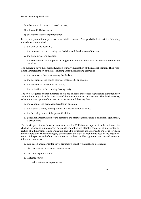- 3) substantial characterization of the case,
- 4) relevant CBR structures,
- 5) characterization of argumentation.

Let us now present these parts in a more detailed manner. As regards the first part, the following metadata are annotated:

- a. the date of the decision,
- b. the name of the court issuing the decision and the division of the court,
- c. the signature of the decision,
- d. the composition of the panel of judges and name of the author of the rationale of the decision.

The metadata have the obvious function of individualization of the judicial opinion. The procedural characterization of the case encompasses the following elements:

- a. the instance of the court issuing the decision,
- b. the decisions of the courts of lower instances (if applicable),
- c. the procedural decision of the court,
- d. the indication of the winning/losing party.

The two categories of data indicated above are of lesser theoretical significance, although they are vital with regard to the operation of the information retrieval system. The third category, substantial description of the case, incorporates the following data:

- a. indication of the personal interest(s) in question,
- b. the type of claim(s) of the plaintiff and identification of issues,
- c. the factual grounds of the plaintiff' claim,
- d. generic characterization of the parties to the dispute (for instance: a politician, a journalist, a prisoner etc.).

The fourth part of annotation scheme concerns the CBR structures present in the rationale, including factors and dimensions. The pro-defendant or pro-plaintiff character of a factor (or direction of a dimension) is also indicated. The CBT structures are assigned to the issue to which they are relevant. The fifth category encompasses the types of arguments used in the argumentation of the parties and of the courts involved in the case. The arguments are divided into four following categories:

- a. rule-based arguments (top-level arguments used by plaintiff and defendant)
- b. classical canons of statutory interpretation,
- c. doctrinal arguments, and
- d. CBR structures
	- i. with references to past cases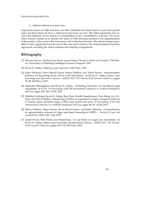ii. without references to past cases.

Arguments based on CBR structures are then classified into those based on previous quoted cases and those does not have a reference to previous case law. The latter arguments may involve development of new factors or consideration of new constellations of factors. The annotation scheme enables us to identify the types of CBR structures present in the argumentation of the parties, of the court of the 1st instance and in the final decision. The scheme makes it possible to infer arguments from the text of the case and to observe the mutual relations between arguments, including the attack relations and ordering of arguments.

- <span id="page-51-3"></span>[1] Vincent Aleven. *Teaching Case-Based Argumentation Through a Model and Examples*. PhD thesis, University of Pittsburgh, Intelligent Systems Program, 1997.
- <span id="page-51-2"></span>[2] Kevin D. Ashley. *Modeling Legal Argument*. MIT Press, 1991.
- <span id="page-51-4"></span>[3] Katie Atkinson, Trevor Bench-Capon, Henry Prakken, and Adam Wyner. Argumentation Schemes for Reasoning about Factors with Dimensions. In Kevin D. Ashley, editor, *Legal Knowledge and Information Systems – JURIX 2013: The Twenty-Sixth Annual Conference*, pages 39–48. IOS Press, 2013.
- <span id="page-51-6"></span>[4] Stephanie Brüninghaus and Kevin D. Ashley. Predicting Outcomes of Case-Based Legal Arguments. In *ICAIL '03 Proceedings of the 9th international conference on Artificial Intelligence and Law*, pages 233–242. ACM, 2003.
- <span id="page-51-0"></span>[5] Matthias Grabmair, Kevin D. Ashley, Ran Chen, Preethi Sureshkumar, Chen Wang, Eric Nyberg, and Vern R Walker. Introducing LUIMA: an experiment in legal conceptual retrieval of vaccine injury decisions using a UIMA type system and tools. In *Proceedings of the 15th International Conference on Artificial Intelligence and Law*, pages 69–78. ACM, 2015.
- <span id="page-51-5"></span>[6] Henry Prakken, Adam Wyner, Trevor Bench-Capon, and Katie Atkinson. A formalization of argumentation schemes for legal case-based reasoning in ASPIC+. *Journal of Logic and Computation*, 25(5):1141–1166, 2015.
- <span id="page-51-1"></span>[7] Adam Wyner, Wim Peters, and Daniel Katz. A Case Study on Legal Case Annotation. In Kevin D. Ashley, editor, *Legal Knowledge and Information Systems – JURIX 2013: The Twenty-Sixth Annual Conference*, pages 165–174. IOS Press, 2013.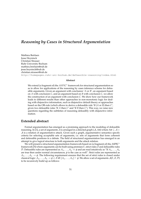## *Reasoning by Cases in Structured Argumentation*

Mathieu Beirlaen Jesse Heyninck Christian Strasser Ruhr University Bochum [mathieu.beirlaen@rub.de](mailto:mathieu.beirlaen@rub.de) [jesse.heyninck@rub.de](mailto:jesse.heyninck@rub.de) [christian.strasser@rub.de](mailto:christian.strasser@rub.de) <http://homepages.ruhr-uni-bochum.de/defeasible-reasoning/index.html>

#### **Abstract**

We extend (a fragment of) the  $ASPIC^+$  framework for structured argumentation so as to allow for applications of the reasoning by cases inference scheme for defeasible arguments. Given an argument with conclusion '*A* or *B*', an argument based on *A* with conclusion *C*, and an argument based on *B* with conclusion *C*, we allow the construction of an argument with conclusion *C*. We show how our framework leads to different results than other approaches in non-monotonic logic for dealing with disjunctive information, such as disjunctive default theory or approaches based on the OR-rule (which allows to derive a defeasible rule 'If (*A* or *B*) then *C*', given two defeasible rules 'If *A* then *C*' and 'If *B* then *C*'). This way, we raise new questions regarding the subtleties of reasoning defeasibly with disjunctive information.

#### **Extended abstract**

Formal argumentation has emerged as a promising approach to the modeling of defeasible reasoning. In [\[1\]](#page-54-0), a set of arguments A is arranged in a directed graph (A, Att) where Att  $\subset A \times$  $A$  is a relation of argumentative attack. Given such a graph, argumentative semantics specify criteria for selecting acceptable sets of arguments, i.e. sets of arguments that form coherent and defensible positions in a debate. The field of structured argumentation has emerged in an attempt to give logical structure to both arguments and the attack relation.

We will present a structured argumentation framework based on (a fragment of) the ASPIC<sup>+</sup> framework [\[5\]](#page-54-1) where arguments can be built using premises  $\Gamma$ , strict rules  $\mathcal S$  and defeasible rules D. Defeasible rules are represented as  $A_1, \ldots, A_n \Rightarrow \phi$  and are read intuitively as "If  $A_1, \ldots, A_n$ are true then under normal circumstances, *φ* is the case as well". Strict rules are represented as  $A_1, \ldots, A_n \to \phi$ . The following requirement ensures that the set of strict rules is closed under classical logic:  $A_1, \ldots, A_n \to \phi \in S$  iff  $\{A_1, \ldots, A_n\} \vdash \phi$ . We allow a set of arguments  $\mathcal{A}(\Gamma, \mathcal{S}, \mathcal{D})$ to be recursively build up as follows: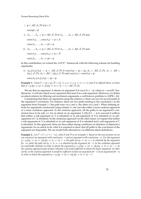*i*.  $\phi \in \mathcal{A}(\Gamma, \mathcal{S}, \mathcal{D})$  if  $\phi \in \Gamma$ .

 $conc(\phi) = \phi$ .

- *ii*.  $A_1, \ldots, A_n \to \psi \in A(\Gamma, \mathcal{S}, \mathcal{D})$  if  $A_1, \ldots, A_n \in A(\Gamma, \mathcal{S}, \mathcal{D})$  and  $conc(A_1), \ldots,conc(A_n) \to \psi \in \mathcal{S}.$  $conc(A_1, \ldots, A_n \rightarrow \psi) = \psi$ . *iii*.  $A_1, \ldots, A_n \Rightarrow \psi \in A(\Gamma, \mathcal{S}, \mathcal{D})$  if  $A_1, \ldots, A_n \in A(\Gamma, \mathcal{S}, \mathcal{D})$  and
- $conc(A_1), \ldots,conc(A_n) \Rightarrow \psi \in \mathcal{D}$  $conc(A_1, \ldots, A_n \Rightarrow \psi) = \psi$ .

In this contribution, we extend the *ASPIC*<sup>+</sup> framework with the following scheme for building arguments:

*iv*.  $A_0$ ,  $[A_1]$ ,  $[A_2] \rightsquigarrow \phi \in \mathcal{A}(\Gamma, \mathcal{S}, \mathcal{D})$  if conc $(A_0) = \psi_1 \vee \psi_2$ ,  $A_0 \in \mathcal{A}(\Gamma, \mathcal{S}, \mathcal{D})$ ,  $A_1 \in \mathcal{A}(\Gamma \cup \mathcal{D})$  ${\psi_1}, {\mathcal{S}, \mathcal{D}}, \mathcal{A}_2 \in \mathcal{A}(\Gamma \cup {\psi_2}, \mathcal{S}, \mathcal{D})$  and conc $(A_1) = \text{conc}(A_2) = \phi$ .

conc $(A_0, [A_1], [A_2] \rightsquigarrow \phi) = \phi$ .

**Example 1.** *Given*  $\Gamma = \{p \lor q\}$ ,  $\mathcal{D} = \{p \Rightarrow u, u \Rightarrow s, q \Rightarrow t, t \Rightarrow s\}$  *and S as defined above, we have that*  $p \vee q$ ,  $[(p \Rightarrow u) \Rightarrow s]$ ,  $[(q \Rightarrow t) \Rightarrow s] \rightsquigarrow s \in \mathcal{A}(\Gamma, \mathcal{D}, \mathcal{S})$ .

We say that an argument *A* attacks an argument *B* if conc(*A*)  $\equiv \neg \phi$ , where  $\phi = \text{conc}(B)$ . Furthermore, *A* will also attack every argument that uses *B* as a sub-argument. Moreover, we define an attack relation for filtering out incoherent arguments, a well-known problem in ASPIC+ [\[6\]](#page-54-2).

Considering that there are arguments using the scheme *iv*, there can now be several paths to the argument's conclusion. For instance, there are two paths leading to the conclusion *s* in the argument from Example 1. One path runs via *p* and *u*, the other via *q* and *t*. When defining attacks for arguments constructed using scheme *iv*, one can take either a more cautious approach or a more credulous approach. In the cautious approach, all the paths to an argument's conclusion have to be safe, i.e. for an attack on an argument  $A$ ,  $[B]$ ,  $[C] \rightsquigarrow \phi$  to succeed it suffices that (either a sub-argument of *A* is rebutted) or (a sub-argument of *B* is rebutted) or (a subargument of *C* is rebutted). In the credulous approach on the other hand, we require that (either a sub-argument of *A* is rebutted) or (a sub-argument of *B* is rebutted and a sub-argument of *C* is rebutted). In this approach, there are thus rather strong conditions on attackers of disjunctive arguments: for an attack to be valid it is required to show that all paths to the conclusion of the argument are disputable. We can model both alternatives via different attack definitions.

**Example 2.** Let  $\Gamma' = \Gamma \cup \{\neg t \wedge \neg u\}$ , with S and D as in Example 1. Based on the new premise set we *can construct an argument with conclusion* ¬*t and an argument with conclusion* ¬*u. For the argument*  $p \lor q$ ,  $[(p \Rightarrow u) \Rightarrow s]$ ,  $[(q \Rightarrow t) \Rightarrow s] \rightsquigarrow s$ , the path via  $(p \Rightarrow u) \Rightarrow s$  is rebutted by the argument *for* ¬*u, while the path via* (*q* ⇒ *t*) ⇒ *s is rebutted by the argument for* ¬*t. In the credulous approach we need* both *rebuttals in order to attack the argument*  $p \lor q$ ,  $[(p \Rightarrow u) \Rightarrow s]$ ,  $[(q \Rightarrow t) \Rightarrow s] \rightsquigarrow s$ . In *the cautious approach* each *of these rebuttals is by itself sufficient to attack the larger argument. In other words, in the cautious approach it would be sufficient to have an argument for* ¬*t* or *an argument for* ¬*u in order to attack the argument*  $p \lor q$ *,*  $[(p \Rightarrow u) \Rightarrow s]$ ,  $[(q \Rightarrow t) \Rightarrow s] \rightsquigarrow s$ .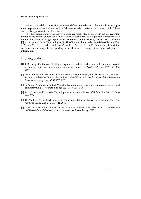Various acceptability semantics have been defined for selecting coherent subsets of arguments representing rational stances in a debate (grounded, preferred, stable, etc.). All of these are readily applicable in our framework.

We will compare our system with two other approaches for dealing with disjunctive information in the context of defausible implications. In particular, we will point to differences with both disjunctive default logic [\[2\]](#page-54-3) and approaches based on the OR-rule, as used in e.g. system **P** [\[3\]](#page-54-4) and in several Input/Output logics [\[4\]](#page-54-5). The OR-rule allows to derive a defeasible rule 'If (*A* or *B*) then *C*', given two defeasible rules 'If *A* then *C*' and 'If *B* then *C*'. By showing these differences, we raise new questions regarding the subtleties of reasoning defeasibly with disjunctive information.

- <span id="page-54-0"></span>[1] P.M. Dung. On the acceptability of arguments and its fundamental role in nonmonotonic reasoning, logic programming and n-person games. *Artificial Intelligence*, 77(2):321–357, 1995.
- <span id="page-54-3"></span>[2] Michael Gelfond, Vladimir Lifschitz, Halina Przymusinska, and Miroslaw Truszczynski. Disjunctive defaults. In *Proc. Second International Conf. on Principles of Knowledge Representation and Reasoning*, pages 230–237, 1991.
- <span id="page-54-4"></span>[3] S. Kraus, D. Lehmann, and M. Magidor. Nonmonotonic reasoning, preferential models and cumulative logics. *Artificial Intelligence*, 44:167–207, 1990.
- <span id="page-54-5"></span>[4] D. Makinson and L. van der Torre. Input/output logics. *Journal of Philosophical Logic*, 29:383– 408, 2000.
- <span id="page-54-1"></span>[5] H. Prakken. An abstract framework for argumentation with structured arguments. *Argument and Computation*, 1(2):93–124, 2011.
- <span id="page-54-2"></span>[6] Y. Wu. *Between Argument and Conclusion: Argument-based Approaches to Discussion, Inference and Uncertainty (PhD dissertation)*. University of Luxembourg, 2012.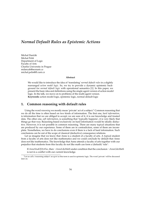## *Normal Default Rules as Epistemic Actions*

Michal Dančák Michal Peliš Department of Logic Faculty of Arts Charles University in Prague [mdancak@seznam.cz](mailto:mdancak@seznam.cz) [michal.pelis@ff.cuni.cz](mailto:michal.pelis@ff.cuni.cz)

#### **Abstract**

We would like to introduce the idea of 'translating' *normal default rules* in a slightly rearranged *action model logic*. So, we try to provide a dynamic epistemic background for *normal default logic* with operational semantics [\[1\]](#page-57-0). In this paper, we present the basic idea and definitions using the single-agent version of action model logic. In the talk, we move on to problems of the multi-agent version. **Keywords:** action model logic, epistemic logic, normal default logic

#### **1. Common reasoning with default rules**

Using the word *reasoning* we mostly mean 'private' act of a subject.[1](#page-55-0) Common reasoning that we do all the time is often based on two kinds of information. The first one, *hard information*, is information that we are obliged to accept; we are sure of it, it is our knowledge and trusted data. The other one, *soft information*, is something that 'typically happens', it is very likely that things go that way. Reasoning based exclusively on hard information would be ideally deductive. However, it is not possible in common reasoning. There are many typical situations that are produced by our experience. Some of them are in contradiction, some of them are incomplete. Nonetheless, we have to do conclusions even if there is a lack of hard information. Such conclusions can be out of the scope of classical (deductive) consequence relations.

Let us imagine that we know that Anne is a student of a faculty of arts. A typical student from a faculty of arts does not like mathematics and we could conclude by default that Anne does not like mathematics. The knowledge that Anne attends a faculty of arts together with our prejudice that students from this faculty do not like math can form a (default) 'rule':

If *AnneStudOfArtFac*, then ¬*AnneLikeMath* under condition that the conclusion ¬*AnneLikeMath* is not in a conflict with our current knowledge.

<span id="page-55-0"></span><sup>1</sup>Let us call a 'reasoning subject' an *agent* as this term is used in epistemic logic. The word 'private' will be discussed later on.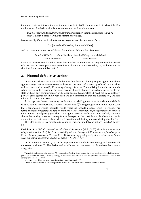Poznań Reasoning Week 2016

Later we obtain an information that Anne studies logic. Well, if she studies logic, she might like mathematics. Similarly with this information, we can formulate a 'rule':

If *AnneStudOfLog*, then *AnneLikeMath* under condition that the conclusion *AnneLike-Math* is not in a conflict with our current knowledge.

More formally, if we put hard information together, we obtain a set (of facts)

Γ = {AnneStudOfArtFac, AnneStudOfLog}

and our reasoning about Anne's liking for math can follow rules like these:<sup>[2](#page-56-0)</sup>

AnneStudOfArtFac : ¬AnneLikeMath AnneStudOfLog : AnneLikeMath ¬AnneLikeMath AnneLikeMath

Note that once we conclude that Anne does not like mathematics we may not use the second rule because its presupposition is in conflict with our current knowledge, i.e., with the conclusion that Anne does not like math.[3](#page-56-1)

## **2. Normal defaults as actions**

In *action model logic* we work with the idea that there is a finite group of agents and these agents change their epistemic states with respect to 'new' information produced by verbal as well as non-verbal actions [\[2\]](#page-57-1). Reasoning of an agent *i* about 'Anne's liking for math' can be such action. We called this reasoning 'private' because it mostly happens as a change of *i*'s epistemic state without any communication with other agents. Nonetheless, it need not be completely private, other agents can know both hard and soft information that are available to *i*, and can follow all *i*'s steps in reasoning.

To incorporate default reasoning inside action model logic we have to understand default rules as actions. More formally, a normal default rule *<sup>ϕ</sup>*:*<sup>ψ</sup> ψ* changes agent's epistemic model such that it separates *ψ*-worlds (possible worlds where the formula *ψ* is true) from ¬*ψ*-worlds. This forms a base for a possible application of other defaults. From now on, the agent is ready to work with preferred (*designated*) *ψ*-worlds. If the agent *i* goes on with some other default, she only checks the validity of a (new) prerequisite with respect to the possible worlds where *ψ* is true. It does not mean that ¬*ψ*-worlds are deleted from the model—they are now distinguishable for *i*.

This idea brings us to a small modification of epistemic models and actions from [\[2,](#page-57-1) Chapter 6]:

**Definition 1.** *A (default) epistemic model M is an* S5*-structure* (*W*, *R<sup>i</sup>* , *V*, *X<sup>i</sup>* ) *where W is a non-empty*  $s$ et of possible worlds,  $R_i\subseteq W^2$  is an accessibility relation of an agent i,  $V$  is a valuation function (from *the set of atomic formulas to W), and X<sup>i</sup>* ⊆ *W is a non-empty set of designated possible worlds for an agent i such that whenever uR<sub>i</sub>v, it holds that*  $u \in X_i$  *iff*  $v \in X_i$ *.* 

In the agent's reasoning (esp. in the application of a default rule) the agent *i* 'ignores' all the states outside of  $X_i$ . The designated worlds are not connected via  $R_i$  to those that are not designated.

<span id="page-56-3"></span><span id="page-56-0"></span><sup>&</sup>lt;sup>2</sup>The rule is in the form of a fraction  $\frac{\varphi:\psi}{\psi}$ ; prerequisite  $(\varphi)$  is written before the colon together with what is presupposed (*ψ*) behind the colon, a consequent (*ψ*) is under the line. Rules, where the presupposition is the same as the consequent, are called *normal*.

<span id="page-56-1"></span><sup>3</sup>And vice versa. There are two extensions of our hard information Γ.

<span id="page-56-2"></span><sup>&</sup>lt;sup>4</sup>The satisfaction relation  $\mathbb H$  between possible worlds and formulas is defined in the standard way.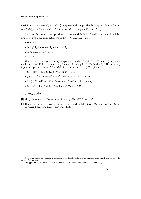**Definition 2.** *A normal default rule*  $\frac{\varphi:\psi}{\psi}$  *is* epistemically applicable *by an agent i in an epistemic* model M iff for each  $w \in X_i$ :  $(M, w) \Vdash K_i \varphi$  and  $(M, w) \Vdash \hat{K}_i \psi$  and  $(M, w) \Vdash \hat{K}_i \neg \psi$ .

An action  $(\varphi : \psi / \psi)^i$  corresponding to a normal default  $\frac{\varphi : \psi}{\psi}$  (used by an agent *i*) will be understood as a two-node action model  $\mathbf{D}^i = (\mathbf{W}, \mathbf{R}_i, \text{pre}, \mathbf{X}_i)^5$  $\mathbf{D}^i = (\mathbf{W}, \mathbf{R}_i, \text{pre}, \mathbf{X}_i)^5$  where

- $W = \{s, t\}$
- $\bullet$  (s, t) ∉  $\mathbf{R}_i$ , but (s, s) ∈  $\mathbf{R}_i$  and (t, t) ∈  $\mathbf{R}_i$
- pre(s) =  $\psi$  and pre(t) =  $\neg \psi$
- $X_i = \{s\}$

The action  $D^i$  updates (changes) an epistemic model  $M = (W, R_i, V, X_i)$  into a (new) epis-temic model M' if the corresponding default rule is applicable (Definition [2\)](#page-56-3).<sup>[6](#page-57-3)</sup> The resulting (updated) epistemic model  $M^{\prime} = (M \otimes \mathbf{D}^i)$  is a structure  $(W', R'_i, V', X'_i)$  where

- $W' = \{(w, s) | w \in W \& s \in W \& (M, w) \Vdash pre(s)\}\$
- $(w, s)R'_i(w', s')$  iff  $(wR_iw' \& sR_i s')$ , for  $w, w' \in W$  and  $s, s' \in W$
- $(w, s) \in V'(p)$  iff  $w \in V(p)$ , for  $(w, s) \in W'$  and atomic formula  $p$
- $(w, x) \in X'_i$  iff  $w \in X_i$  &  $x \in X_i$ , for  $w \in W$  and  $x \in W$

- <span id="page-57-0"></span>[1] Grigoris Antoniou. *Nonmonotonic Reasoning*. The MIT Press, 1997.
- <span id="page-57-1"></span>[2] Hans van Ditmarsch, Wiebe van der Hoek, and Barteld Kooi. *Dynamic Epistemic Logic*. Springer, Dordrecht, The Netherlands, 2008.

<span id="page-57-2"></span><sup>5</sup>An action model is very similar to an epistemic model. The difference lies in precondition function pre from **W** to the set of all formulas.

<span id="page-57-3"></span><sup>&</sup>lt;sup>6</sup>The applicability of a default takes over the role of precondition in standard action model logic.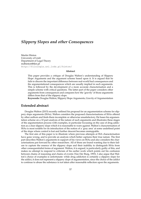## *Slippery Slopes and other Consequences*

Martin Hinton University of Łódź Department of Legal Theory [mdhinton@tlen.pl](mailto:mdhinton@tlen.pl) <http://filologia.uni.lodz.pl/hinton/>

#### **Abstract**

This paper provides a critique of Douglas Walton's understanding of Slippery Slope Arguments and the argument scheme based upon it. It is argued that he fails to discern the important difference between real-world bad consequences and the argumentational consequences which are usually implied in such arguments. This is followed by the development of a more accurate characterisation and a simple scheme with critical questions. The latter part of the paper considers other arguments from consequences and compares how the 'gravity' of those arguments differs from that of the slippery slope.

**Keywords:** Douglas Walton, Slippery Slope Arguments, Gravity of Argumentation

#### **Extended abstract**

Douglas Walton (2015) recently outlined his proposal for an argumentation scheme for slippery slope arguments (SSAs). Walton considers the proposed characterisations of SSAs offered by other authors and finds them incomplete or otherwise unsatisfactory. He bases his argumentation scheme on a 10 part analysis of the nature of such arguments and illustrates these stages of the argumentation process with examples, in particular focussing on the case of drug addiction as a clear slippery slope which it is reasonable to warn against. Walton's characterisation of SSAs is most notable for its introduction of the notion of a 'gray area' at some undefined point of the slope where control is lost and further descent becomes unstoppable.

The first aim of this paper is to illustrate where previous attempts at SSA characterisation have gone wrong, and to provide an analysis which better captures their true nature. The first part describes Walton's arguments in support of his views on SSAs and also considers the characterisations put forward by other researchers. All of these are found wanting due to their failure to capture the essence of the slippery slope and their inability to distinguish SSAs from other consequentialist forms of argument. Walton, it is argued, is particularly guilty of this, and makes no attempt to respond to criticism of his earlier work which points out his confusion between chains of reasoning and chains of events (Van Der Burg, 1993). I also argue that Walton's choice of examples is unfortunate: while drug addiction is certainly a slippery slope for the addict, it does not represent a slippery slope of argumentation, since the choice of the addict to continue to abuse the substance is not taken after reasonable reflection upon the arguments.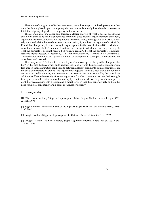The notion of the 'grey area' is also questioned, since the metaphor of the slope suggests that once the foot is placed upon the slippery decline, control is already lost: there is no reason to think that slippery slopes become slippery half-way down.

The second part of the paper puts forward a clearer analysis of what is special about SSAs and allows them to be easily distinguished from their close cousins: arguments from precedent, arguments form consequences, and arguments form consistency. It is argued that all SSAs, properly so-named, claim that reaching a certain conclusion, A, involves the negation of a principle, P, and that that principle is necessary to argue against further conclusions (B,C...) which are considered unacceptable. There are, therefore, three ways in which an SSA can go wrong: 1. That the principle P does not need to be broken to reach A. 2. That the principle P is not necessary to argue successfully against B,C... 3. That conclusions B,C... are not, in fact undesirable. This characterisation is tested against a number of examples and some possible objections are considered and rejected.

This analysis of SSAs leads to the development of a concept of 'the gravity of argumentation': in this case the force which pulls us down the slope towards the undesirable consequences. It is argued that a distinction can be made between different arguments from consequences on the basis of what type of 'gravity' the argument is subject to. Thus it is seen that, although they are not structurally identical, arguments from consistency are driven forward by the same, logical, force as SSAs, where straightforward arguments from bad consequences take their strength from purely moral considerations, backed up by empirical evidence. Arguments from precedent, however, require both a logical and a moral force, in that they generally rely on both the need for logical consistency and a sense of fairness or equality.

## **Bibliography**

[1] Wibren Van Der Burg. Slippery Slope Arguments by Douglas Walton. Informal Logic, XV.3, 221-229. 1993.

[2] Eugene Volokh. The Mechanisms of the Slippery Slope, Harvard Law Review, 116(4), 1026- 1137, 2002.

[3] Douglas Walton. Slippery Slope Arguments. Oxford: Oxford University Press. 1992.

[4] Douglas Walton. The Basic Slippery Slope Argument. Informal Logic, Vol. 35, No. 3, pp. 273–311. 2015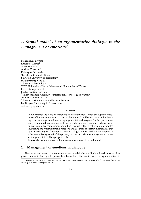# *A formal model of an argumentative dialogue in the management of emotions*[\\*](#page-0-0)

Magdalena Kacprzak<sup>1</sup> Krzysztof Rzeńca<sup>2</sup> Anna Sawicka<sup>3</sup> Andrzej Zbrzezny<sup>4</sup> Katarzyna Żukowska<sup>2</sup> <sup>1</sup>Faculty of Computer Science Białystok University of Technology [m.kacprzak@pb.edu.pl](mailto:m.kacprzak@pb.edu.pl) <sup>2</sup> Faculty of Psychology SWPS University of Social Sciences and Humanities in Warsaw <krzenca@swps.edu.pl> <kzukowska@swps.edu.pl>  $3$  Polish-Japanese Academy of Information Technology in Warsaw <asawicka@pjwstk.edu.pl> <sup>4</sup> Faculty of Mathematics and Natural Science Jan Długosz University in Częstochowa <a.zbrzezny@gmail.com>

#### **Abstract**

In our research we focus on designing an interactive tool which can support recognition of human emotions that occur in dialogues. It will be used as an aid in learning how to manage emotions during argumentative dialogues. For this purpose we analyze human dialogues and build a system to apply argumentative dialogues in human-computer communication. In this way, we gather a collection of examples illustrating the typical human's reactions and use them to explain mechanisms that appear in dialogues. Our inspirations are dialogue games. In this work we present a theoretical background of the project, i.e., we provide a formal system to represent argumentative dialogue protocols.

**Keywords:** argumentative dialogue, emotions, protocol, formal model

#### **1. Management of emotions in dialogue**

The aim of our research is to create a formal model which will allow interlocutors to improve communication by interpersonal skills coaching. The studies focus on argumentative di-

<sup>\*</sup>The research by Kacprzak have been carried out within the framework of the work S/W/1/2014 and funded by Ministry of Science and Higher Education.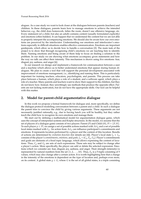alogues. As a case study we want to look closer at the dialogues between parents (teachers) and children. In these dialogues, parents learn how to manage emotions to achieve the intended behavior, e.g., the child does homework, tidies the room, doesn't use offensive language, etc. Every statement (of a child, but also an adult) contains content (usually formulated explicitly) and emotions (often hidden). It can happen that we understand the content but we are not able to properly interpret the accompanying emotions. We should also be aware how our own emotions are perceived by the interlocutor. Understanding our emotions and interlocutor's emotions especially in difficult situations enables effective communication. Emotions are important guideposts, which allow us to decide how to handle a conversation [\[2\]](#page-62-0). The main task of the project is to show that through recognizing child's emotions we are teaching him to identify them. Naming emotions and being aware of them help to focus on finding a solution to the problem. In our study we are showing what emotions accompany given statements and how the way we talk can affect their intensity. This mechanism is shown using five emotions: fear, disgust, joy, sadness, and anger [\[6\]](#page-62-1).

In our research we design and implement a framework for communication between a user and a machine which allows us to better understand emotions that appear during human dialogues. We plan to create a tool that will support the personal development associated with improvement of emotions management, i.e., identifying and naming them. This is particularly important for training teachers, educators, psychologists, and parents. This process can take place between a human, which plays a role of a student, and a software agent, which plays a role of a teacher. Many parents and teachers want to show their support to the children, but they do not know how. Instead, they unwittingly use methods that produce the opposite effect. Parents are not lacking motivation, but do not have the appropriate skills. Our tool can be helpful with this matter.

## **2. Model for parent-child argumentative dialogue**

In this work we propose a formal framework for dialogue and, more specifically, we define the dialogue protocol modelling conversation between a parent and a child. In such a dialogue the parent tries to convince the child by giving various arguments. These arguments are not necessarily justified rationally, e.g., due to having lunch you will be healthy, but they rather teach the child how to recognize its own emotions and manage them.

We start out by defining a mathematical model for argumentation dialogue game, which uses the concept of interpreted systems and Kripke structures. In the model, we assume that the set of players of a dialogue game consists of two players: Parent (*P*) and Child (*H*),  $Pl = \{P, H\}$ . To each player  $p \in Pl$ , we assign a set of possible actions marked with  $Act_p$  and a set of possible local states marked with *Lp*. An action from *Act<sup>p</sup>* can influence participant's commitments and emotions. It represents locution performed by a player and the content of this locution. Results of actions are determined by *evolution function* (for details see [\[4\]](#page-62-2)). Player's local state  $l_p \in L_p$ consists of the player's *commitments*, *emotions*, and *goals*,  $l_p = (C_p, E_p, G_p)$ . Player's commitments and goals are elements of a fixed topic language, which allows expressing the content of locutions. Thus,  $C_p$  and  $G_p$  are sets of such expressions. These sets may be subject to change after a player's action. More specifically, the player can add or delete the selected expression. Emotions which we consider are: fear, disgust, joy, sadness, and anger. Their strength (intensity) is represented by natural numbers from the set  $\{1, 2, \ldots, 10\}$ . Thus,  $E_p$  is a 5-tuple consisting of 5 values, which may also change after a certain action. It is worth highlighting here that a change in the intensity of the emotions is dependent on the type of locution and, perhaps even more, on its content. A global state  $g \in G$ , where G is the set of all global states, is a triple consisting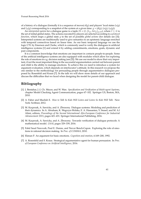of a history of a dialogue (formally it is a sequence of moves)  $d(g)$  and players' local states  $l_p(g)$ and  $l_H(g)$  corresponding to a snapshot of the system at a given time:  $g = (d(g), l_P(g), l_H(g))$ .

An *interpreted system* for a dialogue game is a tuple *IS* =  $(I, {L_p, Act_p}_{p \in Pl})$ , where *I*  $\subseteq$  *G* is the set of initial global states. The actions executed by players are selected according to a *protocol function*, which maps a global state *g* to the set of possible *global actions* (for details see [\[3\]](#page-62-3)). Interpreted systems are traditionally used to give semantics to an epistemic language enriched with temporal connectives based on linear time. As our basic temporal language we use the logic CTL by Emerson and Clarke, which is commonly used to verify the dialogues in artificial intelligence systems [\[1\]](#page-62-4) and extend it by adding commitments, emotions, goals, dynamic and past components.

It is a common knowledge that emotions are important in contacts people-to-people. Some of the artificial intelligence systems are also equipped with modules which allow for exploring the role of emotions in e.g. decision making (see [\[5\]](#page-62-5)). We use our model to show that very important, if not the most important thing in the successful argumentation carried out between parent and child is the ability to manage emotions. To achieve this we need to introduce a system for argument evaluation, which depends on interlocutor's attitude. In this research we propose the one similar to the methodology for persuading people through argumentative dialogues proposed by Rosenfeld and Kraus [\[7\]](#page-62-6). In the talk we will show more details of our approach and discuss the difficulties that we faced when designing the model for parent-child dialogue.

- <span id="page-62-4"></span>[1] J. Bentahar, J.-J. Ch. Meyer, and W. Wan. *Specification and Verification of Multi-agent Systems*, chapter Model Checking Agent Communication, pages 67–102. Springer US, Boston, MA, 2010.
- <span id="page-62-0"></span>[2] A. Faber and Mazlish E. *How to Talk So Kids Will Listen and Listen So Kids Will Talk*. New York: Scribner, 2012.
- <span id="page-62-3"></span>[3] M. Kacprzak, A. Sawicka, and A. Zbrzezny. Dialogue systems: Modeling and prediction of their dynamics. In A. Abraham, K. Wegrzyn-Wolska, E. A. Hassanien, V. Snasel, and M. A.l Alimi, editors, *Proceedings of the Second International Afro-European Conference for Industrial Advancement 2015*, pages 421–431. Springer International Publishing, 2016.
- <span id="page-62-2"></span>[4] M. Kacprzak, A. Sawicka, and A. Zbrzezny. Towards verification of dialogue protocols: A mathematical model. *LNAI*, pages 329–339, 2016.
- <span id="page-62-5"></span>[5] Fahd Saud Nawwab, Paul E. Dunne, and Trevor Bench-Capon. Exploring the role of emotions in rational decision making. In *Proc. of COMMA*, 2010.
- <span id="page-62-1"></span>[6] Ekman P. An argument for basic emotions. *Cognition and emotion*, 6:169–200, 1992.
- <span id="page-62-6"></span>[7] A. Rosenfeld and S. Kraus. Strategical argumentative agent for human persuasion. In *Proc. of European Conference on Artificial Intelligence*, 2016.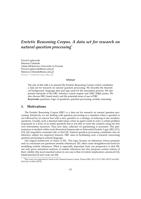# *Erotetic Reasoning Corpus. A data set for research on natural question processing*[\\*](#page-0-0)

Paweł Łupkowski Mariusz Urbański Adam Mickiewicz University in Poznań [Pawel.Lupkowski@amu.edu.pl](mailto:Pawel.Lupkowski@amu.edu.pl) [Mariusz.Urbanski@amu.edu.pl](mailto:Mariusz.Urbanski@amu.edu.pl) <http://reasoning.edu.pl>

#### **Abstract**

The aim of this talk is to present the Erotetic Reasoning Corpus which constitutes a data set for research on natural question processing. We describe the theoretical background, language data and tags used for the annotation process. We also present elements of the ERC interface: search engine and XML/LATEX parser. We also discuss ERC-based study and the potential areas of use of ERC. **Keywords:** questions, logic of questions, question processing, erotetic reasoning

#### **1. Motivations**

The Erotetic Reasoning Corpus (ERC) is a data set for research on natural question processing. Intuitively, we are dealing with question processing in a situation when a question is not followed by an answer but with a new question or a strategy of reducing it into auxiliary questions. Usually, such a situation takes place when an agent wants to solve a certain problem (expressed in a form of an initial question) but is not able to reach the solution using his/her own information resources. Thus new data, collected *via* questioning is necessary. This phenomenon is studied within such theoretical frameworks as Inferential Erotetic Logic (IEL) [\[11\]](#page-66-0), [\[12\]](#page-66-1), [\[6\]](#page-65-0); inquisitive semantics [\[4\]](#page-65-1); or KoS [\[2\]](#page-65-2). Natural question processing constitutes also an attractive subject for empirical research. ERC aims at facilitating such a research concerning question processing in natural language.

Our logical framework of choice is IEL. This logic focuses on inferences whose premises and/or conclusion are questions (erotetic inferences). IEL offers some straightforward tools for modelling erotetic inferences. What is especially important from our perspective is that IEL not only gives semantical analysis of erotetic inferences but also proposes certain criteria of their validity (the most essential notion in our case is that of erotetic implication; canonical [\[12\]](#page-66-1), falsificationist [\[3\]](#page-65-3) and weak one [\[9\]](#page-66-2)).

<sup>\*</sup>This work was supported by funds of the National Science Centre, Poland (DEC-2013/10/E/HS1/00172 and DEC-2012/04/A/HS1/00715).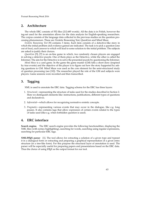Poznań Reasoning Week 2016

#### **2. Architecture**

The whole ERC consists of 552 files (212.685 words). All the data is in Polish, however the tag-set used for the annotation allows for the data analysis for English-speaking researchers. The corpus consists of the language data collected in the previous studies on the question processing phenomenon. These are: Erotetic Reasoning Test, QuestGen and Mind Maze.

*Erotetic Reasoning Test* [\[9\]](#page-66-2) contains 3 items. Each item consists of a detective-like story in which the initial problem and evidence gained are indicated. The task is to pick a question (one out of four), each answer to which will lead to some solution to the initial problem. The subjects are asked to justify their choices.

*QuestGen* [\[5\]](#page-65-4), [\[7\]](#page-65-5) is an on-line game in which, two randomly chosen players are engaged in solving a detective puzzle. One of them plays as the Detective, while the other is called the Informer. The aim for the Detective is to solve the presented puzzle by questioning the Informer.

*Mind Maze* is a card game. In the game the game master (GM) tells a short story (inspired by true events) and the objective of the player is to figure out how the story happened by asking questions to GM. Mind Maze was used as the core element for the semi-structured study of question processing (see [\[10\]](#page-66-3)). The researcher played the role of the GM and subjects were players. Game sessions were recorded and then transcribed.

#### **3. Tagging**

XML is used to annotate the ERC data. Tagging schema for the ERC has three layers:

- 1. *Structural*—representing the structure of tasks used for the studies described in Section [2.](#page-22-0) Here we distinguish elements like: instructions, justifications, different types of questions and declaratives.
- 2. *Inferential*—which allows for recognizing normative erotetic concepts.
- 3. *Pragmatic*—representing various events that may occur in the dialogue, like e.g. long pauses. It also contains tags that allow expression of certain events related to the types of tasks used (like e.g. when forbidden question is used).

#### **4. ERC interface**

**Search engine.** The ERC search engine provides the following functionalities: displaying the XML files (with syntax highlighting), searching for words, searching using regular expressions, searching for particular ERC tags.

**XML/L<sup>A</sup>TEX parser** [\[1\]](#page-65-6). The tool allows for extracting a solution of a given type and typeset it in a dialogical form or extracting and preparing a graphical representation of a given entry structure (in a tree-like form). For this purpose the structural layer of annotation is used. The parser will be especially useful for preparing papers and presentations based on the ERC data. Thus the choice of using LAT<sub>E</sub>X as the output format for our tool.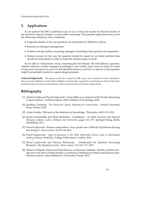## **5. Applications**

In our opinion the ERC's potential scope of use is wide and reaches far beyond studies of the normative logical concepts vs. real erotetic reasonings. The potential applications may cover the following exemplary areas of interests:

- Linguistic studies of the way questions are formulated for different contexts.
- Research on dialogue management.
- Problem solving studies concerning strategies of handling with question decomposition.
- Studies focused on the way the question should be asked (or an initial problem/task should be formulated) in order to make the solution easier to reach.

In our talk we will present a study concerning the last domain. We will address a question, whether deductive stories designed accordingly to the erotetic logic tools are easier (in terms of time and correctness) to solve for the QuestGen players, and how an answer to this question might be potentially useful for a game design purposes.

**Acknowledgements** The authors would like to thank the ERC project team members for their contribution. These are (in the alphabetical order): Wojciech Błądek, Andrzej Gajda, Agata Juska, Anna Kostrzewa, Bartosz Marciniak, Dominika Pankow, Katarzyna Paluszkiewicz, Oliwia Ignaszak, Joanna Urbańska, Natalia Żyluk.

- <span id="page-65-6"></span>[1] Andrzej Gajda and Paweł Łupkowski. Using LATEX as an element of the Erotetic Reasoning Corpus interface. Technical report, AMU Institute of Psychology, 2016.
- <span id="page-65-2"></span>[2] Jonathan Ginzburg. *The Interactive Stance: Meaning for Conversation*. Oxford University Press, Oxford, 2012.
- <span id="page-65-3"></span>[3] Adam Grobler. Fifth part of the definition of knowledge. *Philosophica*, 86:33–50, 2012.
- <span id="page-65-1"></span>[4] Jeroen Groenendijk and Floris Roelofsen. Compliance. In Alain Lecomte and Samuel Tronçon, editors, *Ludics, Dialogue and Interaction*, pages 161–173. Springer-Verlag, Berlin Heidelberg, 2011.
- <span id="page-65-4"></span>[5] Paweł Łupkowski. Human computation—how people solve difficult AI problems (having fun doing it). *Homo Ludens*, 3(1):81–94, 2011.
- <span id="page-65-0"></span>[6] Paweł Łupkowski. *Logic of Questions in the Wild. Inferential Erotetic Logic in Information Seeking Dialogue Modelling*. College Publications, London, 2016.
- <span id="page-65-5"></span>[7] Paweł Łupkowski and Patrycja Wietrzycka. Gamification for Question Processing Research—the QuestGen Game. *Homo Ludens*, 7(1):161–171, 2015.
- [8] Mariusz Urbański, Katarzyna Paluszkiewicz, and Joanna Urbańska. Erotetic problem solving: from real data to formal models. an analysis of solutions to erotetic reasoning test task. Technical report, Adam Mickiewicz University, Poznań, 2015.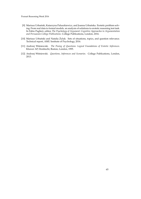- <span id="page-66-2"></span>[9] Mariusz Urbański, Katarzyna Paluszkiewicz, and Joanna Urbańska. Erotetic problem solving: From real data to formal models. an analysis of solutions to erotetic reasoning test task. In Fabio Paglieri, editor, *The Psychology of Argument: Cognitive Approaches to Argumentation and Persuasion College Publications*. College Publications, London, 2016.
- <span id="page-66-3"></span>[10] Mariusz Urbański and Natalia Żyluk. Sets of situations, topics, and question relevance. Technical report, AMU Institute of Psychology, 2016.
- <span id="page-66-0"></span>[11] Andrzej Wiśniewski. *The Posing of Questions: Logical Foundations of Erotetic Inferences*. Kluwer AP, Dordrecht, Boston, London, 1995.
- <span id="page-66-1"></span>[12] Andrzej Wiśniewski. *Questions, Inferences and Scenarios*. College Publications, London, 2013.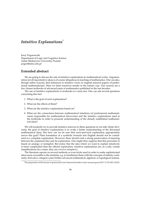## *Intuitive Explanations*[\\*](#page-0-0)

Jerzy Pogonowski Department of Logic and Cognitive Science Adam Mickiewicz University, Poznań [pogon@amu.edu.pl](mailto:pogon@amu.edu.pl)

#### **Extended abstract**

We are going to discuss the role of intuitive explanations in mathematical works. Argumentation involving intuitive ideas is of course ubiquitous in teaching of mathematics. One can also, though rather scarcely, find references to intuitive views in original research papers of professional mathematicians. Here we limit ourselves mostly to the former case. Our sources are a few chosen textbooks of advanced parts of mathematics published in the last decades.

The use of intuitive explanations in textbooks is a mere fact. One can ask several questions concerning this fact:

- 1. What is the goal of such explanations?
- 2. What are the effects of them?
- 3. What are the intuitive explanations based on?
- 4. What are the connections between mathematical intuitions (of professional mathematicians) responsible for mathematical discoveries and the intuitive explanations used in the textbooks in order to promote understanding of the already established mathematical ideas?

We will modestly try to provide tentative answers to these questions in our talk. Quite obviously, the goal of intuitive explanations is to evoke a better understanding of the discussed mathematical ideas. But how can we be sure that such-and-such explanation appropriately serves this goal? Plain translation of a symbolic formula into English should not be considered as a complete explanation. However, there should exist a strong preservation of meaning between the explained idea and its explanation. One might thus suppose that this procedure is based on analogy or metaphor. But notice that the idea which we want to explain intuitively is more complicated than the offered explanation: intuitive explanations are, as a rule, certain simplifications (in a sense, they are *converse metaphors*).

The literature reports on several methods or even tricks used in order to make sophisticated ideas more accessible to the students, e.g. to familiarize them with the concepts of infinity, continuity, derivative, integral, some further advanced arithmetical, algebraic or topological notions.

<sup>\*</sup>The preparation of this lecture is sponsored by the National Scientific Center research grant 2015/17/B/HS1/02232.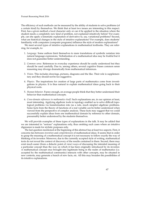The efficiency of such methods can be measured by the ability of students to solve problems (of a certain kind) by themselves. We think that at least two issues are interesting in this respect. First, has a given method a local character only or can it be applied to the situation where the student meets a completely new kind of problem, not explained intuitively before? For example, can she apply a kinematic explanation of derivative to, say, variational problems? Second, what are historical changes in the style of intuitive explanations? For example, does students' familiarity with computers (computer programs) influence the style of modern explanations?

We meet several types of intuitive explanations in mathematical textbooks. They are referring, for example, to:

- 1. *Language*. Some authors limit themselves to mere translations of symbolic notation into natural language expressions. Verbalization of a mathematical idea may be fruitful but it does not guarantee better understanding.
- 2. *Common sense*. References to everyday experience should be easily understood but they should be used carefully. Due to, among others, several cognitive biases common sense reasoning may diverge dramatically from mathematical inferences.
- 3. *Vision*. This includes drawings, pictures, diagrams and the like. Their role is supplementary and they should not be too suggestive.
- 4. *Physics*. The inspirations for creation of large parts of mathematics come from investigations in physics. It is thus natural to explain mathematical ideas going back to their physical roots.
- 5. *Human behavior*. Funny enough, on average people think that they better understand their behavior than mathematical concepts.
- 6. *Cross-domain references in mathematics itself*. Such explanations are, in our opinion at least, most interesting. Applying algebraic tools in topology enabled us to solve difficult topological problems via transformation into (as a rule, much simpler) algebraic problems. Some facts from the theory of functions of a real variable can be better understood when viewed from the perspective of complex analysis. These facts may suggest that we could successfully explain ideas from one mathematical domain by reference to other domain, presumably better understood by the students themselves.

We will provide examples of these types of explanations in the talk. It may be added that we are interested in "serious" explanations only, thus omitting such cases where an intuitive digression is made for stylistic purposes only.

The last question mentioned at the beginning of this abstract has at least two aspects. First, it concerns ties between *invention* and *comprehension* of mathematical ideas. It seems that in order to grasp the meaning of a mathematical concept it is not necessary to follow exactly the way of thinking of its inventor. Moreover, due to the currently accepted style of writing, mathematical texts do not reveal the context of discovery of the results contained in them. Second, there may exist much easier (from a didactic point of view) ways of discussing the intended meaning of a particular concept than the way on which it has been originally introduced by its inventor. A mathematical concept once brought into legitimate being in the realm of mathematics (i.e. accepted by the mathematical community) interacts with other concepts, may be situated in new contexts, may generate a bunch of new facts, etc. All this may broaden the possibilities of its intuitive explanations.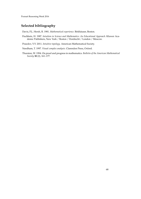Poznań Reasoning Week 2016

## **Selected bibliography**

Davis, P.J., Hersh, R. 1981. *Mathematical experience*. Birkhäuser, Boston.

Fischbein, H. 1987. *Intuition in Science and Mathematics: An Educational Approach*. Kluwer Academic Publishers, New York / Boston / Dordrecht / London / Moscow.

Prasolov, V.V. 2011. *Intuitive topology*. American Mathematical Society.

Needham, T. 1997. *Visual complex analysis*. Clarendon Press, Oxford.

Thurston, W. 1994. On proof and progress in mathematics. *Bulletin of the American Mathematical Society* **30** (2), 161–177.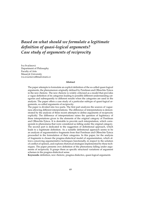# *Based on what should we formulate a legitimate definition of quasi-logical arguments? Case study of arguments of reciprocity*

Iva Svačinová Department of Philosophy Faculty of Arts Masaryk University <iva.svacinova@mail.muni.cz>

#### **Abstract**

The paper attempts to formulate an explicit definition of the so-called quasi-logical arguments, the phenomenon originally defined by Perelman and Olbrechts-Tyteca in the new rhetoric. The new rhetoric is widely criticized as a model that provides a vague definition of its categories leading to possible different understanding categories and subsequently to different results when the categories are used in the analysis. The paper offers a case study of a particular subtype of quasi-logical arguments, so-called arguments of reciprocity.

The paper is divided into two parts. The first part analyzes the sources of vagueness allowing different interpretations. The difference of interpretations is demonstrated by the analysis of three recent attempts to define arguments of reciprocity explicitly. The difference of interpretations raises the question of legitimacy of these interpretations given to the elements of the original category of Perelman and Olbrechts-Tyteca. It is desirable to provide such interpretation, which corresponds to phenomena that were considered as falling under the original category. The second part is dedicated to the suggestion of definitional approach, which leads to a legitimate definition. As a suitable definitional approach seems to be an analysis of argumentative fragments from that Perelman and Olbrechts-Tyteca proceeded in the formulation of their categories. In this paper, for the analysis of fragments is chosen the pragma-dialectical model of argumentation, which allows conceiving argumentative techniques functionally, in respect to the solution of conflict of opinion, and explores rhetorical strategies implemented by these techniques. The paper presents own definition of the phenomena falling under arguments of reciprocity. It grasps them as specific structural variations of argument schemes in the pragma-dialectical sense.

**Keywords:** definition, new rhetoric, pragma-dialectics, quasi-logical arguments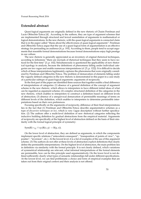#### **Extended abstract**

Quasi-logical arguments are originally defined in the new rhetoric of Chaim Perelman and Lucie Oblrechts-Tyteca [\[4\]](#page-73-0) . According to the authors, they are type of argument schemes that are implemented through structural and lexical assimilation of arguments to mathematical or logical demonstrations. In the new rhetoric, with the quasi-logical arguments is connected claim that is in the paper called "thesis about the effectiveness of quasi-logical arguments": Perelman and Olbrechts-Tyteca argue that the use of a quasi-logical form of argumentation is an effective strategy for persuading an audience [\[4,](#page-73-0) p. 193]. According to them, people tend to accept arguments that resemble formal demonstrations because formal demonstrations enjoy high prestige in our culture.

The new rhetoric is generally appreciated as an inventory of original rhetorical techniques, according to Johnstone "there are myriads of rhetorical techniques that they seem to have noticed for the first time" [\[3,](#page-73-1) p. 102]. Simultaneously is questioned the applicability of new rhetorical typology in analysis, because the definitions of phenomena falling under individual categories are too vague and enable numerous interpretations (cf. [\[5,](#page-73-2) p. 122]). It is difficult to decide which of these interpretations legitimately captures the phenomena that were originally considered by Perelman and Olbrechts-Tyteca. The problem of demarcation of elements falling under the vaguely defined categories in the new rhetoric is demonstrated in this paper in a case study of a particular subtype of quasi-logical arguments: arguments of reciprocity.

In the first part of the paper are identified three sources that together enable a final difference of interpretations of categories: (1) absence of a general definition of the concept of argument scheme in the new rhetoric, which allows to interpreters to have different initial ideas of what can be regarded as argument scheme; (2) complex structured definition of the categories in the new rhetoric, which enables to interpreters to construct a definition based on different levels of abstraction; (3) absence of a unequivocal demarcation of permissible meanings of terms on different levels of the definition, which enables to interpreters to determine permissible interpretations based on their own preferences.

Focusing specifically on the arguments of reciprocity, difference of their final interpretations lies in the fact that (1) Perelman and Olbrechts-Tyteca describe argumentative schemes as a type of *discursive techniques* or *loci*, which is very vague description without further specification. (2) The authors offer a multi-level definition of new rhetorical categories reflecting the inductive building definition by gradual abstractions from the empirical material. Arguments of reciprocity are specifically at the highest level of abstraction defined on the basis of their similarity with the formal logical principle of symmetry:

 $Sym(R) =_{df} \forall xy (R(x, y) \rightarrow R(y, x)).$ 

On the lower level of abstraction, they are defined as arguments, in which the components implement specific relations ("antecedent-consequent", "transposition of points of view", "opposites", "inversion", etc.). At the lowest level, it is a list of examples of the use of this argument scheme. (3) The authors do not offer at these levels of abstraction explicit definitions that clearly define the permissible interpretations. On the highest level of abstraction, the main problem lies in definition via similarity with the formal principle. It is not clearly defined, which variations of symmetrical relationship are relevant, what informal interpretations of the formal elements are permissible, how can be this principle used argumentatively. On the lower level is not defined sufficiently clearly what types of semantic relationships fall under different specifications. At the lowest level, we can find problematic a choice and form of empirical examples that are taken out from their original context and their analysis is not offered.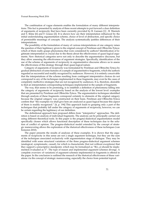The combination of vague elements enables the formulation of many different interpretations. This fact is presented by analysis of three recent attempts to put forward a clear definition of arguments of reciprocity that have been currently provided by B. Garssen [\[1\]](#page-73-0) , B. Warnick and S. Kline [\[6\]](#page-73-1) and F. Grasso [\[2\]](#page-73-2). It is shown how are their interpretation influenced by the initial understanding argumentation scheme, choice of level of abstraction, and specific choice of permissible meanings of concepts. The analysis systematically justifies differences of their interpretations.

The possibility of the formulation of many of various interpretations of one category raises the question of their legitimacy given to the original concept of Perelman and Olbrechts-Tyteca: which of them really grasps phenomena that were considered by authors? Identification of legitimate interpretation is crucial due to the thesis about the effectiveness of quasi-logical arguments. New rhetorical categories serve not only to describe the argumentative discourse, but they allow assessing the effectiveness of argument strategies. Specifically, identification of the use of the scheme of arguments of reciprocity in argumentative discourse allows us to assess the effectiveness of this strategy through their quasi-logical nature.

Category of arguments of reciprocity was formulated by Perelman and Olbrechts-Tyteca by gradual abstraction of some features of a sample of argumentative fragments, which the authors regarded as successful and readily recognized by audiences. However, it is entirely conceivable that the interpretations of the scheme resulting from contingent interpretative choices do not correspond to any of the techniques implemented in these fragments, may even be the cases of completely ineffective strategies that are not recognized by audiences. It is, therefore, desirable to find an interpretation corresponding techniques implemented in the sample of fragments.

The way, that seems to be promising, is to establish a definition of phenomena falling into the category of arguments of reciprocity based on the analysis of the lowest level: examples that are presented by Perelman and Olbrechts-Tyteca. The argumentative techniques identified through analysis of these fragments correspond certainly to elements of the original category because the original category was constructed on their basis. Perelman and Olbrechts-Tyteca confirm that "the examples we shall give here are analyzed as quasi-logical because this aspect of them is readily recognized." [\[4,](#page-73-3) p. 194] This approach leads to grasping only a part of the techniques that probably fall under the category of arguments of reciprocity, however, we can be certain regarding the legitimacy of our definition.

The definitional approach here proposed differs from "interpretive" approaches. The definition is based on analysis of individual fragments. The analysis can be principally carried out using different theoretical tools. In this paper is the pragma-dialectical argumentation model specifically chosen which allows functional description of these techniques due to the solution of conflict of opinion. The pragma-dialectical model extended by the concept of strategic maneuvering allows the exploration of the rhetorical effectiveness of these techniques (van Eemeren 2010).

The paper presents the results of analyses of these examples. It is shown that the arguments of reciprocity in this sense are not a single argument technique, but they are the sum of the techniques associated exclusively with argumentation stage of dialogue. They may be identified with some structural variations of the three pragma-dialectical argument schemes (analogical, symptomatic, causal), for which is characteristic (but not without exceptions) that they support a prescriptive standpoint, which may be formalized as  $\mathcal{R}(x, y)$  should be implemented/evaluated as Y". The type of reason and implemented argument schemes diverge. A complete overview of variations of argument schemes implemented in fragments is offered in the paper. In the conclusion is outlined the research of the rhetorical effectiveness of these variations via the concept of strategic maneuvering, especially the choice from potential topical.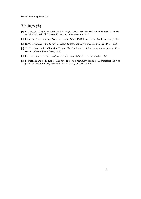- <span id="page-73-0"></span>[1] B. Garssen. *Argumentatieschema's in Pragma-Dialectisch Perspectief. Een Theoretisch en Empirisch Onderzoek*. PhD thesis, University of Amsterdam, 1997.
- <span id="page-73-2"></span>[2] F. Grasso. *Characterising Rhetorical Argumentation*. PhD thesis, Heriot-Watt University, 2003.
- [3] H. W. Johnstone. *Validity and Rhetoric in Philosophical Argument*. The Dialogue Press, 1978.
- <span id="page-73-3"></span>[4] Ch. Perelman and L. Olbrechts-Tyteca. *The New Rhetoric: A Treatise on Argumentation*. University of Notre Dame Press, 1969.
- [5] F. H. van Eemeren et al. *Fundamentals of Argumentation Theory*. Routledge, 1996.
- <span id="page-73-1"></span>[6] B. Warnick and S. L. Kline. The new rhetoric's argument schemes: A rhetorical view of practical reasoning. *Argumentation and Advocacy*, 29(1):1–15, 1992.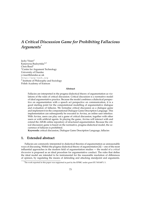# *A Critical Discussion Game for Prohibiting Fallacious Arguments*[\\*](#page-0-0)

Jacky Visser<sup>1</sup> Katarzyna Budzyńska<sup>1,2</sup> Chris  $\text{Reed}^1$ <sup>1</sup>Centre for Argument Technology University of Dundee <j.visser@dundee.ac.uk> <http://arg-tech.org> 2 Institute of Philosophy and Sociology Polish Academy of Sciences

#### **Abstract**

Fallacies are interpreted in the pragma-dialectical theory of argumentation as violations of the rules of critical discussion. Critical discussion is a normative model of ideal argumentative practice. Because the model combines a dialectical perspective on argumentation with a speech act perspective on communication, it is a good starting point for the computational modelling of argumentative dialogue and evaluation of fallacies. We formalise critical discussion as a dialogue game and implement it in the computational Dialogue Game Description Language. This implementation can subsequently be executed in Arvina, an online user interface. With Arvina, users can play out a game of critical discussion, together with other users or with artificial agents. In playing the game, Arvina will interact with and extend the AIFdb online repository of structured argumentation. Because the critical discussion game is based on the normative, pragma-dialectical model, the occurrence of fallacies is prohibited.

**Keywords:** critical discussion, Dialogue Game Description Language, fallacies

### **1. Extended abstract**

Fallacies are commonly interpreted in dialectical theories of argumentation as unreasonable ways of discussing. Within the pragma-dialectical theory of argumentation [\[4\]](#page-76-0) -– one of the most influential approaches in the modern field of argumentation studies — the model of a *critical discussion* is proposed as an ideal procedure for argumentative conduct. The rules that define the ideal model are intended to be instrumental for the reasonable resolution of differences of opinion, by regulating the means of defending and attacking standpoint and arguments.

<sup>\*</sup>The work reported in this paper was supported in part by the EPSRC under grant EP/N014871/1.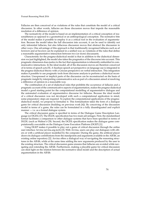Fallacies are then conceived of as violations of the rules that constitute the model of a critical discussion. In other words, fallacies are those discussion moves that impede the reasonable resolution of a difference of opinion.

The normativity of the model is based on an implementation of a critical conception of reasonableness as opposed to a geometrical or an anthropological conception. The normative bite of the model makes it possible to employ it as a critical tool in the evaluation of argumentation. Because the model takes the full discussion into account, it can be used to identify not only inferential fallacies, but also fallacious discussion moves that obstruct the discussion in other ways. One advantage of this approach is that traditionally recognised fallacies such as *ad hominem* and *ad baculum* can be explained in a unified way as violations of the rules that define a reasonable argumentative interaction between two (or more) discussants.

Characteristic for the pragma-dialectical model is that in addition to the dialectical dimension we just highlighted, the model also takes the pragmatics of the discourse into account. This pragmatic dimension does justice to the fact that argumentation is inherently embedded in communicative interactions. In the ideal model, all of the discussion moves are therefore conceived of in terms of speech acts [\[5\]](#page-76-1). A Searlean speech act perspective on language use is integrated in the pragma-dialectical theory with a Gricean perspective on verbal interaction. This integration makes it possible to use pragmatic tools from discourse analysis to perform a dialectical reconstruction. Unexpressed or implicit parts of the discussion can be reconstructed on the basis of pragmatic insight by interpreting communicative acts as part of a discussion aimed at resolving a difference of opinion in a reasonable way.

The combination of a set of dialectical rules that prohibits the occurrence of fallacies and a pragmatic account of the communicative aspects of argumentation, makes the pragma-dialectical model a good starting point for the computational modelling of argumentative dialogue and the automated evaluation of argumentative discourse for fallacies. Because the ideal model of a critical discussion was not developed with such a computational application in mind, some preparatory steps are required. To explore the computational applications of the pragmadialectical model, we propose to formalise it. This formalisation takes the form of a dialogue game for critical discussion (building on previous work [\[6\]](#page-76-2)). By conceiving of the discussion model in terms of a game, the rules can be formulated in a fully disambiguated and explicit manner — i.e. as a formal dialogue system.

The critical discussion game is specified in terms of the Dialogue Game Description Language (or DGDL) [\[7\]](#page-76-3). The DGDL-specification has two main advantages. First, the standardised format facilitates a comparison to other dialogue systems that have been specified in terms of DGDL (such as Walton's CB). Second, the DGDL-specification makes the dialogue game computationally executable on the Dialogue Game Execution Platform (DGEP) [\[1\]](#page-76-4).

Using DGEP makes it possible to play out a game of critical discussion through the online user interface Arvina (arvina.arg.tech) [\[3\]](#page-76-5). With Arvina, users can play out dialogues with others or with a artificial player modelled by the computer. During the game, the artificial player draws its dialogue contributions from the standpoints and arguments available in the AIFdb, an existing online repository [\[2\]](#page-76-6). Arvina offers a dialogical way of navigating the reasoning structures in the AIFdb, while at the same time adding the new arguments produced by the user to the existing structure. The critical discussion game ensures that fallacies are avoided while navigating and extending the AIFdb. Furthermore, making a playable game for critical discussion can shed light on the relation between the normative ideal model and the description of actual argumentation in the AIFdb.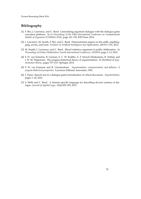- <span id="page-76-4"></span>[1] F. Bex, J. Lawrence, and C. Reed. Generalising argument dialogue with the dialogue game execution platform. In *In Proceedings of the Fifth International Conference on Computational Models of Argument (COMMA 2014)*, page 141–152. IOS Press, 2014.
- <span id="page-76-6"></span>[2] J. Lawrence, M. Snaith, F. Bex, and C. Reed. Demonstration papers on the aifdb, argublogging, arvina, and toast. *Frontiers in Artificial Intelligence and Applications*, 245:511–516, 2012.
- <span id="page-76-5"></span>[3] M. Snaith, J. Lawrence, and C. Reed. Mixed initiative argument in public deliberation. In *Proceedings of Online Deliberation, Fourth International Conference, OD2010*, page 2–13, 2010.
- <span id="page-76-0"></span>[4] F. H. van Eemeren, B. Garssen, E. C. W. Krabbe, A. F. Snoeck Henkemans, B. Verheij, and J. H. M. Wagemans. The pragma-dialectical theory of argumentation. In *Handbook of argumentation theory.*, pages 517–613. Springer, 2014.
- <span id="page-76-1"></span>[5] F. H. van Eemeren and R. Grootendorst. *Argumentation, communication, and fallacies: A pragma-dialectical perspective.* Lawrence Erlbaum Associates, 1992.
- <span id="page-76-2"></span>[6] J. Visser. Speech acts in a dialogue game formalisation of critical discussion. *Argumentation*, pages 1–22, 2016.
- <span id="page-76-3"></span>[7] S. Wells and C. Reed. A domain specific language for describing diverse systems of dialogue. *Journal of Applied Logic*, 10(4):309–329, 2012.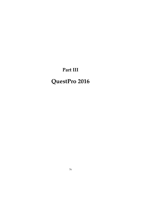# **Part III**

# **QuestPro 2016**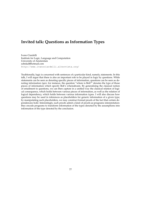# **Invited talk: Questions as Information Types**

Ivano Ciardelli Institute for Logic, Language and Computation University of Amsterdam [sobekal@hotmail.com](mailto:sobekal@hotmail.com) <http://www.ivanociardelli.altervista.org/>

Traditionally, logic is concerned with sentences of a particular kind, namely, statements. In this talk, I will argue that there is also an important role to be played in logic by questions. While statements can be seen as denoting specific pieces of information, questions can be seen as denoting information *types*: for instance, the question "where is Bob?" denotes the type of those pieces of information which specify Bob's whereabouts. By generalizing the classical notion of entailment to questions, we can then capture in a unified way the classical relation of logical consequence, which holds between various pieces of information, as well as the relation of logical dependency, which holds between various information types. I will also discuss how questions may be used in inferences as placeholders for generic information of a given type; by manipulating such placeholders, we may construct formal proofs of the fact that certain dependencies hold. Interestingly, such proofs admit a kind of proofs-as-programs interpretation: they encode programs to transform information of the types denoted by the assumptions into information of the type denoted by the conclusion.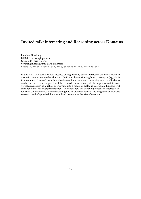# **Invited talk: Interacting and Reasoning across Domains**

Jonathan Ginzburg UFR d'Études anglophones Université Paris-Diderot [yonatan.ginzburg@univ-paris-diderot.fr](mailto:yonatan.ginzburg@univ-paris-diderot.fr) <https://sites.google.com/site/jonathanginzburgswebsite/>

In this talk I will consider how theories of linguistically-based interaction can be extended to deal with interaction in other domains. I will start by considering how other-repair (e.g., clarification interaction) and metadiscursive-interaction (interaction concerning what to talk about) can be extended to self-repair. I will then consider how to integrate the import of certain nonverbal signals such as laughter or frowning into a model of dialogue interaction. Finally, I will consider the case of musical interaction. I will show how this widening of focus in theories of interaction can be achieved by incorporating into an erotetic approach the insights of enthymatic reasoning and of appraisal theories utilised in cognitive theories of emotion.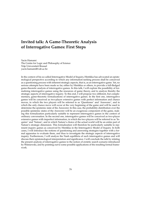# **Invited talk: A Game-Theoretic Analysis of Interrogative Games: First Steps**

Yacin Hamami The Centre for Logic and Philosophy of Science Vrije Universiteit Brussel [yacin.hamami@vub.ac.be](mailto:yacin.hamami@vub.ac.be)

In the context of his so-called Interrogative Model of Inquiry, Hintikka has advocated an epistemological perspective according to which any information-seeking process shall be conceived as a questioning process with inherent strategic aspects, that is, as an interrogative game. Yet, no serious attempts have been made so far, either by Hintikka or others, to provide a full-fledged game-theoretic analysis of interrogative games. In this talk, I will explore the possibility of formalizing interrogative games using the resources of game theory, and to analyze thereby the strategic aspects of interrogative inquiry. To this end, I will propose two different, but complementary, game-theoretic formalizations of interrogative games. In the first one, interrogative games will be conceived as two-player extensive games with perfect information and chance moves, in which the two players will be referred to as 'Questioner' and 'Answerer', and in which the only chance move will occur at the very beginning of the game and will be used to determine the epistemic state of the Answerer. In this case, the probability distribution over the possible epistemic states of the Answerer will be an exogenous component of the game, making this formalization particularly suitable to represent interrogative games in the context of ordinary conversation. In the second one, interrogative games will be conceived as two-player extensive games with imperfect information, in which the two players will be referred to as 'Inquirer' and 'Nature', and in which Nature's choice of the actual world will be an entire part of Nature's strategic dimension. This formalization will therefore be particularly suitable to represent inquiry games as conceived by Hintikka in the Interrogative Model of Inquiry. In both cases, I will introduce the notions of questioning and answering strategies together with a formal apparatus to evaluate them, and thus to investigate the strategic aspects of interrogative inquiry. Furthermore, I will analyze the Nash equilibria of such interrogative games and will discuss their epistemological interpretation and significance. I will conclude the talk by relating the present analysis of interrogative games to the notion of erotetic search scenario introduced by Wisniewski, and by pointing out to some possible applications of the resulting formal framework.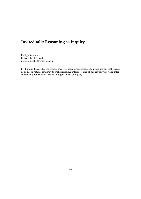# **Invited talk: Reasoning as Inquiry**

Philipp Koralus University of Oxford [philipp.koralus@stcatz.ox.ac.uk](mailto:philipp.koralus@stcatz.ox.ac.uk)

I will make the case for the erotetic theory of reasoning, according to which we can make sense of both our natural tendency to make fallacious inferences and of our capacity for valid inference through the notion that reasoning is a form of inquiry.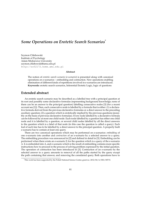# *Some Operations on Erotetic Search Scenarios*[\\*](#page-0-0)

Szymon Chlebowski Institute of Psychology Adam Mickiewicz University [szymon.chlebowski@amu.edu.pl](mailto:szymon.chlebowski@amu.edu.pl) <http://sc52172.home.amu.edu.pl>

#### **Abstract**

The notion of *erotetic search scenario* (*e-scenario*) is presented along with canonical operations on e-scenarios – embedding and contraction. New operations enabling elimination of different kinds of repetitions involved in e-scenarios are introduced. **Keywords:** erotetic search scenarios, Inferential Erotetic Logic, logic of questions

### **Extended abstract**

An erotetic search scenario may be described as a labelled tree with a principal question at its root and possibly some declarative formulas (representing background knowledge; none of them can be an answer to the principal question) labelling consecutive nodes [\[3\]](#page-84-0) (for a recent account see [\[1\]](#page-83-0)). Then, each consecutive node is labelled by a formula that is either: (1) a declarative formula derived from the previous declarative formulas or a direct answer to the preceding auxiliary question; (2) a question which is erotetically implied by the previous questions (possibly on the basis of previous declarative formulas). Every node labelled by a declarative formula can be followed by at most one child-node. Each node labelled by a question has either one child node and it is labelled by a question, or several child nodes labelled by all the direct answers to the question which is a label of that node (in this case the question is called a query). Each leaf of such tree has to be labelled by a direct answer to the principal question. A properly built e-scenario has to contain at least one query.

There are two canonical operations which may be performed on e-scenarios: *embedding* of one e-scenario into another and *contraction* of an e-scenario by a selected answer to a query. The embedding procedure was announced in [\[2\]](#page-83-1) and defined in detail in [\[3\]](#page-84-0). Embedding can be performed when there exists an e-scenario Σ for the question which is a query of the e-scenario ∆. Σ is embedded into ∆, and e-scenario which is the result of embedding contains more specific instructions how to proceed in the process of solving problem expressed by the initial question. The operation of contraction has been introduced in [\[3\]](#page-84-0). Contraction of an e-scenario by the selected answer to a query amounts to removal of all the paths started by the query except the path containing that answer, and removing the considered query. Both operations have to

<sup>\*</sup>This work has been supported by the Polish National Science Center, grant no. 2012/04/A/HS1/00715.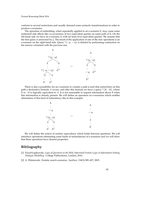conform to several restrictions and usually demand some syntactic transformations in order to produce e-scenarios.

The operation of embedding, when repeatedly applied to an e-scenario  $\Sigma$ , may cause some undesired side effects like co-occurrence of two equivalent queries on some path of Σ. On the left-hand side we have an e-scenario  $\Sigma$  with (at least two) equivalent queries. We assume that the first query is answered by *q*. The result of the application of one of the new operations is an e-scenario on the right-hand side. Query ?  $\{\neg q, \neg \neg q\}$  is deleted by performing contraction on the answer consistent with the previous one.



There is also a possibility for an e-scenario to contain a path **s** such that somewhere on this path a declarative formula *A* occurs, and after this formula we have a query ? { $B$ ,  $\neg B$ }, where *B* or  $\neg B$  is logically equivalent to *A*. It is not reasonable to request information about *B* when this information is already present. We will define an operation on e-scenarios which enables elimination of this kind of redundancy, like in this example:

| ٦Ц                                                   |                    |   |
|------------------------------------------------------|--------------------|---|
|                                                      |                    |   |
| ? ${q, \neg q}$                                      | $\rightsquigarrow$ |   |
|                                                      |                    | ч |
| q<br>٦И                                              |                    |   |
|                                                      |                    |   |
|                                                      |                    |   |
| $\Lambda$ <sup><math>\prime\prime</math></sup><br>۸' |                    |   |

We will define the notion of erotetic equivalence which holds between questions. We will introduce operations eliminating some kinds of redundancies of e-scenarios and we will show that these operations have desired properties.

- <span id="page-83-0"></span>[1] Paweł Łupkowski. *Logic of Questions in the Wild. Inferential Erotetic Logic in Information Seeking Dialogue Modelling*. College Publications, London, 2016.
- <span id="page-83-1"></span>[2] A. Wi´sniewski. Erotetic search scenarios. *Synthese*, 134(3):389–427, 2003.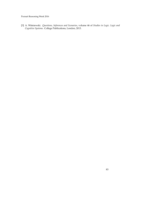<span id="page-84-0"></span>[3] A. Wi´sniewski. *Questions, Inferences and Scenarios*, volume 46 of *Studies in Logic. Logic and Cognitive Systems*. College Publications, London, 2013.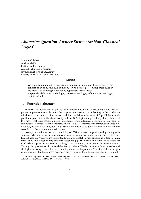# *Abductive Question-Answer System for Non-Classical Logics*[\\*](#page-0-0)

Szymon Chlebowski Andrzej Gajda Institute of Psychology Adam Mickiewicz University [szymon.chlebowski@amu.edu.pl](mailto:szymon.chlebowski@amu.edu.pl) <http://sc52172.home.amu.edu.pl>

#### **Abstract**

We propose an abductive procedure grounded in Inferential Erotetic Logic. The concept of an abductive rule is introduced and strategies of using these rules in the process of building up abductive hypothesis are discussed. **Keywords:** abduction, modal logic, paraconsistent logic, inferential erotetic logic, erotetic calculi

#### **1. Extended abstract**

The term 'abduction' was originally used to determine a kind of reasoning where new, hypothetical premise was added with the purpose of increasing the probability of the conclusion which was not acclaimed before (or was acclaimed with lesser firmness) [\[4,](#page-86-0) [5,](#page-86-1) p. 10]. From an algorithmic point of view the abductive hypothesis *H* "is legitimately dischargeable to the extent to which it makes it possible to prove (or compute) from a database a formula not provable (or computable) from it as it is currently structured" [\[2,](#page-86-2) p. 28]. We propose a framework named Abductive Question-Answer System (AQAS) which can be used to generate abductive hypotheses according to the above-mentioned approach.

In our presentation we focus on describing AQAS for classical propositional logic along with some non-classical logics such as paraconsistent logics normal modal logics. The whole structure is based on Wiśniewski's Inferential Erotetic Logic (IEL) which enables us to transform an initial abductive question into auxiliary questions [\[7\]](#page-86-3). Answers to the auxiliary question are used to built up an answer we were seeking at the beginning, i.e. answer to the initial question. Through this process we obtain an abductive hypothesis. We also introduce abductive rules and strategies for using these rules for generating abductive hypotheses. The aim of this strategies is to guarantee that hypotheses generated are significant (the information which could not be

<sup>\*</sup>Research reported in this paper were supported by the National Science Centre, Poland (DEC-2012/04/A/HS1/00715 and DEC-2013/10/E/HS1/00172).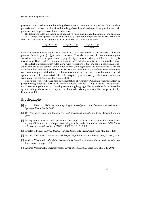proven or computed from the knowledge base is not a consequence only of our abductive hypothesis) and consistent with a given knowledge base. Introduced rules have questions as their premises and propositions as their conclusions.

The following rules are examples of abductive rules. The intended meaning of the question ? ( $\Gamma \vdash \Delta$ ) which is the premiss of an abductive rule is the following: *what should be added to*  $\Gamma$  *to derive* ∆*?*. The conclusion of this rule is an answer to the question-premiss.

$$
\frac{?(\neg p,q,r \vdash q)}{p} \qquad \frac{?(\neg p,q,r \vdash q)}{\neg r} \qquad \frac{?(\neg p,q,r \vdash q)}{r \rightarrow q}
$$

Note that in the above examples each conclusion is a correct answer to the respective question premiss. From {¬*p*, *q*,*r*} ∪ {*p*} one can derive *q*. Note also that not all correct answers generated by these rules are good: from  $\{\neg p, q, r\} \cup \{p\}$  one can derive *q*, but  $\{\neg p, q, r\} \cup \{p\}$  is inconsistent. Thus we design a strategy of using these rules by introducing certain restrictions.

The effect of applying such rules along with restrictions is that the set of possible hypotheses is reduced to the optimal one, i.e. redundant (non significant and inconsistent) cases are excluded when rules are applied with restrictions. As a result, Abductive Question-Answer System generates 'good' abductive hypotheses in one step, on the contrary to the more standard approach where this process is divided into two parts: generation of hypotheses and evaluation with qualifying selection (see for example [\[3\]](#page-86-4)).

Our future work will cover also implementation of Abductive Question-Answer System in programming language. Part of this work is already finished — AQAS for classical propositional logic is implemented in Haskell programming language. This would enable us to test the system on huge datasets and compare it with already existing solutions, like one presented by Komosiński [\[3\]](#page-86-4).

- [1] Atocha Aliseda. *Abductive reasoning. Logical investigations into discovery and explanation*. Springer, Netherlands, 2006.
- <span id="page-86-2"></span>[2] Dov M. Gabbay and John Woods. *The Reach of Abduction. Insight and Trial*. Elsevier, London, 2005.
- <span id="page-86-4"></span>[3] Maciej Komosiński, Adam Kupś, Dorota Leszczyńska-Jasion, and Mariusz Urbański. Identifying efficient abductive hypotheses using multi-criteria dominance relation. *ACM Transactions on Computational Logic (TOCL)*, 15(4):28:1–28:20, 2014.
- <span id="page-86-0"></span>[4] Charles S. Peirce. *Collected Works*. Harvard University Press, Cambridge MA, 1931–1958.
- <span id="page-86-1"></span>[5] Mariusz Urbański. *Rozumowania abdukcyjne*. Wydawnictwo Naukowe UAM, Poznań, 2009.
- [6] Andrzej Wiśniewski. On abductive search for law-like statements by socratic transformation. Research Report, 2004.
- <span id="page-86-3"></span>[7] Andrzej Wi´sniewski. Socratic proofs. *Journal of Philosophical Logic*, 33(3):299–326, 2004.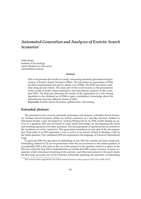# *Automated Generation and Analyzes of Erotetic Search Scenarios*[\\*](#page-0-0)

Adam Kupś Institute of Psychology Adam Mickiewicz University [adamku@amu.edu.pl](mailto:adamku@amu.edu.pl)

#### **Abstract**

This work presents the results of a study concerning automatic generation and processing of Erotetic Search Scenarios (ESSs). The procedure for generation of ESSs has been implemented and used to obtain a set of ESSs. The ESSs have been evaluated using several criteria. The main part of this work focuses on the presentation of the results of multi-criteria dominance and discordance analyses on the evaluated ESSs. The final part discusses the results of the application of a rule mining algorithm to the obtained set of ESSs to gain a preliminary knowledge about the dependencies between different classes of ESSs.

**Keywords:** Erotetic Search Scenarios, optimization, rule mining

### **Extended abstract**

The presented work concerns automatic generation and analyses of Erotetic Search Scenarios. Erotetic Search Scenarios (ESSs) are formal constructs of a tree-like structure defined in Inferential Erotetic Logic developed by Andrzej Wiśniewski [\[5,](#page-89-0) [4\]](#page-89-1). ESSs enable finding an answer to a question, that may be based on some initial knowledge, by decomposing the initial and resulting questions into other questions. The decomposition of questions has to conform to the conditions of *erotetic implication*. This guarantees soundness of each step of the decomposition. Each path of an ESS represents a way to arrive at an answer (which is labeling a leaf) to the initial question. The considered ESS are expressed in the language of Classical Propostional Logic.

To generate ESSs the operation of embedding of one ESS into another has been employed. Embedding defined in [\[5\]](#page-89-0) can be performed when the set of answers to the initial question of an embedded ESS is the same as the set of the answers to the question which is a query in the ESS into which the first ESS is embedded (let us call this first ESS a main scenario). A query is a question which introduces branching in the scenario, such that each answer to the query labels the first node of exactly one of the branches. Informally speaking, the operation of embedding

<sup>\*</sup>This work has been supported by the Polish National Science Center, grant no. 2012/04/A/HS1/00715.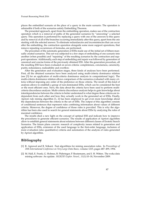places the embedded scenario at the place of a query in the main scenario. The operation is admissible if both of the scenarios satisfy Embedding Theorem.

The presented approach, apart from the embedding operation, makes use of the contraction operation which is a removal of paths of the generated scenarios by "answering" a selected query. This operation is performed by replacing a query with one of the answers to this query and by removal of all of the branches occurring immediately after this query, apart from the one starting with the selected answer. To eliminate redundancies and inconsistencies that can occur after the embedding, the contraction operation alongside some more support operations, that remove repeating occurrences of formulas, are performed.

The procedure of the automatic generation of ESSs made use of the initial set of fifteen manually created scenarios. This set was subjected to a few steps of embedding of one scenario into another (when possible) and "repairing" of the resulting scenarios by the contraction and support operations. Additionally, each step of embedding and repair was followed by generation of canonical and concise forms of the previously obtained ESS. After the generation procedure, all the resulting ESS have been evaluated on seven criteria: completeness, conciseness, canonicity, purity, redundancy, realizability and overflow.

After the generation and evaluation stages, three kinds of analyses have been performed. First, all the obtained scenarios have been analyzed using multi-criteria dominance relation (see [\[3\]](#page-89-2) for an application of multi-criteria dominance analysis in computational logic). The multi-criteria dominance relation allows comparison of the scenarios evaluated with many criteria without imposing any order of the preference on those criteria. The result of this kind of analysis allows to establish a group of non-dominated ESSs, which can be considered the best or the most efficient ones. Next, the data about the criteria have been used to perform multicriteria discordance analysis. Multi-criteria discordance analysis helps to gain knowledge about interdependencies between the criteria to better understand to what degree these criteria are independent from each other and how they actually work in the generated set of ESSs. Finally, Apriori rule mining algorithm [\[1,](#page-88-0) [2\]](#page-88-1) has been employed to get even more knowledge about the dependencies between the criteria in the set of ESSs. The output of this algorithm consists of conditional sentences that represent rules combining information about values of different criteria. Moreover, the degree of confidence of those rules is provided. This is why the algorithm has been also used to search for general statements about ESSs by analyzing the rules of maximal confidence.

The results shed a new light on the concept of optimal ESS and indicate how to improve the procedures to generate efficient scenarios. The results of application of Apriori algorithm allow to establish general statements about relations between different classes of Erotetic Search Scenarios. The future plans concern: research of complexity issues related to generation and application of ESSs, extension of the used language to the first-order language, inclusion of more evaluation (also quantitative) criteria and automation of the analysis of rules generated by Apriori algorithm.

- <span id="page-88-0"></span>[1] R. Agrawal and R. Srikant. Fast algorithms for mining association rules. In *Proceedings of 20th International Conference on Very Large Data Bases*, volume 1215, pages 487–499, 1994.
- <span id="page-88-1"></span>[2] M. Hall, E. Frank, G. Holmes, B. Pfahringer, P. Reutemann, and I. H. Witten. The weka data mining software: An update. *SIGKDD Explor. Newsl.*, 11(1):10–18, November 2009.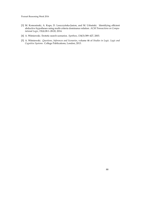- <span id="page-89-2"></span>[3] M. Komosinski, A. Kups, D. Leszczyńska-Jasion, and M. Urbański. Identifying efficient abductive hypotheses using multi-criteria dominance relation. *ACM Transactions on Computational Logic*, 15(4):28:1–28:20, 2014.
- <span id="page-89-1"></span>[4] A. Wi´sniewski. Erotetic search scenarios. *Synthese*, 134(3):389–427, 2003.
- <span id="page-89-0"></span>[5] A. Wi´sniewski. *Questions, Inferences and Scenarios*, volume 46 of *Studies in Logic. Logic and Cognitive Systems*. College Publications, London, 2013.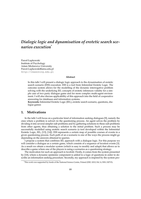# *Dialogic logic and dynamisation of erotetic search scenarios execution*[\\*](#page-0-0)

Paweł Łupkowski Institute of Psychology Adam Mickiewicz University [Pawel.Lupkowski@amu.edu.pl](mailto:Pawel.Lupkowski@amu.edu.pl) <http://reasoning.edu.pl>

#### **Abstract**

In this talk I will present a dialogic logic approach to the dynamisation of erotetic search scenario (ESS) execution. ESS is a tool from Inferential Erotetic Logic. The outcome system allows for the modelling of the dynamic interrogative problem solving with the underlying IEL concepts of erotetic inferences validity for a simple case of two party dialogue game and for more complex multi-agent environment. I will also discuss applicability of this approach into the field of cooperative answering for databases and information systems.

**Keywords:** Inferential Erotetic Logic (IEL), erotetic search scenario, questions, dialogue games

### **1. Motivations**

In the talk I will focus on a particular kind of information seeking dialogues [\[9\]](#page-92-0), namely the ones where a problem is solved *via* the questioning process. An agent solves the problem by dividing it into several simpler sub-problems and by gathering solutions to these sub-problems from other agents, thus obtaining a solution to the initial problem. Such a process may be successfully modelled using erotetic search scenario (a tool developed within the Inferential Erotetic Logic, IEL, [\[13\]](#page-93-0), [\[14\]](#page-93-1)). ESS represents a certain map of possible courses of events in a given questioning process. Each path of an e-scenario is one of the ways the process might go depending on the answers obtained to queries.

I propose a system that combines IEL approach with a dialogue logic. For this purpose we will consider a dialogue as a certain game, which consists of a sequence of locution events [\[3\]](#page-92-1). As a result we obtain a modular system (which is easy to modify and adapt) that allows us to describe a game where one of the players is using e-scenarios as a questioning strategy.

The motivation for such an approach is twofold. Firstly, it comes from the system presented by [\[10\]](#page-92-2), where a dynamic epistemic component is added to a logic of questions in order to describe an information seeking procedure. Secondly, my approach is inspired by the system pro-

<sup>\*</sup>This work was supported by funds of the National Science Centre, Poland (DEC-2012/04/A/HS1/00715).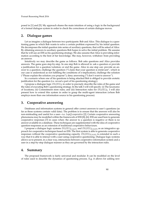posed in [\[1\]](#page-92-3) and [\[5\]](#page-92-4). My approach shares the main intuition of using a logic in the background of a formal dialogue system in order to check the correctness of certain dialogue moves.

#### **2. Dialogue games**

Let us imagine a dialogue between two participants: Bob and Alice. This dialogue is a questioning game in which Bob wants to solve a certain problem expressed by his initial question. He decomposes the initial question into series of auxiliary questions, that will be asked of Alice. By obtaining answers to auxiliary questions Bob hopes to solve the initial problem. We assume that he will use an ESS as his questioning strategy. We also assume that Alice is providing information according to the best of her knowledge. She may, however, withdraw from providing an answer.

Intuitively we may describe the game as follows. Bob asks questions and Alice provides answers. The game goes step-by-step. In one step Bob is allowed to: ask a question or provide a justification for a question/solution; or end the game. Alice in one step can: provide an answer to a question; challenge the question ("I claim that your question is irrelevant", which in our case is understood as not fulfilling the conditions of e-implication); challenge the solution ("Please explain the solution you propose"); deny answering ("I don't want to answer").

In a scenario where one of his questions is being attacked Bob is obliged to provide erotetic justification for the question (i.e. reveal a part of his questioning strategy).

I propose a dialogue logic  $DL(IEL)$ <sub>2</sub> in order to precisely describe the rules of the game and the rules of executing Bob's questioning strategy. In the talk I will will specify: (i) The taxonomy of locutions; (ii) Commitment store rules; and (iii) Interaction rules for *DL*(*IEL*)2. I will also present how to extend this system in order to grasp the multi-agent interaction (where Bob employs more than one information source in his questioning process).

### **3. Cooperative answering**

Databases and information systems in general offer correct answers to user's questions (as far as these systems contain valid data). The problem is to ensure that the answers will also be non-misleading and useful for a user—i.e. *LupQ:cooperative* [\[2\]](#page-92-5). Certain cooperative answering phenomena may be modelled within the framework of ESS [\[8\]](#page-92-6), [\[6\]](#page-92-7). ESS are used here to generate cooperative responses [\[7\]](#page-92-8) in cases when: the answer to a question is negative or there is no answer available in a database. These techniques are supplemented with the idea of cooperative question-responses as an extension of traditional cooperative behaviours.

I propose a dialogue logic systems *DL*(*IEL*)*COOP*<sup>1</sup> and *DL*(*IEL*)*COOP*<sup>2</sup> as an integrative approach for cooperative techniques based on ESS. The first system is able to generate cooperative responses without the cooperative questioning capacity.  $DL(IEL)_{COOP2}$  is extended in such a way that it is able to interact with a user using cooperative questioning. Dialogue logic systems allows us to present, in a clear way, interactions between cooperative information system and a user in a step-by-step dialogue manner as they are governed by the interaction rules.

#### **4. Summary**

The proposed framework is fairly universal and modular. It can be modified on the level of rules used to describe the dynamics of questioning process. E.g. it allows for adding new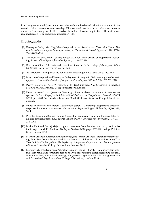locution types, or modifying interaction rules to obtain the desired behaviours of agents in interaction. What is more we can also adapt IEL tools used here in order to tailor them better to our needs (one can e.g. use the ESS based on the notion of weak e-implication [\[11\]](#page-92-9), falsificationist e-implication [\[4\]](#page-92-10) or epistemic e-implication [\[10\]](#page-92-2)).

- <span id="page-92-3"></span>[1] Katarzyna Budzynska, Magdalena Kacprzak, Anna Sawicka, and Yaskorska Olena. *Dynamika dialogow w ujeciu formalnym (Dialogue Dynamics: A Formal Approach)*. IFiS PAN, Warszawa, 2015.
- <span id="page-92-5"></span>[2] Terry Gaasterland, Parke Godfrey, and Jack Minker. An overview of cooperative answering. *Journal of Intelligent Information Systems*, 1:123–157, 1992.
- <span id="page-92-1"></span>[3] Roderic A. Girle. Belief sets and commitment stores. In *Proceedings of the Argumentation Conference*, Brock University, Ontario, 1997.
- <span id="page-92-10"></span>[4] Adam Grobler. Fifth part of the definition of knowledge. *Philosophica*, 86:33–50, 2012.
- <span id="page-92-4"></span>[5] Magdalena Kacprzak and Katarzyna Budzynska. Strategies in dialogues: A game-theoretic approach. *Computational Models of Argument: Proceedings of COMMA 2014*, 266:333, 2014.
- <span id="page-92-7"></span>[6] Paweł Łupkowski. *Logic of Questions in the Wild. Inferential Erotetic Logic in Information Seeking Dialogue Modelling*. College Publications, London.
- <span id="page-92-8"></span>[7] Paweł Łupkowski and Jonathan Ginzburg. A corpus-based taxonomy of question responses. In *Proceedings of the 10th International Conference on Computational Semantics (IWCS 2013)*, pages 354–361, Potsdam, Germany, March 2013. Association for Computational Linguistics.
- <span id="page-92-6"></span>[8] Paweł Łupkowski and Dorota Leszczyńska-Jasion. Generating cooperative questionresponses by means of erotetic search scenarios. *Logic and Logical Philosophy*, 24(1):61–78, 2014.
- <span id="page-92-0"></span>[9] Peter McBurney and Simon Parsons. Games that agents play: A formal framework for dialogues between autonomous agents. *Journal of Logic, Language and Information*, 11(3):315– 334, 2002.
- <span id="page-92-2"></span>[10] Michal Peliš and Ondrej Majer. Logic of questions from the viewpoint of dynamic epistemic logic. In M. Peliš, editor, *The Logica Yearbook 2009*, pages 157–172. College Publications, London, 2010.
- <span id="page-92-9"></span>[11] Mariusz Urbański, Katarzyna Paluszkiewicz, and Joanna Urbańska. Erotetic Problem Solving: From Real Data to Formal Models. An Analysis of Solutions to Erotetic Reasoning Test Task. In Fabio Paglieri, editor, *The Psychology of Argument: Cognitive Approaches to Argumentation and Persuasion*. College Publications, London, 2016.
- [12] Mariusz Urbański, Katarzyna Paluszkiewicz, and Joanna Urbańska. Erotetic problem solving: From real data to formal models. an analysis of solutions to erotetic reasoning test task. In Fabio Paglieri, editor, *The Psychology of Argument: Cognitive Approaches to Argumentation and Persuasion College Publications*. College Publications, London, 2016.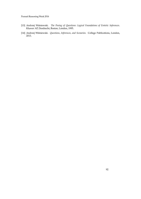- <span id="page-93-0"></span>[13] Andrzej Wiśniewski. *The Posing of Questions: Logical Foundations of Erotetic Inferences*. Kluwer AP, Dordrecht, Boston, London, 1995.
- <span id="page-93-1"></span>[14] Andrzej Wiśniewski. *Questions, Inferences, and Scenarios*. College Publications, London, 2013.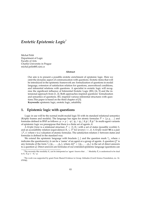# *Erotetic Epistemic Logic*[\\*](#page-0-0)

Michal Peliš Department of Logic Faculty of Arts Charles University in Prague [michal.pelis@ff.cuni.cz](mailto:michal.pelis@ff.cuni.cz)

#### **Abstract**

Our aim is to present a possible erotetic enrichment of epistemic logic. Here we omit the dynamic aspect of communication with questions. Erotetic items that will be introduced in the epistemic framework are: formalization of questions in modal language, extension of satisfaction relation for questions, answerhood conditions, and inferential relations with questions. A specialist in erotetic logic will recognize the significant influence of Inferential Erotetic Logic (IEL) [\[4,](#page-96-0) [5\]](#page-96-1) and the intensional approach from [\[1,](#page-96-2) [2\]](#page-96-3). Both approaches inspired questions' formalization and semantics of questions. IEL inspired various inferential structures with questions.This paper is based on the third chapter of [\[3\]](#page-96-4). **Keywords:** epistemic logic, erotetic logic, askability

# **1. Epistemic logic with questions**

Logic in use will be the normal multi-modal logic S5 with its standard relational semantics (Kripke frames and models). The language has signs for atomic formulas  $P = \{p, q, ...\}$  and formulas defined in BNF as follows:  $\varphi ::= p \mid \neg \psi \mid \psi_1 \wedge \psi_2 \mid K_i \psi \mid \hat{K}_i \psi$  $\varphi ::= p \mid \neg \psi \mid \psi_1 \wedge \psi_2 \mid K_i \psi \mid \hat{K}_i \psi$  $\varphi ::= p \mid \neg \psi \mid \psi_1 \wedge \psi_2 \mid K_i \psi \mid \hat{K}_i \psi$ .<sup>1</sup> In multi-agent variants of epistemic logic we presuppose that there is a finite set of agents A.

A *Kripke frame* is a relational structure  $\mathcal{F} = \langle S, R_i \rangle$  with a set of states (possible worlds) *S*, and an accessibility relation (equivalence)  $R_i \subseteq S^2$  for (every)  $i \in A$ . A *Kripke model* **M** is a pair  $\langle \mathcal{F}, v \rangle$  where *v* is a valuation of atomic formulas. The satisfaction relation  $\models$  between states and formulas is defined in the standard way.

We extend the epistemic language with brackets  $\{,\}$  and the question mark  $\{x_k\}$ , where *x* indicates the questioner(s), it can be a 'name' of an agent or a group of agents. A question  $Q^x$  is any formula of the form  $?$ <sub>*x*</sub>{ $\psi_1$ , . . . ,  $\psi_n$ }, where  $dQ^x = \{\psi_1, \dots, \psi_n\}$  is the set of direct answers to a question *Q*. Direct answers are formulas of our extended epistemic language (questions can

<span id="page-94-0"></span><sup>&</sup>lt;sup>1</sup>The necessity-like modality  $K_i$  can be interpreted as 'agent *i* knows that ...'. Modality  $\hat{K}_i$  is understood to be dual to  $K_i$ :  $\hat{K}_i \varphi \equiv \neg K_i \neg \varphi$ .

<sup>\*</sup>The work was supported by grant From Shared Evidence to Group Attitudes (Czech Science Foundation, no. 16- 07954J).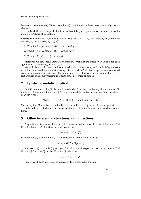be among direct answers). We suppose that *dQ<sup>x</sup>* is finite with at least two syntactically distinct elements.

It makes little sense to speak about the truth or falsity of a question. We introduce instead a notion of *askability* of a question.

**Definition 3** (Individual askability). *We say that*  $Q^i = ?_i\{\alpha_1, \dots, \alpha_n\}$  *is* askable *by an agent i in the state*  $(M, w)$  *and write*  $(M, w) \models Q^i$  *iff* 

- *1.*  $(M, w) \not\models K_i \alpha$ , for each  $\alpha \in dQ^i$ *(non-triviality)*
- *2.*  $(M, w) \models \hat{K}_i \alpha$ , for each  $\alpha \in dQ^i$  (admissibility)
- *3.*  $(M, w) \models K_i \left( \bigvee_{\alpha \in dQ^i} \alpha \right)$  (context)

Moreover, we can speak about *group askability* whenever the question is askable for each agent from a (non-empty) group  $G \subseteq A$ .

We will discuss all three conditions of askability: *Non-triviality* and *admissibility* are connected with answerhood conditions of questions, and *context* plays a special role connected with presuppositions of questions. Simultaneously, we will clarify the role of questions as direct answers and some problematic aspects of the presented approach.

### **2. Epistemic erotetic implication**

Erotetic inference is implicitly based on (standard) implication. We say that a question *Q*<sup>1</sup> implies  $Q_2$  (in a state *s*, for an agent *i*) whenever askability of  $Q_1$  (in *s*, for *i*) implies askability of *Q*<sup>2</sup> (in *s*, for *i*).

$$
(M, w) \models Q_1^i \rightarrow Q_2^i
$$
 iff  $(M, w) \models Q_1^i$  implies  $(M, w) \models Q_2^i$ 

We can say that  $Q_1$  *entails*  $Q_2$  if and only if the formula  $Q_1^i \rightarrow Q_2^i$  is valid (for any agent *i*). In the talk, we will discuss the role of epistemic erotetic implication in answerhood conditions.

#### **3. Other inferential structures with questions**

A question *Q* is askable (by an agent *i*) in (*M*, *w*) with respect to a set of formulas Γ iff  $(M, w) \models \{K_i \gamma \mid \gamma \in \Gamma\}$  and  $(M, w) \models Q^i$ . We write:

$$
(M,w)\models (K_i\Gamma\Join Q_1^i)
$$

If, moreover,  $Q_2^i$  is implied (by  $Q_1^i$  with respect to Γ) in this state, we write

$$
(M,w) \models (K_i \Gamma \Join Q_1^i) \Rightarrow Q_2^i
$$

A question *Q* is askable (by an agent *i*) in (*M*, *w*) with respect to a set of hypotheses Γ iff  $(M, w) \models \{K_i \gamma \mid \gamma \in \Gamma\}$  implies  $(M, w) \models Q^i$ . We write:

$$
(M,w)\models K_i\Gamma\Rightarrow Q^i
$$

Properties of these inferential structures will be presented in the talk.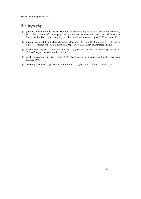- <span id="page-96-2"></span>[1] Jeroen Groenendijk and Martin Stokhof. Partitioning logical space. Annotated handout, ILLC, Department of Philosophy, Universiteit van Amsterdam, 1990. Second European Summerschool on Logic, Language and Information; Leuven, August 1990; version 1.02.
- <span id="page-96-3"></span>[2] Jeroen Groenendijk and Martin Stokhof. Questions. In J. van Benthem and A. ter Meulen, editors, *Handbook of Logic and Language*, pages 1055–1125. Elsevier, Amsterdam, 1997.
- <span id="page-96-4"></span>[3] Michal Peliš. *Inferences with Ignorance: Logics of Questions (Inferential Erotetic Logic & Erotetic Epistemic Logic)*. Karolinum, Praha, 2016.
- <span id="page-96-0"></span>[4] Andrzej Wiśniewski. *The Posing of Questions: Logical Foundations of Erotetic Inferences*. Kluwer, 1995.
- <span id="page-96-1"></span>[5] Andrzej Wiśniewski. Questions and inferences. *Logique & Analyse*, 173-175:5-43, 2001.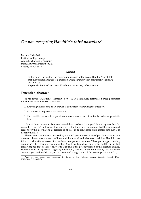# *On non accepting Hamblin's third postulate*[\\*](#page-0-0)

Mariusz Urbański Institute of Psychology Adam Mickiewicz University [mariusz.urbanski@amu.edu.pl](mailto:mariusz.urbanski@amu.edu.pl) <http://mu.edu.pl>

#### **Abstract**

In this paper I argue that there are sound reasons not to accept Hamblin's postulate that the possible answers to a question are an exhaustive set of mutually exclusive possibilities.

**Keywords:** Logic of questions, Hamblin's postulates, safe questions

### **Extended abstract**

In his paper "Questions" Hamblin [\[3,](#page-98-0) p. 162–164] famously formulated three postulates which were to characterize questions:

- 1. Knowing what counts as an answer is equivalent to knowing the question.
- 2. An answer to a question is a statement.
- 3. The possible answers to a question are an exhaustive set of mutually exclusive possibilities.

None of these postulates is uncontroversial and each can be argued for and against (see for example [\[1,](#page-98-1) [2,](#page-98-2) [4\]](#page-98-3)). The focus in this paper is on the third one: my point is that there are sound reasons for this postulate to be rejected or at least to be considered with greater care than it is usually the case.

There are two conditions imposed by the third postulate on a set of possible answers to a question: the exhaustiveness condition and the mutual exclusiveness condition. Hamblin justifies the exhaustiveness condition with an example of a question "Have you stopped beating your wife?". It is seemingly safe question (i.e. it has true direct answer [\[7,](#page-98-4) p. 38]), but in fact it may happen that no direct answer to it is true, if the presupposition of the question is false. Hamblin calls this question "logically improper", because, in his own words, "the indicated answers 'yes' and 'no' do not, on the usual reckoning, cover all the logical possibilities" [\[3,](#page-98-0) p.

<sup>\*</sup>Work on this paper was supported by funds of the National Science Council, Poland (DEC-2012/04/A/HS1/00715).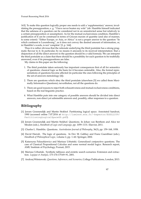163]. To make this question logically proper one needs to add a 'supplementary' answer, invalidating the presupposition, e. g. "I have never beaten my wife" (nb. Hamblin himself indicated that the safeness of a question can be considered not in an unrestricted sense but relatively to a certain presupposition or assumption). As for the mutual exclusiveness condition, Hamblin's justification of it can be construed in terms of Gricean maxim of quantity (and also of manner, to some extent): "Either Europe, or Asia, or Africa" is not a proper answer to the question "In which continent is Luxembourg", as it does not convey the desired amount of information, or, in Hamblin's words, is not 'complete' [\[3,](#page-98-0) p. 164].

Thus it is rather obvious that the rationale underlying the third postulate has a strong pragmatic flavour to it. In particular, by no means it amounts to its received interpretation: that a disjunction of all the direct answers to the question should be a valid formula. We can interpret the third postulate as a claim that there should be a possibility for each question to be truthfully answered, even if its presuppositions are false.

My claims in this paper are the following:

- 1. The third postulate taken seriously has important consequences first of all for semantics of questions: classical logic as the basis for it becomes untenable. Also, the formal representations of questions become affected (in particular the ones following the principles of the set-of-answers metodology [\[4\]](#page-98-3)).
- 2. There are questions which obey the third postulate (elsewhere [\[5\]](#page-98-5) we called them Maximally Informative Questions); nevertheless, not all the questions do.
- 3. There are good reasons to reject both exhaustiveness and mutual exclusiveness conditions, based on the real linguistic practice.
- 4. What Hamblin puts into one category of possible answers should be divided into direct answers, non-direct yet admissible answers and, possibly, other responses to a question.

- <span id="page-98-1"></span>[1] Jeroen Groenendijk and Martin Stokhof. Partitioning logical space. Annotated handout, 1990 (accessed online 7.07.2016 at [http://lumiere.ens.fr/~bspector/ESSLLI09/](http://lumiere.ens.fr/~bspector/ESSLLI09/PartitioningLogicalSpaceGS.pdf) [PartitioningLogicalSpaceGS.pdf](http://lumiere.ens.fr/~bspector/ESSLLI09/PartitioningLogicalSpaceGS.pdf)).
- <span id="page-98-2"></span>[2] Jeroen Groenendijk and Martin Stokhof. Questions. In Johan van Benthem and Alice ter Meulen (eds.), *Handbook of Logic and Language*, pp. 1059–1131. Elsevier, 2011.
- <span id="page-98-0"></span>[3] Charles L. Hamblin. Questions. *Australasian Journal of Philosophy*, 36(3), pp. 159–168, 1958.
- <span id="page-98-3"></span>[4] David Harrah. The logic of questions. In Dov M. Gabbay and Franz Guenthner (eds.), *Handbook of Philosophical Logic*, volume 2, pp. 1–60. Springer, 2002.
- <span id="page-98-5"></span>[5] Katarzyna Paluszkiewicz and Mariusz Urbański. Generalized conjunctive questions. The case of Classical Propositional Calculus and some normal modal logics. Research report, AMU Institute of Psychology, Poznań, 2015.
- [6] Mariusz Urbański. Synthetic tableaux and erotetic search scenarios: Extension and extraction. *Logique et Analyse*, 173-174-175:69–91, 2001.
- <span id="page-98-4"></span>[7] Andrzej Wi´sniewski. *Questions, Inferences, and Scenarios*, College Publications, London, 2013.